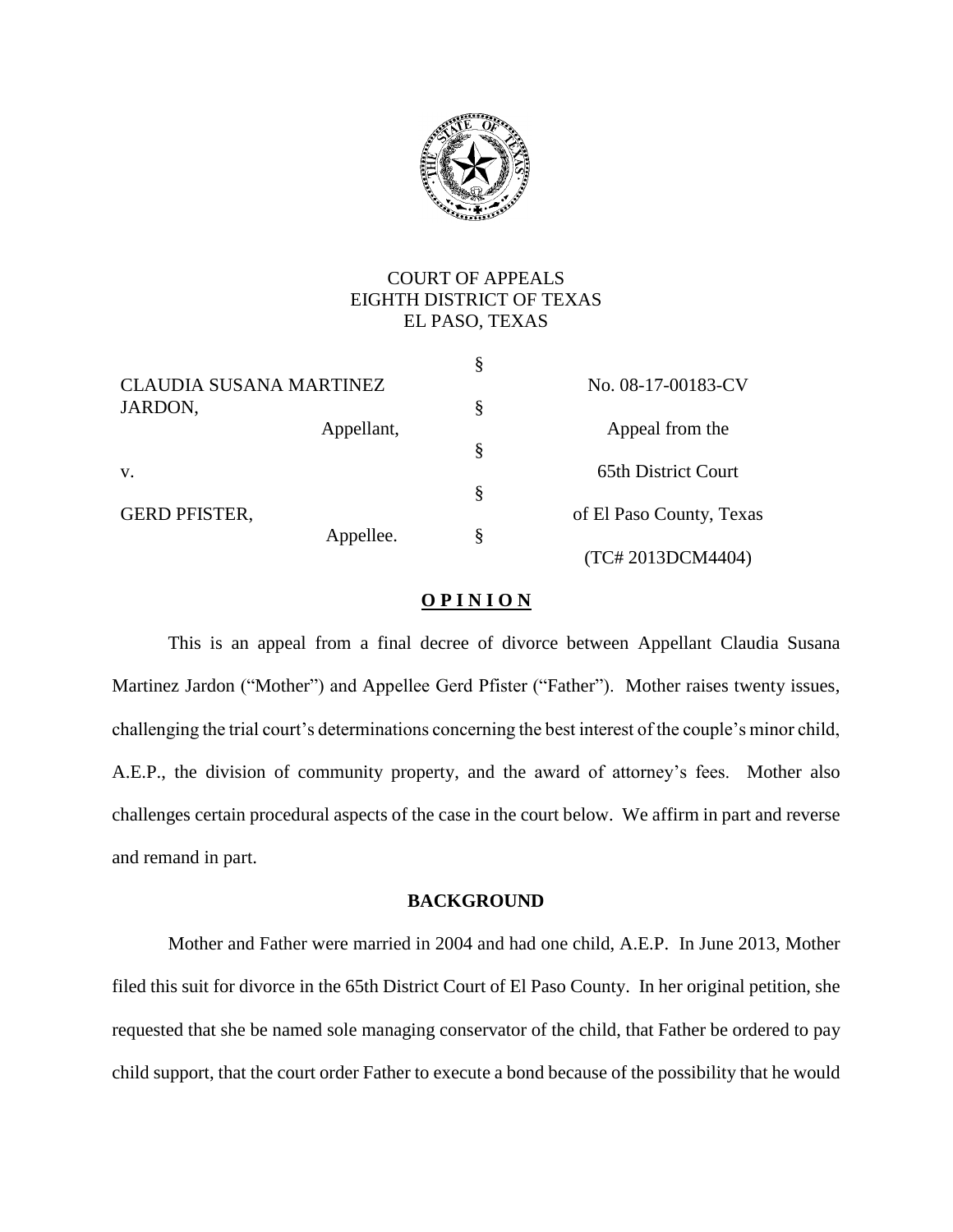

# COURT OF APPEALS EIGHTH DISTRICT OF TEXAS EL PASO, TEXAS

|                                |                    | § |                          |
|--------------------------------|--------------------|---|--------------------------|
| <b>CLAUDIA SUSANA MARTINEZ</b> | No. 08-17-00183-CV |   |                          |
| JARDON,                        |                    | § |                          |
|                                | Appellant,         |   | Appeal from the          |
|                                |                    | § |                          |
| V.                             |                    |   | 65th District Court      |
|                                |                    | § |                          |
| <b>GERD PFISTER,</b>           |                    |   | of El Paso County, Texas |
|                                | Appellee.          | § |                          |
|                                |                    |   | (TC#2013DCM4404)         |

## **O P I N I O N**

This is an appeal from a final decree of divorce between Appellant Claudia Susana Martinez Jardon ("Mother") and Appellee Gerd Pfister ("Father"). Mother raises twenty issues, challenging the trial court's determinations concerning the best interest of the couple's minor child, A.E.P., the division of community property, and the award of attorney's fees. Mother also challenges certain procedural aspects of the case in the court below. We affirm in part and reverse and remand in part.

## **BACKGROUND**

Mother and Father were married in 2004 and had one child, A.E.P. In June 2013, Mother filed this suit for divorce in the 65th District Court of El Paso County. In her original petition, she requested that she be named sole managing conservator of the child, that Father be ordered to pay child support, that the court order Father to execute a bond because of the possibility that he would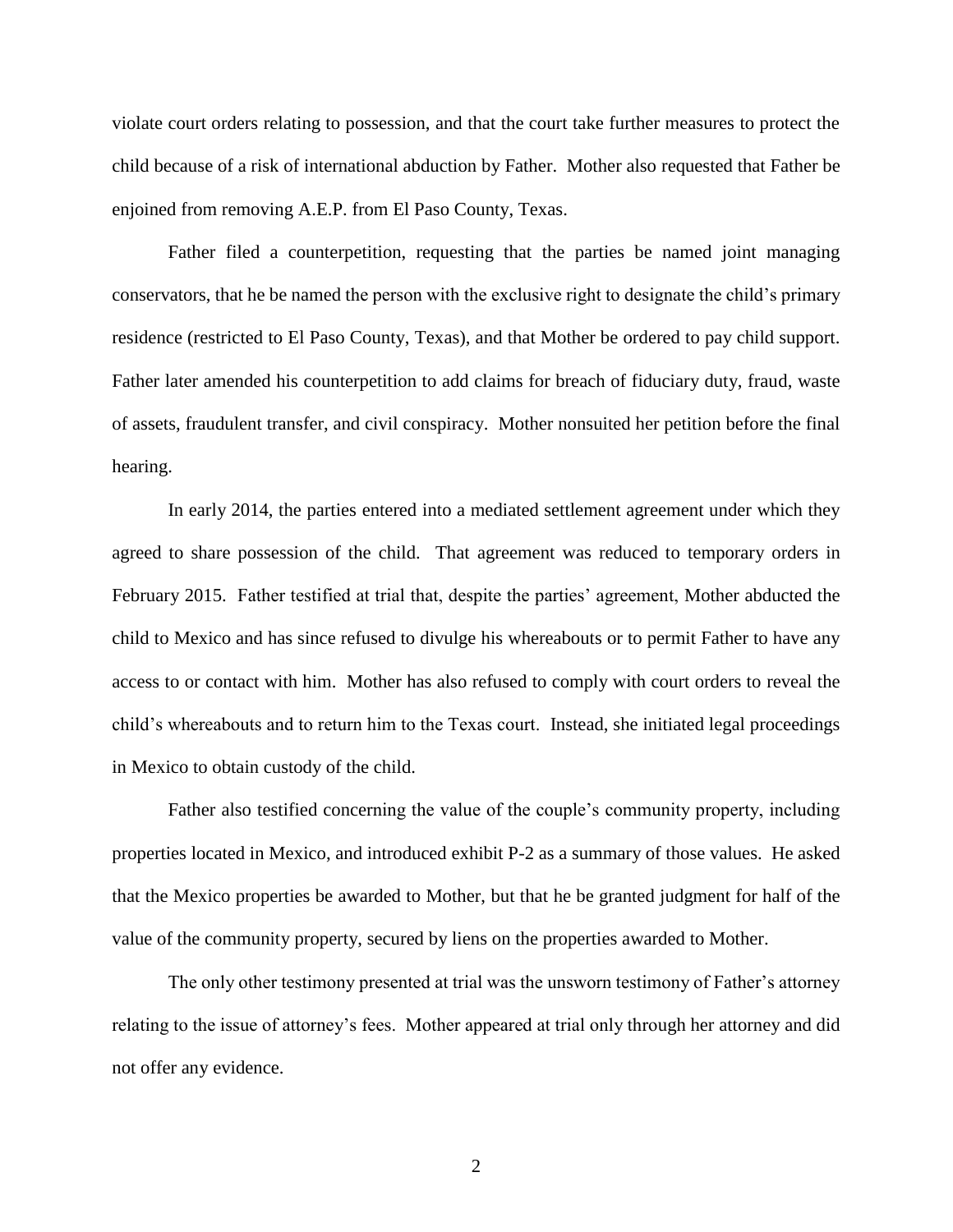violate court orders relating to possession, and that the court take further measures to protect the child because of a risk of international abduction by Father. Mother also requested that Father be enjoined from removing A.E.P. from El Paso County, Texas.

Father filed a counterpetition, requesting that the parties be named joint managing conservators, that he be named the person with the exclusive right to designate the child's primary residence (restricted to El Paso County, Texas), and that Mother be ordered to pay child support. Father later amended his counterpetition to add claims for breach of fiduciary duty, fraud, waste of assets, fraudulent transfer, and civil conspiracy. Mother nonsuited her petition before the final hearing.

In early 2014, the parties entered into a mediated settlement agreement under which they agreed to share possession of the child. That agreement was reduced to temporary orders in February 2015. Father testified at trial that, despite the parties' agreement, Mother abducted the child to Mexico and has since refused to divulge his whereabouts or to permit Father to have any access to or contact with him. Mother has also refused to comply with court orders to reveal the child's whereabouts and to return him to the Texas court. Instead, she initiated legal proceedings in Mexico to obtain custody of the child.

Father also testified concerning the value of the couple's community property, including properties located in Mexico, and introduced exhibit P-2 as a summary of those values. He asked that the Mexico properties be awarded to Mother, but that he be granted judgment for half of the value of the community property, secured by liens on the properties awarded to Mother.

The only other testimony presented at trial was the unsworn testimony of Father's attorney relating to the issue of attorney's fees. Mother appeared at trial only through her attorney and did not offer any evidence.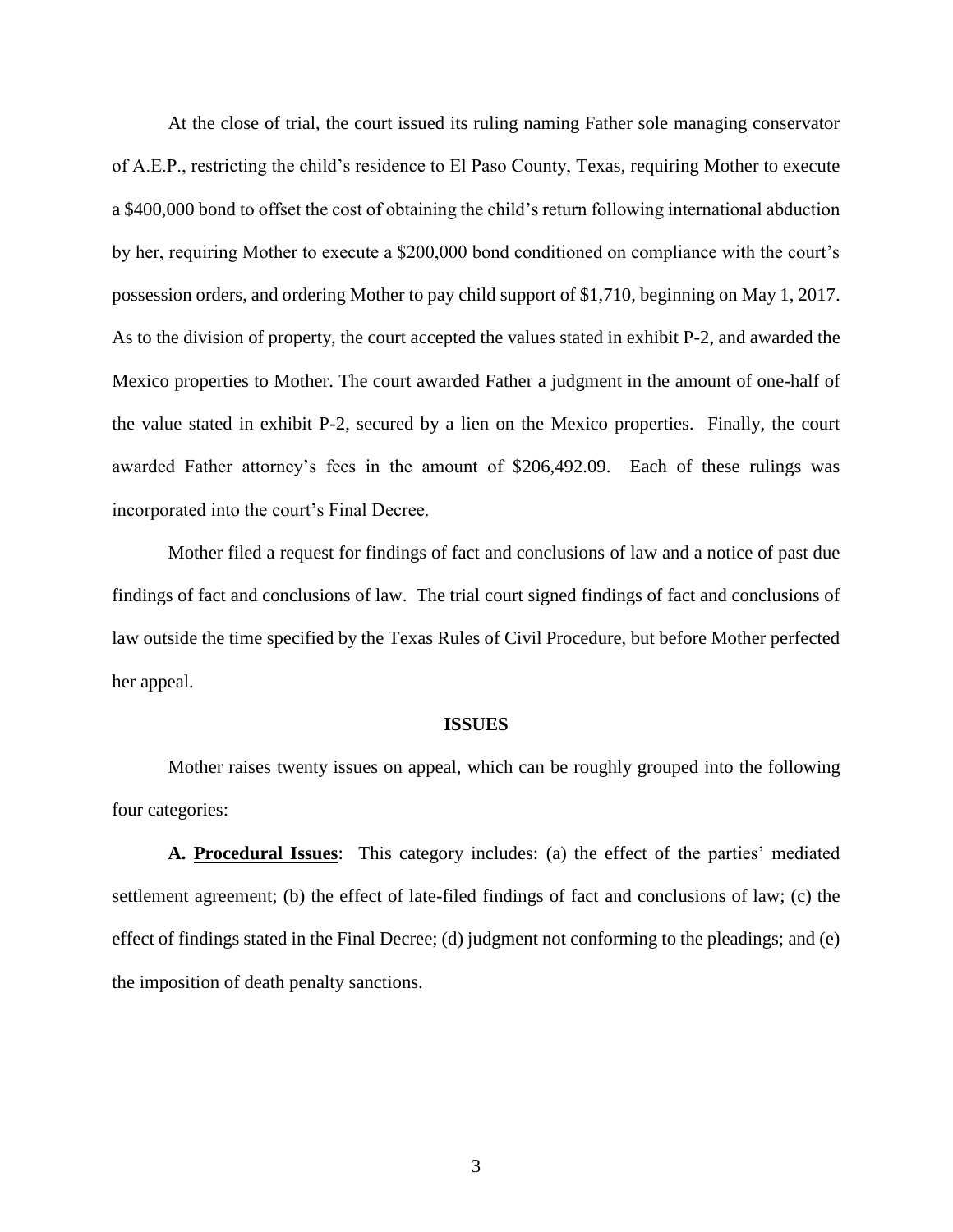At the close of trial, the court issued its ruling naming Father sole managing conservator of A.E.P., restricting the child's residence to El Paso County, Texas, requiring Mother to execute a \$400,000 bond to offset the cost of obtaining the child's return following international abduction by her, requiring Mother to execute a \$200,000 bond conditioned on compliance with the court's possession orders, and ordering Mother to pay child support of \$1,710, beginning on May 1, 2017. As to the division of property, the court accepted the values stated in exhibit P-2, and awarded the Mexico properties to Mother. The court awarded Father a judgment in the amount of one-half of the value stated in exhibit P-2, secured by a lien on the Mexico properties. Finally, the court awarded Father attorney's fees in the amount of \$206,492.09. Each of these rulings was incorporated into the court's Final Decree.

Mother filed a request for findings of fact and conclusions of law and a notice of past due findings of fact and conclusions of law. The trial court signed findings of fact and conclusions of law outside the time specified by the Texas Rules of Civil Procedure, but before Mother perfected her appeal.

### **ISSUES**

Mother raises twenty issues on appeal, which can be roughly grouped into the following four categories:

**A. Procedural Issues**: This category includes: (a) the effect of the parties' mediated settlement agreement; (b) the effect of late-filed findings of fact and conclusions of law; (c) the effect of findings stated in the Final Decree; (d) judgment not conforming to the pleadings; and (e) the imposition of death penalty sanctions.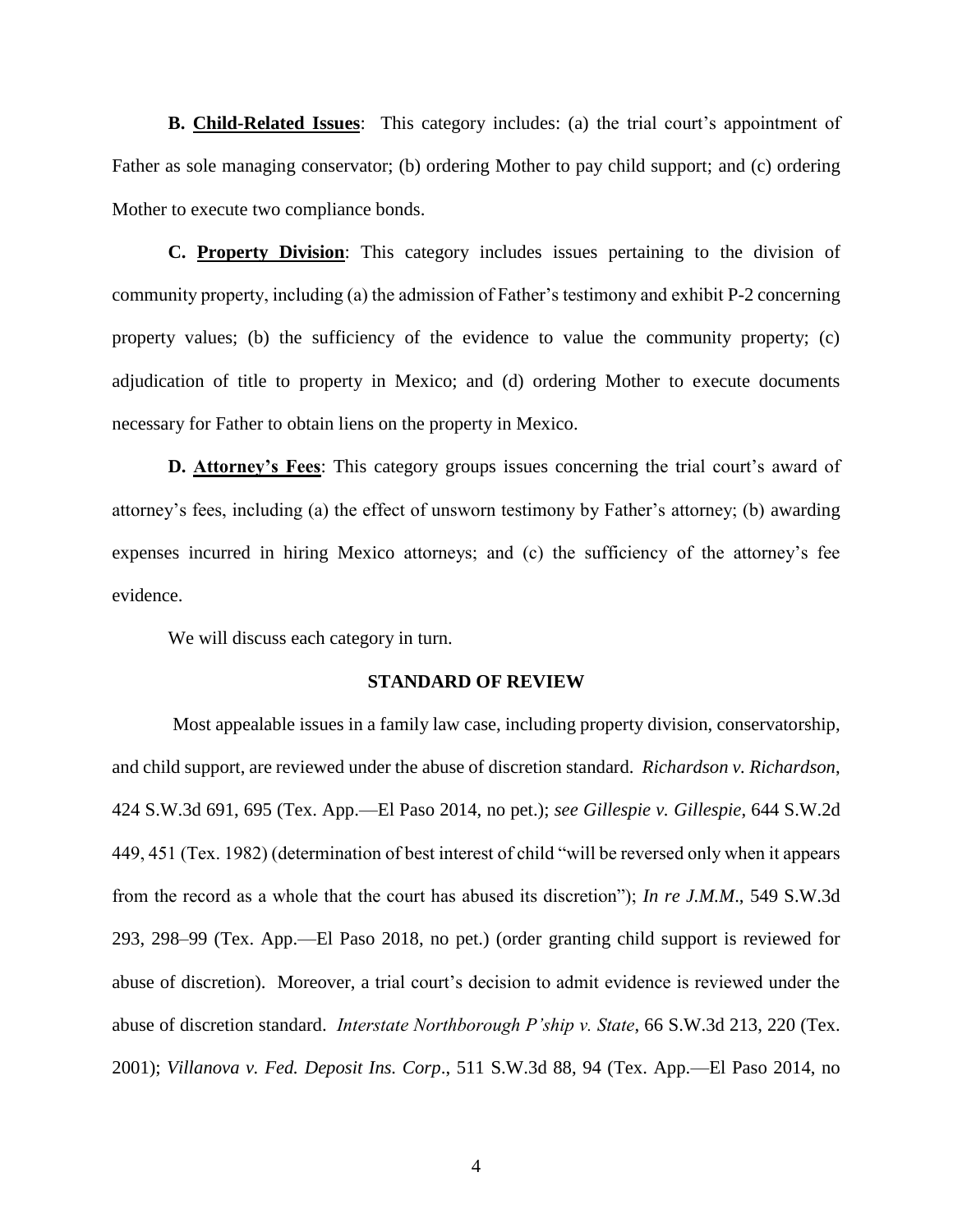**B. Child-Related Issues**: This category includes: (a) the trial court's appointment of Father as sole managing conservator; (b) ordering Mother to pay child support; and (c) ordering Mother to execute two compliance bonds.

**C. Property Division**: This category includes issues pertaining to the division of community property, including (a) the admission of Father's testimony and exhibit P-2 concerning property values; (b) the sufficiency of the evidence to value the community property; (c) adjudication of title to property in Mexico; and (d) ordering Mother to execute documents necessary for Father to obtain liens on the property in Mexico.

**D. Attorney's Fees**: This category groups issues concerning the trial court's award of attorney's fees, including (a) the effect of unsworn testimony by Father's attorney; (b) awarding expenses incurred in hiring Mexico attorneys; and (c) the sufficiency of the attorney's fee evidence.

We will discuss each category in turn.

#### **STANDARD OF REVIEW**

Most appealable issues in a family law case, including property division, conservatorship, and child support, are reviewed under the abuse of discretion standard. *Richardson v. Richardson*, 424 S.W.3d 691, 695 (Tex. App.—El Paso 2014, no pet.); *see Gillespie v. Gillespie*, 644 S.W.2d 449, 451 (Tex. 1982) (determination of best interest of child "will be reversed only when it appears from the record as a whole that the court has abused its discretion"); *In re J.M.M*., 549 S.W.3d 293, 298–99 (Tex. App.—El Paso 2018, no pet.) (order granting child support is reviewed for abuse of discretion). Moreover, a trial court's decision to admit evidence is reviewed under the abuse of discretion standard. *Interstate Northborough P'ship v. State*, 66 S.W.3d 213, 220 (Tex. 2001); *Villanova v. Fed. Deposit Ins. Corp*., 511 S.W.3d 88, 94 (Tex. App.—El Paso 2014, no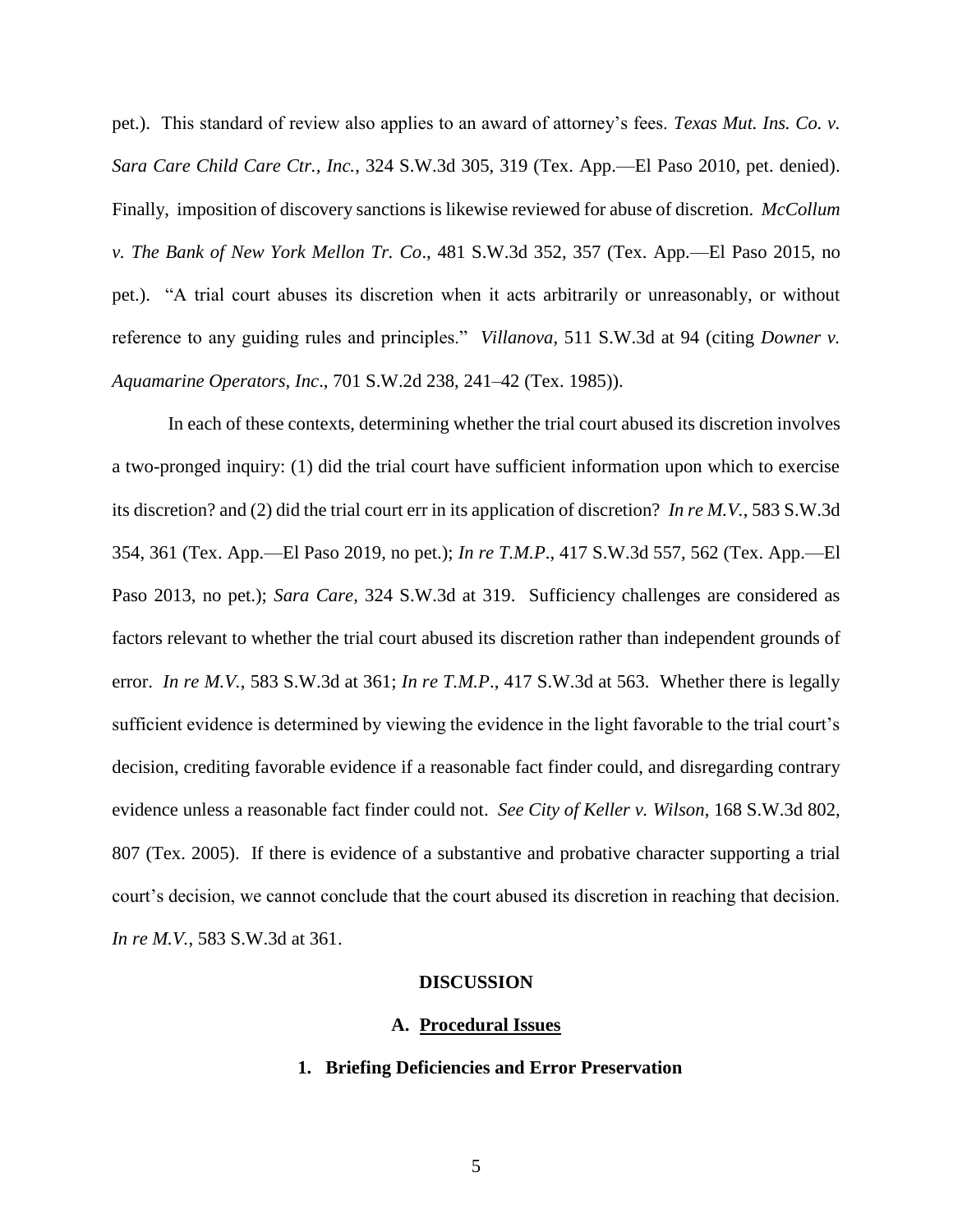pet.). This standard of review also applies to an award of attorney's fees. *Texas Mut. Ins. Co. v. Sara Care Child Care Ctr., Inc.*, 324 S.W.3d 305, 319 (Tex. App.—El Paso 2010, pet. denied). Finally, imposition of discovery sanctions is likewise reviewed for abuse of discretion. *McCollum v. The Bank of New York Mellon Tr. Co*., 481 S.W.3d 352, 357 (Tex. App.—El Paso 2015, no pet.). "A trial court abuses its discretion when it acts arbitrarily or unreasonably, or without reference to any guiding rules and principles." *Villanova*, 511 S.W.3d at 94 (citing *Downer v. Aquamarine Operators, Inc*., 701 S.W.2d 238, 241–42 (Tex. 1985)).

In each of these contexts, determining whether the trial court abused its discretion involves a two-pronged inquiry: (1) did the trial court have sufficient information upon which to exercise its discretion? and (2) did the trial court err in its application of discretion? *In re M.V.*, 583 S.W.3d 354, 361 (Tex. App.—El Paso 2019, no pet.); *In re T.M.P*., 417 S.W.3d 557, 562 (Tex. App.—El Paso 2013, no pet.); *Sara Care*, 324 S.W.3d at 319. Sufficiency challenges are considered as factors relevant to whether the trial court abused its discretion rather than independent grounds of error. *In re M.V.*, 583 S.W.3d at 361; *In re T.M.P*., 417 S.W.3d at 563. Whether there is legally sufficient evidence is determined by viewing the evidence in the light favorable to the trial court's decision, crediting favorable evidence if a reasonable fact finder could, and disregarding contrary evidence unless a reasonable fact finder could not. *See City of Keller v. Wilson*, 168 S.W.3d 802, 807 (Tex. 2005). If there is evidence of a substantive and probative character supporting a trial court's decision, we cannot conclude that the court abused its discretion in reaching that decision. *In re M.V.*, 583 S.W.3d at 361.

#### **DISCUSSION**

#### **A. Procedural Issues**

## **1. Briefing Deficiencies and Error Preservation**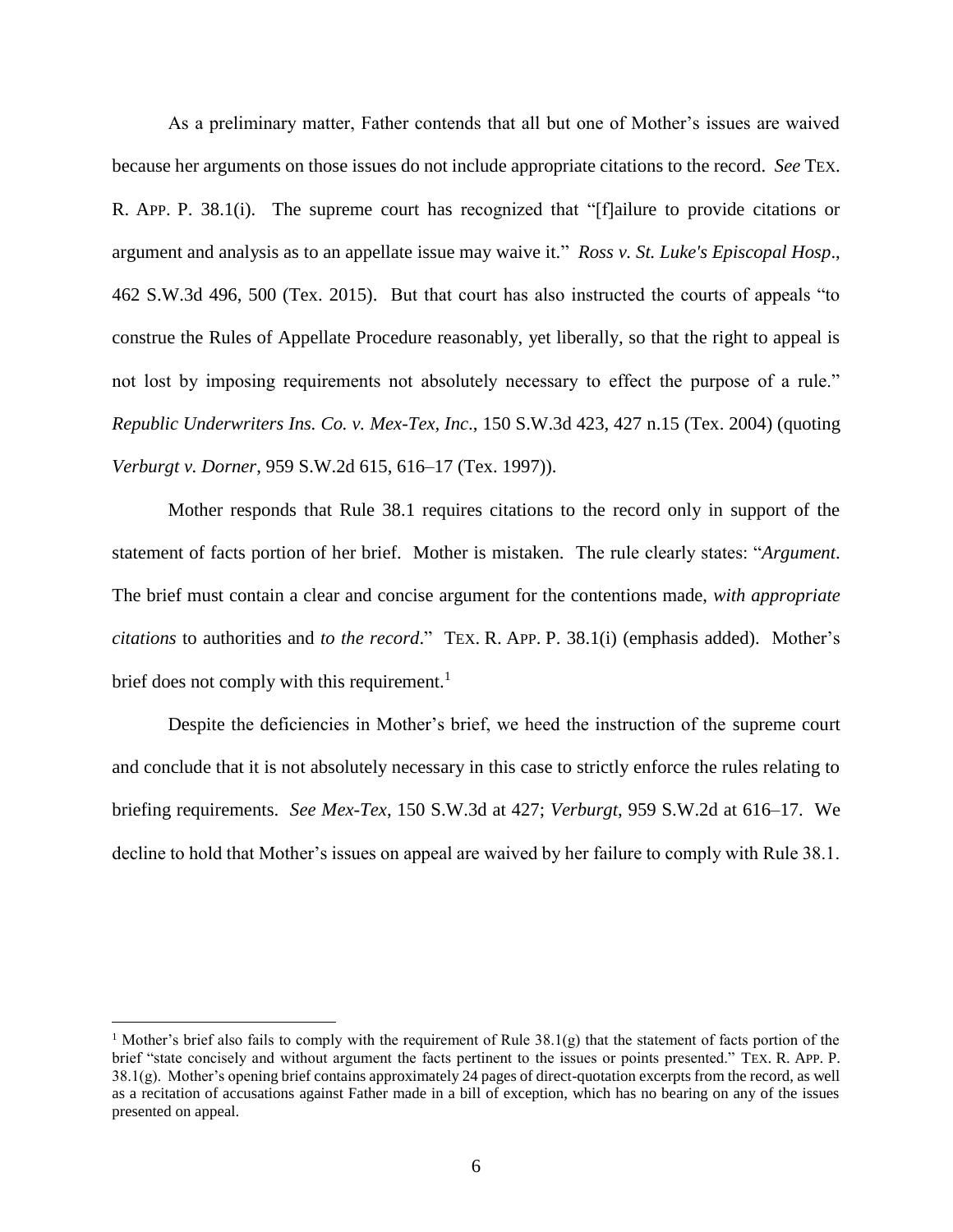As a preliminary matter, Father contends that all but one of Mother's issues are waived because her arguments on those issues do not include appropriate citations to the record. *See* TEX. R. APP. P. 38.1(i). The supreme court has recognized that "[f]ailure to provide citations or argument and analysis as to an appellate issue may waive it." *Ross v. St. Luke's Episcopal Hosp*., 462 S.W.3d 496, 500 (Tex. 2015). But that court has also instructed the courts of appeals "to construe the Rules of Appellate Procedure reasonably, yet liberally, so that the right to appeal is not lost by imposing requirements not absolutely necessary to effect the purpose of a rule." *Republic Underwriters Ins. Co. v. Mex-Tex, Inc*., 150 S.W.3d 423, 427 n.15 (Tex. 2004) (quoting *Verburgt v. Dorner*, 959 S.W.2d 615, 616–17 (Tex. 1997)).

Mother responds that Rule 38.1 requires citations to the record only in support of the statement of facts portion of her brief. Mother is mistaken. The rule clearly states: "*Argument*. The brief must contain a clear and concise argument for the contentions made, *with appropriate citations* to authorities and *to the record*." TEX. R. APP. P. 38.1(i) (emphasis added). Mother's brief does not comply with this requirement.<sup>1</sup>

Despite the deficiencies in Mother's brief, we heed the instruction of the supreme court and conclude that it is not absolutely necessary in this case to strictly enforce the rules relating to briefing requirements. *See Mex-Tex*, 150 S.W.3d at 427; *Verburgt*, 959 S.W.2d at 616–17. We decline to hold that Mother's issues on appeal are waived by her failure to comply with Rule 38.1.

 $\overline{a}$ 

<sup>&</sup>lt;sup>1</sup> Mother's brief also fails to comply with the requirement of Rule 38.1(g) that the statement of facts portion of the brief "state concisely and without argument the facts pertinent to the issues or points presented." TEX. R. APP. P. 38.1(g). Mother's opening brief contains approximately 24 pages of direct-quotation excerpts from the record, as well as a recitation of accusations against Father made in a bill of exception, which has no bearing on any of the issues presented on appeal.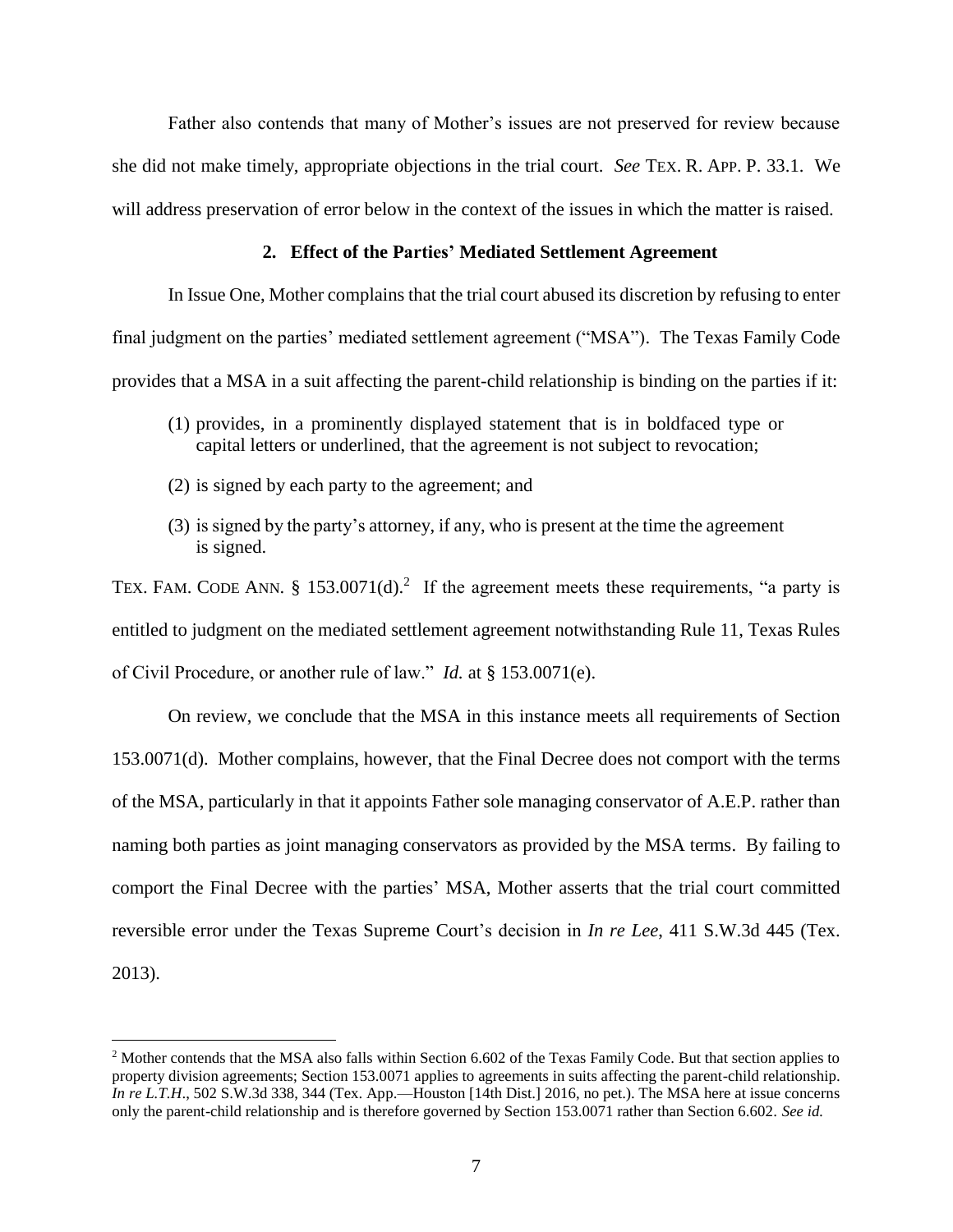Father also contends that many of Mother's issues are not preserved for review because she did not make timely, appropriate objections in the trial court. *See* TEX. R. APP. P. 33.1. We will address preservation of error below in the context of the issues in which the matter is raised.

## **2. Effect of the Parties' Mediated Settlement Agreement**

In Issue One, Mother complains that the trial court abused its discretion by refusing to enter final judgment on the parties' mediated settlement agreement ("MSA"). The Texas Family Code provides that a MSA in a suit affecting the parent-child relationship is binding on the parties if it:

- (1) provides, in a prominently displayed statement that is in boldfaced type or capital letters or underlined, that the agreement is not subject to revocation;
- (2) is signed by each party to the agreement; and

 $\overline{a}$ 

(3) is signed by the party's attorney, if any, who is present at the time the agreement is signed.

TEX. FAM. CODE ANN. § 153.0071(d).<sup>2</sup> If the agreement meets these requirements, "a party is entitled to judgment on the mediated settlement agreement notwithstanding Rule 11, Texas Rules of Civil Procedure, or another rule of law." *Id.* at § 153.0071(e).

On review, we conclude that the MSA in this instance meets all requirements of Section 153.0071(d). Mother complains, however, that the Final Decree does not comport with the terms of the MSA, particularly in that it appoints Father sole managing conservator of A.E.P. rather than naming both parties as joint managing conservators as provided by the MSA terms. By failing to comport the Final Decree with the parties' MSA, Mother asserts that the trial court committed reversible error under the Texas Supreme Court's decision in *In re Lee*, 411 S.W.3d 445 (Tex. 2013).

<sup>&</sup>lt;sup>2</sup> Mother contends that the MSA also falls within Section 6.602 of the Texas Family Code. But that section applies to property division agreements; Section 153.0071 applies to agreements in suits affecting the parent-child relationship. *In re L.T.H.*, 502 S.W.3d 338, 344 (Tex. App.—Houston [14th Dist.] 2016, no pet.). The MSA here at issue concerns only the parent-child relationship and is therefore governed by Section 153.0071 rather than Section 6.602. *See id.*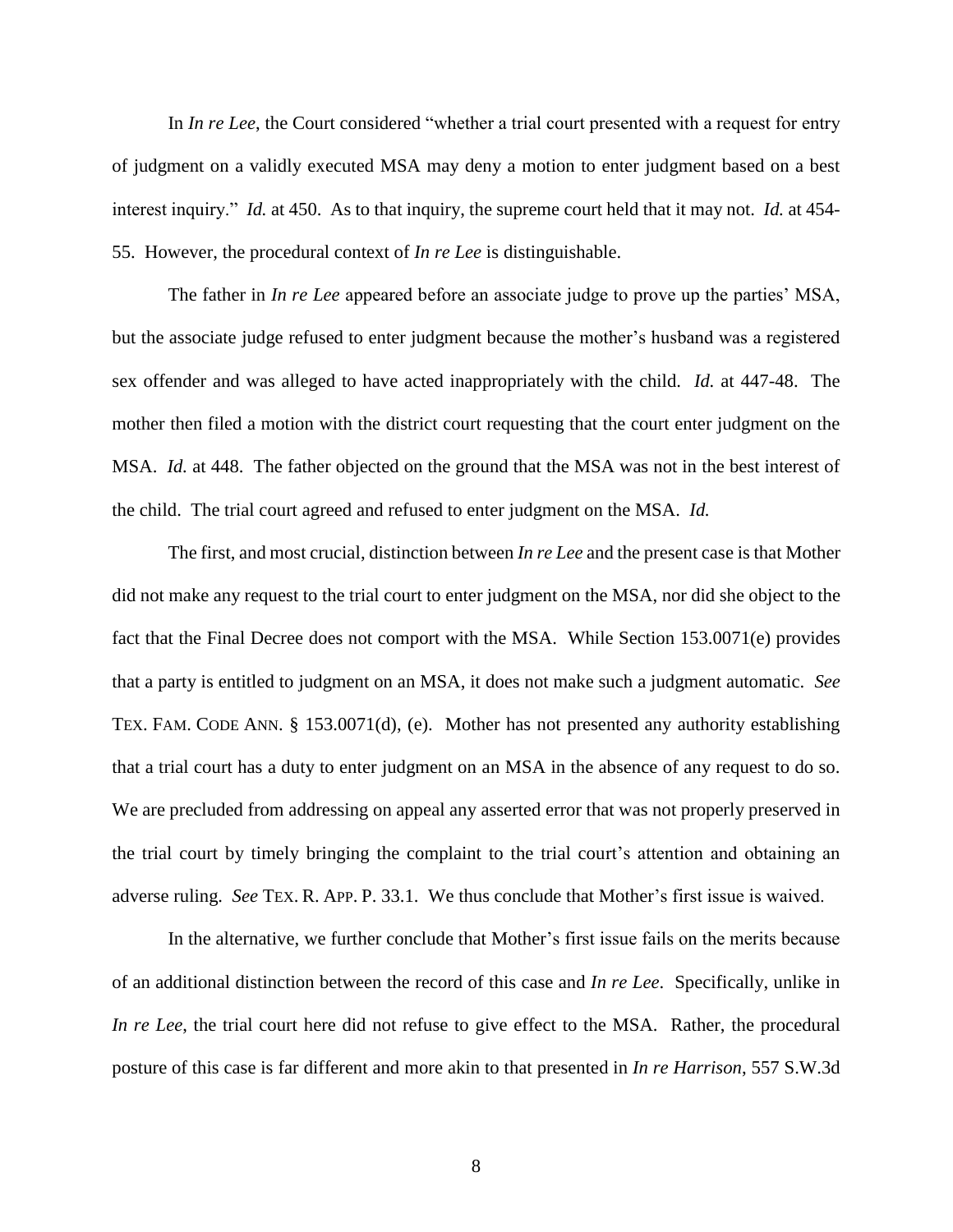In *In re Lee*, the Court considered "whether a trial court presented with a request for entry of judgment on a validly executed MSA may deny a motion to enter judgment based on a best interest inquiry." *Id.* at 450. As to that inquiry, the supreme court held that it may not. *Id.* at 454- 55. However, the procedural context of *In re Lee* is distinguishable.

The father in *In re Lee* appeared before an associate judge to prove up the parties' MSA, but the associate judge refused to enter judgment because the mother's husband was a registered sex offender and was alleged to have acted inappropriately with the child. *Id.* at 447-48. The mother then filed a motion with the district court requesting that the court enter judgment on the MSA. *Id.* at 448. The father objected on the ground that the MSA was not in the best interest of the child. The trial court agreed and refused to enter judgment on the MSA. *Id.*

The first, and most crucial, distinction between *In re Lee* and the present case is that Mother did not make any request to the trial court to enter judgment on the MSA, nor did she object to the fact that the Final Decree does not comport with the MSA. While Section 153.0071(e) provides that a party is entitled to judgment on an MSA, it does not make such a judgment automatic. *See* TEX. FAM. CODE ANN. § 153.0071(d), (e). Mother has not presented any authority establishing that a trial court has a duty to enter judgment on an MSA in the absence of any request to do so. We are precluded from addressing on appeal any asserted error that was not properly preserved in the trial court by timely bringing the complaint to the trial court's attention and obtaining an adverse ruling. *See* TEX. R. APP. P. 33.1. We thus conclude that Mother's first issue is waived.

In the alternative, we further conclude that Mother's first issue fails on the merits because of an additional distinction between the record of this case and *In re Lee*. Specifically, unlike in *In re Lee*, the trial court here did not refuse to give effect to the MSA. Rather, the procedural posture of this case is far different and more akin to that presented in *In re Harrison*, 557 S.W.3d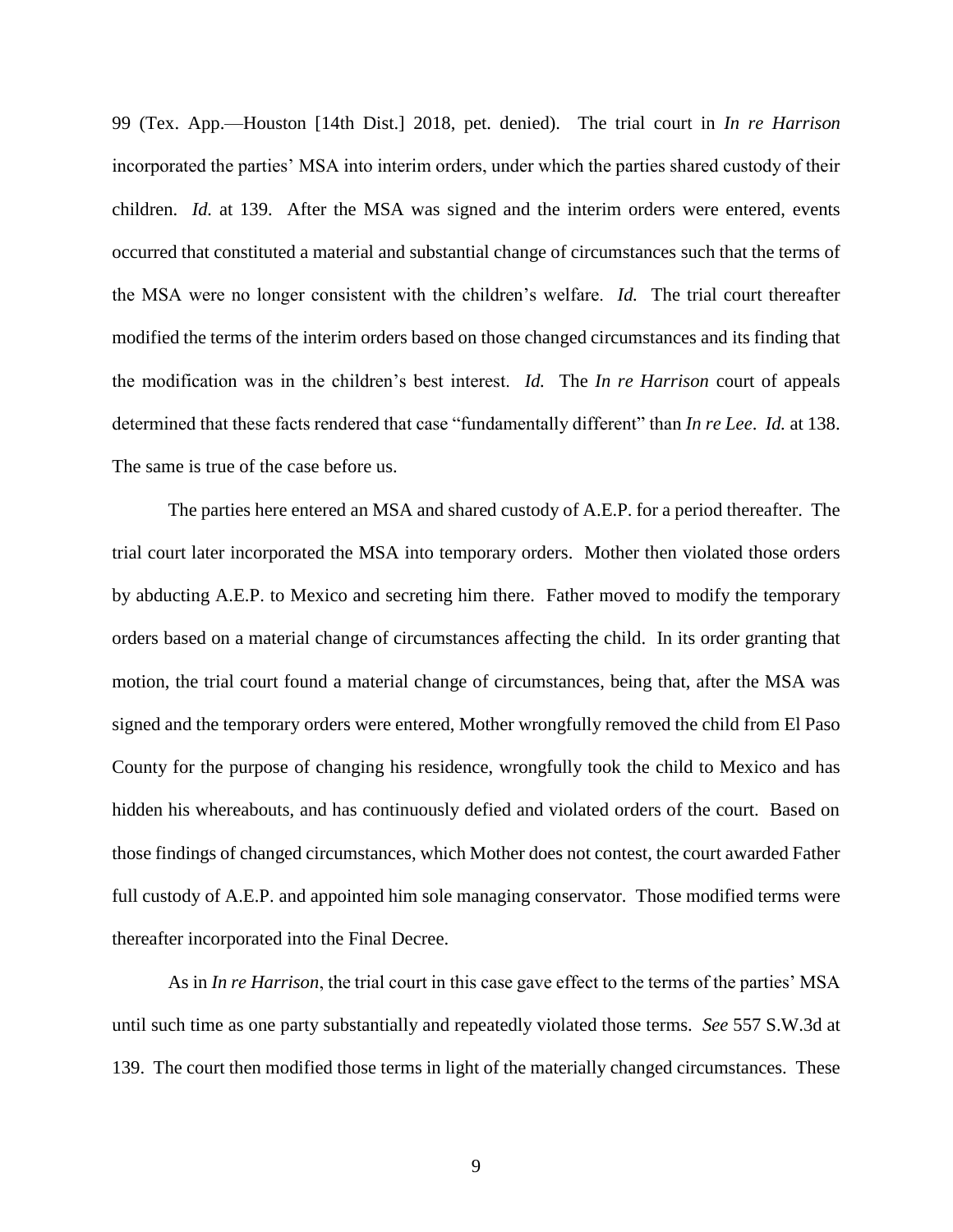99 (Tex. App.—Houston [14th Dist.] 2018, pet. denied). The trial court in *In re Harrison* incorporated the parties' MSA into interim orders, under which the parties shared custody of their children. *Id.* at 139. After the MSA was signed and the interim orders were entered, events occurred that constituted a material and substantial change of circumstances such that the terms of the MSA were no longer consistent with the children's welfare. *Id.* The trial court thereafter modified the terms of the interim orders based on those changed circumstances and its finding that the modification was in the children's best interest. *Id.* The *In re Harrison* court of appeals determined that these facts rendered that case "fundamentally different" than *In re Lee*. *Id.* at 138. The same is true of the case before us.

The parties here entered an MSA and shared custody of A.E.P. for a period thereafter. The trial court later incorporated the MSA into temporary orders. Mother then violated those orders by abducting A.E.P. to Mexico and secreting him there. Father moved to modify the temporary orders based on a material change of circumstances affecting the child. In its order granting that motion, the trial court found a material change of circumstances, being that, after the MSA was signed and the temporary orders were entered, Mother wrongfully removed the child from El Paso County for the purpose of changing his residence, wrongfully took the child to Mexico and has hidden his whereabouts, and has continuously defied and violated orders of the court. Based on those findings of changed circumstances, which Mother does not contest, the court awarded Father full custody of A.E.P. and appointed him sole managing conservator. Those modified terms were thereafter incorporated into the Final Decree.

As in *In re Harrison*, the trial court in this case gave effect to the terms of the parties' MSA until such time as one party substantially and repeatedly violated those terms. *See* 557 S.W.3d at 139. The court then modified those terms in light of the materially changed circumstances. These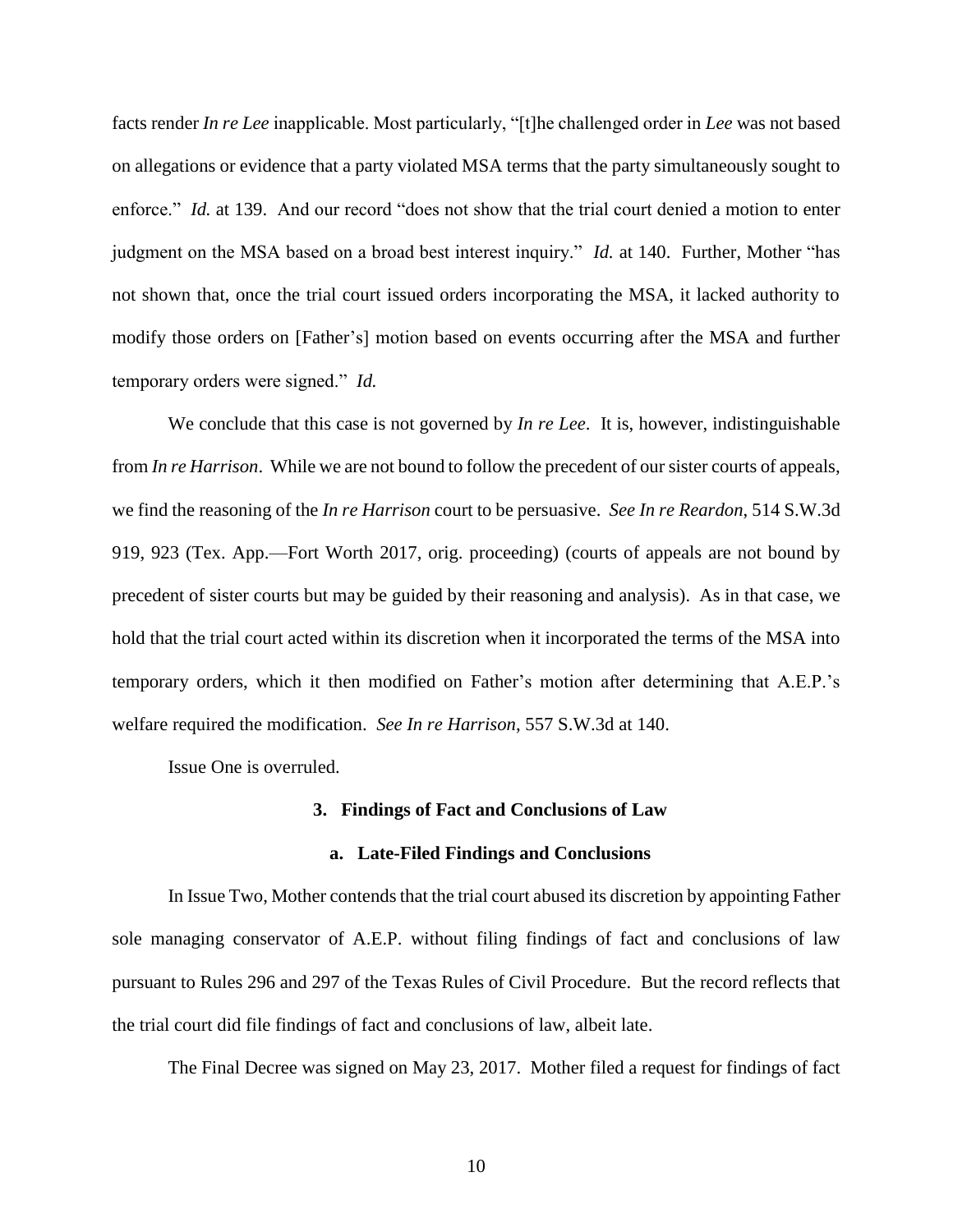facts render *In re Lee* inapplicable. Most particularly, "[t]he challenged order in *Lee* was not based on allegations or evidence that a party violated MSA terms that the party simultaneously sought to enforce." *Id.* at 139. And our record "does not show that the trial court denied a motion to enter judgment on the MSA based on a broad best interest inquiry." *Id.* at 140. Further, Mother "has not shown that, once the trial court issued orders incorporating the MSA, it lacked authority to modify those orders on [Father's] motion based on events occurring after the MSA and further temporary orders were signed." *Id.*

We conclude that this case is not governed by *In re Lee*. It is, however, indistinguishable from *In re Harrison*. While we are not bound to follow the precedent of our sister courts of appeals, we find the reasoning of the *In re Harrison* court to be persuasive. *See In re Reardon*, 514 S.W.3d 919, 923 (Tex. App.—Fort Worth 2017, orig. proceeding) (courts of appeals are not bound by precedent of sister courts but may be guided by their reasoning and analysis). As in that case, we hold that the trial court acted within its discretion when it incorporated the terms of the MSA into temporary orders, which it then modified on Father's motion after determining that A.E.P.'s welfare required the modification. *See In re Harrison*, 557 S.W.3d at 140.

Issue One is overruled.

### **3. Findings of Fact and Conclusions of Law**

#### **a. Late-Filed Findings and Conclusions**

In Issue Two, Mother contends that the trial court abused its discretion by appointing Father sole managing conservator of A.E.P. without filing findings of fact and conclusions of law pursuant to Rules 296 and 297 of the Texas Rules of Civil Procedure. But the record reflects that the trial court did file findings of fact and conclusions of law, albeit late.

The Final Decree was signed on May 23, 2017. Mother filed a request for findings of fact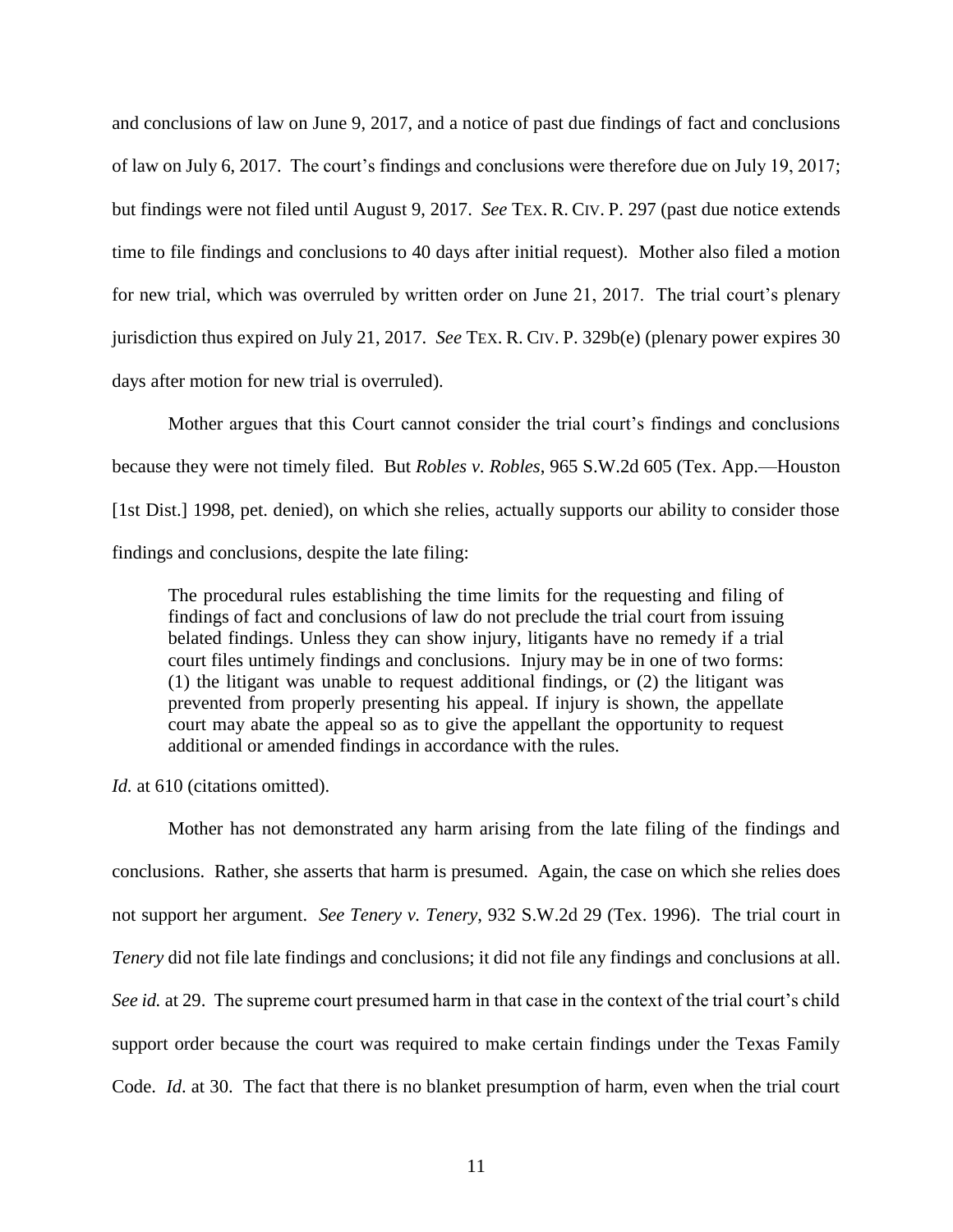and conclusions of law on June 9, 2017, and a notice of past due findings of fact and conclusions of law on July 6, 2017. The court's findings and conclusions were therefore due on July 19, 2017; but findings were not filed until August 9, 2017. *See* TEX. R. CIV. P. 297 (past due notice extends time to file findings and conclusions to 40 days after initial request). Mother also filed a motion for new trial, which was overruled by written order on June 21, 2017. The trial court's plenary jurisdiction thus expired on July 21, 2017. *See* TEX. R. CIV. P. 329b(e) (plenary power expires 30 days after motion for new trial is overruled).

Mother argues that this Court cannot consider the trial court's findings and conclusions because they were not timely filed. But *Robles v. Robles*, 965 S.W.2d 605 (Tex. App.—Houston [1st Dist.] 1998, pet. denied), on which she relies, actually supports our ability to consider those findings and conclusions, despite the late filing:

The procedural rules establishing the time limits for the requesting and filing of findings of fact and conclusions of law do not preclude the trial court from issuing belated findings. Unless they can show injury, litigants have no remedy if a trial court files untimely findings and conclusions. Injury may be in one of two forms: (1) the litigant was unable to request additional findings, or (2) the litigant was prevented from properly presenting his appeal. If injury is shown, the appellate court may abate the appeal so as to give the appellant the opportunity to request additional or amended findings in accordance with the rules.

*Id.* at 610 (citations omitted).

Mother has not demonstrated any harm arising from the late filing of the findings and conclusions. Rather, she asserts that harm is presumed. Again, the case on which she relies does not support her argument. *See Tenery v. Tenery*, 932 S.W.2d 29 (Tex. 1996). The trial court in *Tenery* did not file late findings and conclusions; it did not file any findings and conclusions at all. *See id.* at 29. The supreme court presumed harm in that case in the context of the trial court's child support order because the court was required to make certain findings under the Texas Family Code. *Id*. at 30. The fact that there is no blanket presumption of harm, even when the trial court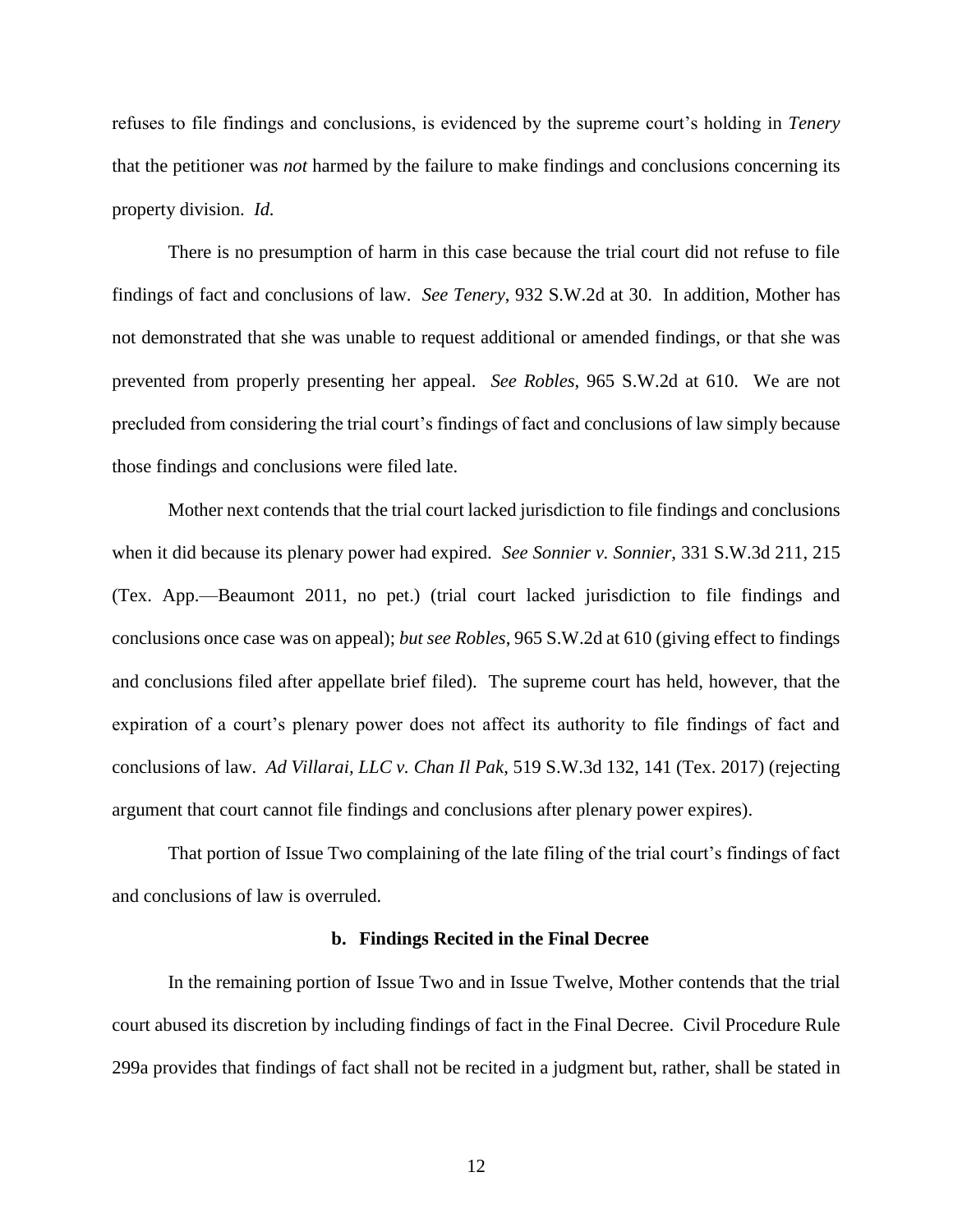refuses to file findings and conclusions, is evidenced by the supreme court's holding in *Tenery*  that the petitioner was *not* harmed by the failure to make findings and conclusions concerning its property division. *Id.*

There is no presumption of harm in this case because the trial court did not refuse to file findings of fact and conclusions of law. *See Tenery*, 932 S.W.2d at 30. In addition, Mother has not demonstrated that she was unable to request additional or amended findings, or that she was prevented from properly presenting her appeal. *See Robles*, 965 S.W.2d at 610. We are not precluded from considering the trial court's findings of fact and conclusions of law simply because those findings and conclusions were filed late.

Mother next contends that the trial court lacked jurisdiction to file findings and conclusions when it did because its plenary power had expired. *See Sonnier v. Sonnier*, 331 S.W.3d 211, 215 (Tex. App.—Beaumont 2011, no pet.) (trial court lacked jurisdiction to file findings and conclusions once case was on appeal); *but see Robles*, 965 S.W.2d at 610 (giving effect to findings and conclusions filed after appellate brief filed). The supreme court has held, however, that the expiration of a court's plenary power does not affect its authority to file findings of fact and conclusions of law. *Ad Villarai, LLC v. Chan Il Pak*, 519 S.W.3d 132, 141 (Tex. 2017) (rejecting argument that court cannot file findings and conclusions after plenary power expires).

That portion of Issue Two complaining of the late filing of the trial court's findings of fact and conclusions of law is overruled.

#### **b. Findings Recited in the Final Decree**

In the remaining portion of Issue Two and in Issue Twelve, Mother contends that the trial court abused its discretion by including findings of fact in the Final Decree. Civil Procedure Rule 299a provides that findings of fact shall not be recited in a judgment but, rather, shall be stated in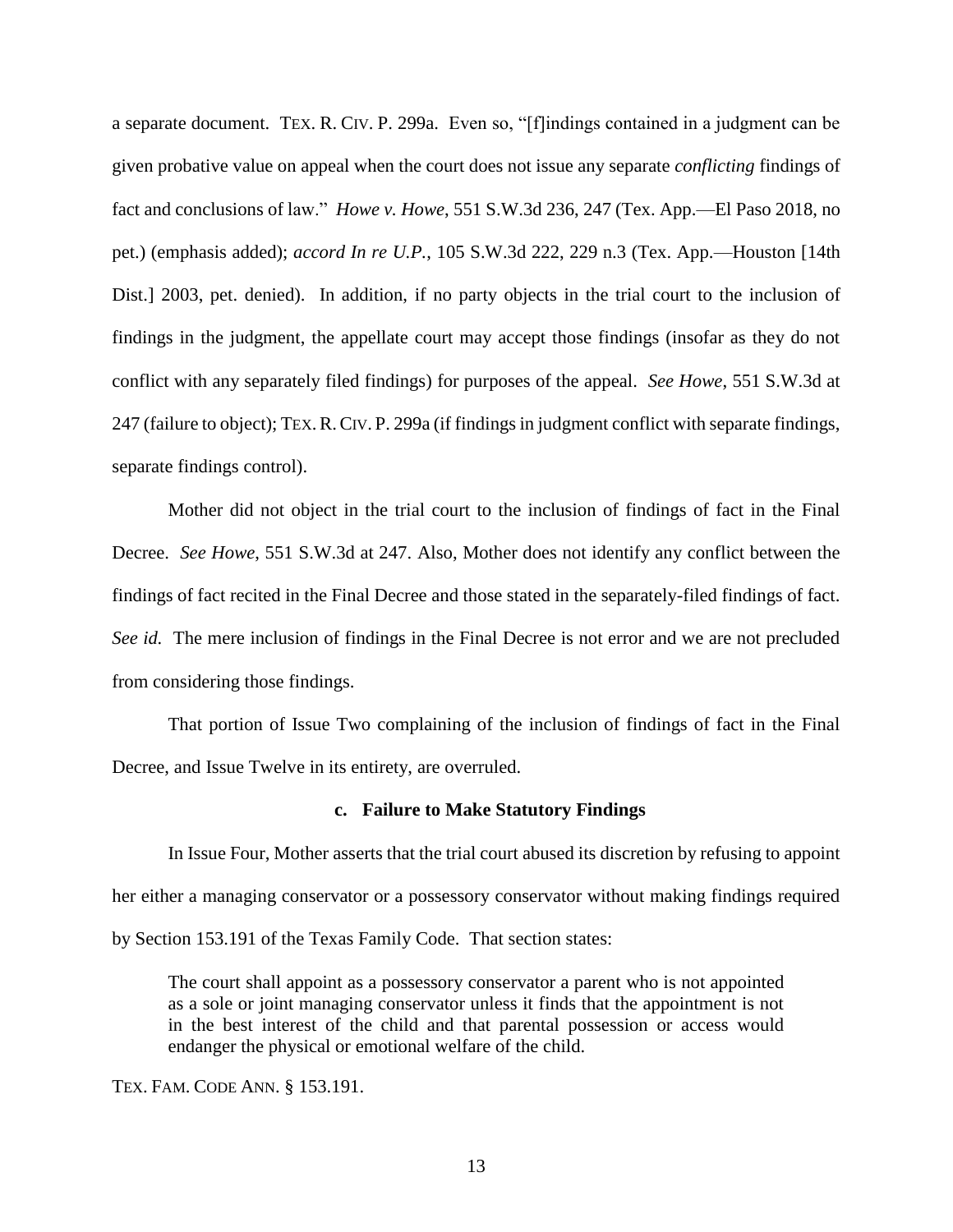a separate document. TEX. R. CIV. P. 299a. Even so, "[f]indings contained in a judgment can be given probative value on appeal when the court does not issue any separate *conflicting* findings of fact and conclusions of law." *Howe v. Howe*, 551 S.W.3d 236, 247 (Tex. App.—El Paso 2018, no pet.) (emphasis added); *accord In re U.P.*, 105 S.W.3d 222, 229 n.3 (Tex. App.—Houston [14th Dist.] 2003, pet. denied). In addition, if no party objects in the trial court to the inclusion of findings in the judgment, the appellate court may accept those findings (insofar as they do not conflict with any separately filed findings) for purposes of the appeal. *See Howe*, 551 S.W.3d at 247 (failure to object); TEX.R.CIV. P. 299a (if findings in judgment conflict with separate findings, separate findings control).

Mother did not object in the trial court to the inclusion of findings of fact in the Final Decree. *See Howe*, 551 S.W.3d at 247. Also, Mother does not identify any conflict between the findings of fact recited in the Final Decree and those stated in the separately-filed findings of fact. *See id.* The mere inclusion of findings in the Final Decree is not error and we are not precluded from considering those findings.

That portion of Issue Two complaining of the inclusion of findings of fact in the Final Decree, and Issue Twelve in its entirety, are overruled.

#### **c. Failure to Make Statutory Findings**

In Issue Four, Mother asserts that the trial court abused its discretion by refusing to appoint her either a managing conservator or a possessory conservator without making findings required by Section 153.191 of the Texas Family Code. That section states:

The court shall appoint as a possessory conservator a parent who is not appointed as a sole or joint managing conservator unless it finds that the appointment is not in the best interest of the child and that parental possession or access would endanger the physical or emotional welfare of the child.

TEX. FAM. CODE ANN. § 153.191.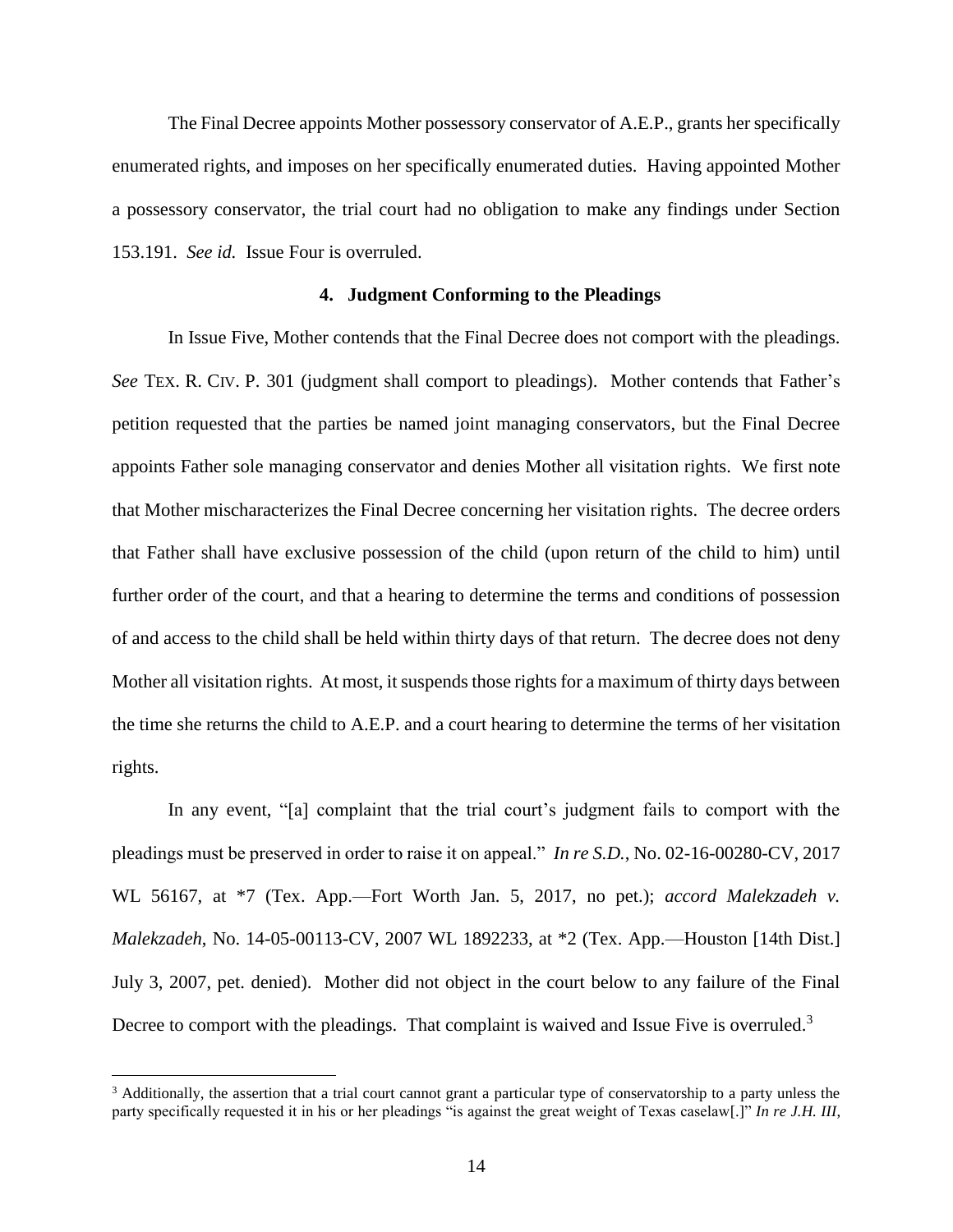The Final Decree appoints Mother possessory conservator of A.E.P., grants her specifically enumerated rights, and imposes on her specifically enumerated duties. Having appointed Mother a possessory conservator, the trial court had no obligation to make any findings under Section 153.191. *See id.* Issue Four is overruled.

## **4. Judgment Conforming to the Pleadings**

In Issue Five, Mother contends that the Final Decree does not comport with the pleadings. *See* TEX. R. CIV. P. 301 (judgment shall comport to pleadings). Mother contends that Father's petition requested that the parties be named joint managing conservators, but the Final Decree appoints Father sole managing conservator and denies Mother all visitation rights. We first note that Mother mischaracterizes the Final Decree concerning her visitation rights. The decree orders that Father shall have exclusive possession of the child (upon return of the child to him) until further order of the court, and that a hearing to determine the terms and conditions of possession of and access to the child shall be held within thirty days of that return. The decree does not deny Mother all visitation rights. At most, it suspends those rights for a maximum of thirty days between the time she returns the child to A.E.P. and a court hearing to determine the terms of her visitation rights.

In any event, "[a] complaint that the trial court's judgment fails to comport with the pleadings must be preserved in order to raise it on appeal." *In re S.D.*, No. 02-16-00280-CV, 2017 WL 56167, at \*7 (Tex. App.—Fort Worth Jan. 5, 2017, no pet.); *accord Malekzadeh v. Malekzadeh*, No. 14-05-00113-CV, 2007 WL 1892233, at \*2 (Tex. App.—Houston [14th Dist.] July 3, 2007, pet. denied). Mother did not object in the court below to any failure of the Final Decree to comport with the pleadings. That complaint is waived and Issue Five is overruled.<sup>3</sup>

 $\overline{a}$ 

<sup>3</sup> Additionally, the assertion that a trial court cannot grant a particular type of conservatorship to a party unless the party specifically requested it in his or her pleadings "is against the great weight of Texas caselaw[.]" *In re J.H. III*,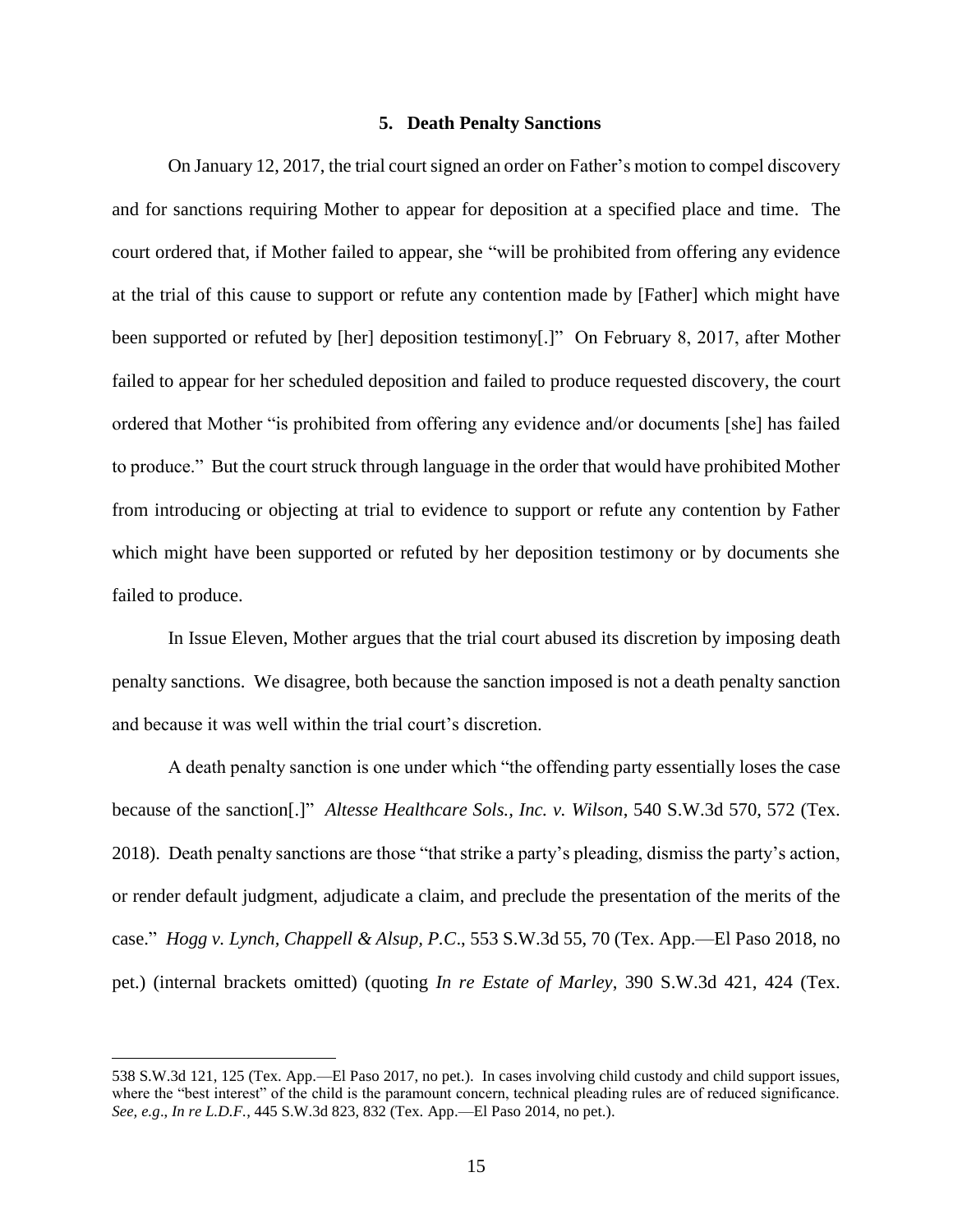### **5. Death Penalty Sanctions**

On January 12, 2017, the trial court signed an order on Father's motion to compel discovery and for sanctions requiring Mother to appear for deposition at a specified place and time. The court ordered that, if Mother failed to appear, she "will be prohibited from offering any evidence at the trial of this cause to support or refute any contention made by [Father] which might have been supported or refuted by [her] deposition testimony[.]" On February 8, 2017, after Mother failed to appear for her scheduled deposition and failed to produce requested discovery, the court ordered that Mother "is prohibited from offering any evidence and/or documents [she] has failed to produce." But the court struck through language in the order that would have prohibited Mother from introducing or objecting at trial to evidence to support or refute any contention by Father which might have been supported or refuted by her deposition testimony or by documents she failed to produce.

In Issue Eleven, Mother argues that the trial court abused its discretion by imposing death penalty sanctions. We disagree, both because the sanction imposed is not a death penalty sanction and because it was well within the trial court's discretion.

A death penalty sanction is one under which "the offending party essentially loses the case because of the sanction[.]" *Altesse Healthcare Sols., Inc. v. Wilson*, 540 S.W.3d 570, 572 (Tex. 2018). Death penalty sanctions are those "that strike a party's pleading, dismiss the party's action, or render default judgment, adjudicate a claim, and preclude the presentation of the merits of the case." *Hogg v. Lynch, Chappell & Alsup, P.C*., 553 S.W.3d 55, 70 (Tex. App.—El Paso 2018, no pet.) (internal brackets omitted) (quoting *In re Estate of Marley*, 390 S.W.3d 421, 424 (Tex.

 $\overline{a}$ 

<sup>538</sup> S.W.3d 121, 125 (Tex. App.—El Paso 2017, no pet.). In cases involving child custody and child support issues, where the "best interest" of the child is the paramount concern, technical pleading rules are of reduced significance. *See, e.g*., *In re L.D.F.*, 445 S.W.3d 823, 832 (Tex. App.—El Paso 2014, no pet.).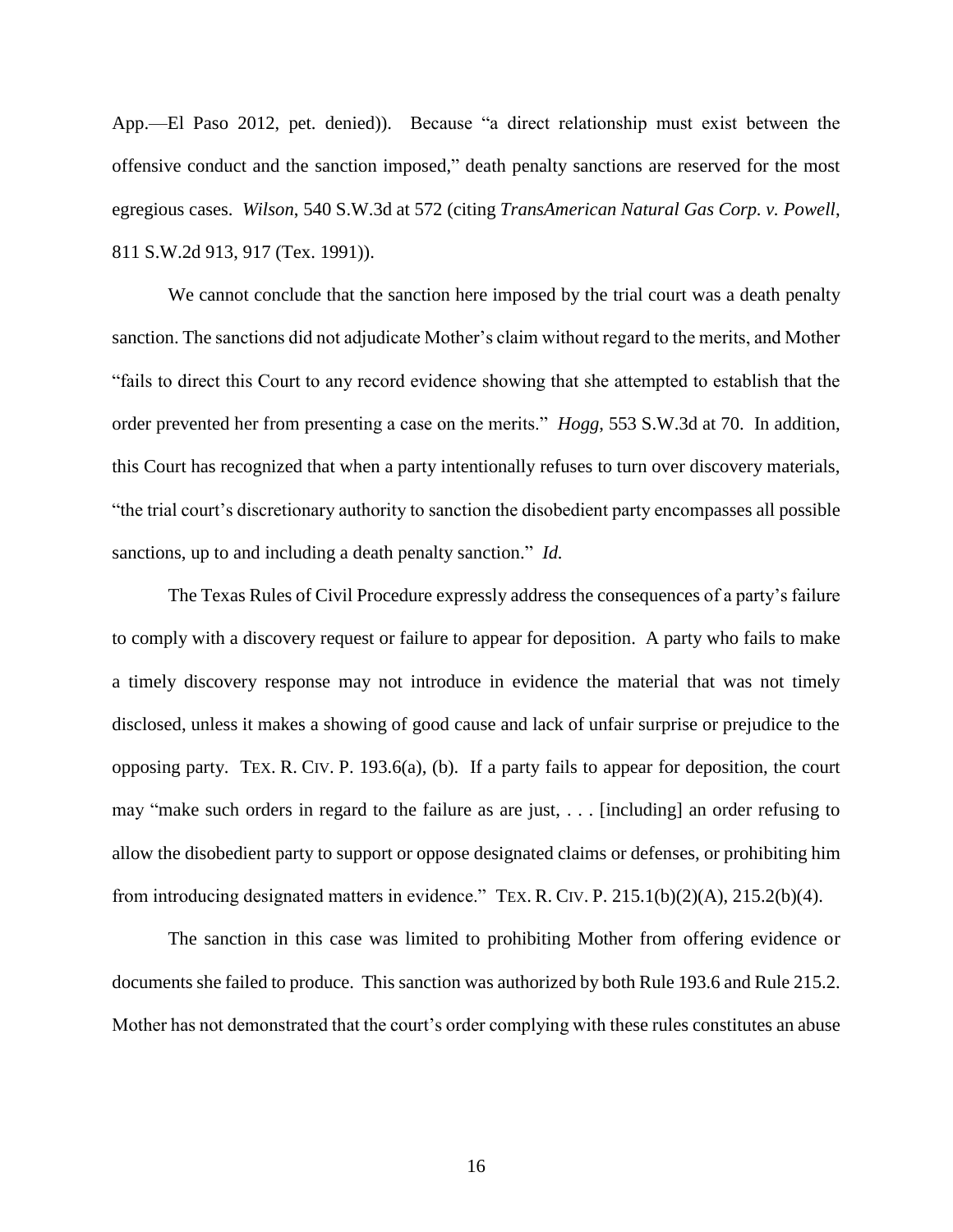App.—El Paso 2012, pet. denied)). Because "a direct relationship must exist between the offensive conduct and the sanction imposed," death penalty sanctions are reserved for the most egregious cases. *Wilson*, 540 S.W.3d at 572 (citing *TransAmerican Natural Gas Corp. v. Powell*, 811 S.W.2d 913, 917 (Tex. 1991)).

We cannot conclude that the sanction here imposed by the trial court was a death penalty sanction. The sanctions did not adjudicate Mother's claim without regard to the merits, and Mother "fails to direct this Court to any record evidence showing that she attempted to establish that the order prevented her from presenting a case on the merits." *Hogg*, 553 S.W.3d at 70. In addition, this Court has recognized that when a party intentionally refuses to turn over discovery materials, "the trial court's discretionary authority to sanction the disobedient party encompasses all possible sanctions, up to and including a death penalty sanction." *Id.*

The Texas Rules of Civil Procedure expressly address the consequences of a party's failure to comply with a discovery request or failure to appear for deposition. A party who fails to make a timely discovery response may not introduce in evidence the material that was not timely disclosed, unless it makes a showing of good cause and lack of unfair surprise or prejudice to the opposing party. TEX. R. CIV. P. 193.6(a), (b). If a party fails to appear for deposition, the court may "make such orders in regard to the failure as are just, . . . [including] an order refusing to allow the disobedient party to support or oppose designated claims or defenses, or prohibiting him from introducing designated matters in evidence." TEX. R. CIV. P. 215.1(b)(2)(A), 215.2(b)(4).

The sanction in this case was limited to prohibiting Mother from offering evidence or documents she failed to produce. This sanction was authorized by both Rule 193.6 and Rule 215.2. Mother has not demonstrated that the court's order complying with these rules constitutes an abuse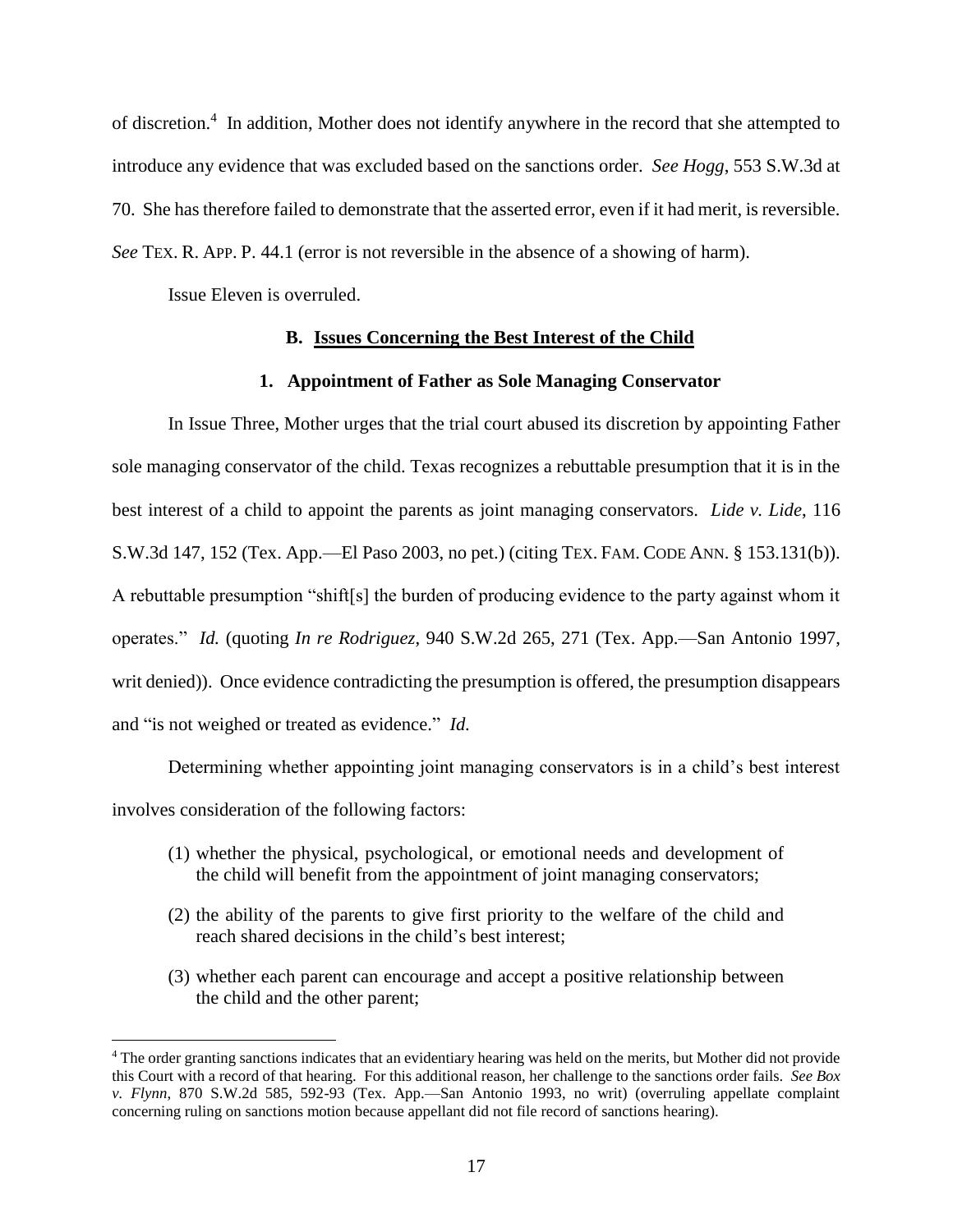of discretion.<sup>4</sup> In addition, Mother does not identify anywhere in the record that she attempted to introduce any evidence that was excluded based on the sanctions order. *See Hogg*, 553 S.W.3d at 70. She has therefore failed to demonstrate that the asserted error, even if it had merit, is reversible. *See* TEX. R. APP. P. 44.1 (error is not reversible in the absence of a showing of harm).

Issue Eleven is overruled.

 $\overline{a}$ 

## **B. Issues Concerning the Best Interest of the Child**

## **1. Appointment of Father as Sole Managing Conservator**

In Issue Three, Mother urges that the trial court abused its discretion by appointing Father sole managing conservator of the child. Texas recognizes a rebuttable presumption that it is in the best interest of a child to appoint the parents as joint managing conservators. *Lide v. Lide*, 116 S.W.3d 147, 152 (Tex. App.—El Paso 2003, no pet.) (citing TEX. FAM. CODE ANN. § 153.131(b)). A rebuttable presumption "shift[s] the burden of producing evidence to the party against whom it operates." *Id.* (quoting *In re Rodriguez*, 940 S.W.2d 265, 271 (Tex. App.—San Antonio 1997, writ denied)). Once evidence contradicting the presumption is offered, the presumption disappears and "is not weighed or treated as evidence." *Id.*

Determining whether appointing joint managing conservators is in a child's best interest involves consideration of the following factors:

- (1) whether the physical, psychological, or emotional needs and development of the child will benefit from the appointment of joint managing conservators;
- (2) the ability of the parents to give first priority to the welfare of the child and reach shared decisions in the child's best interest;
- (3) whether each parent can encourage and accept a positive relationship between the child and the other parent;

<sup>4</sup> The order granting sanctions indicates that an evidentiary hearing was held on the merits, but Mother did not provide this Court with a record of that hearing. For this additional reason, her challenge to the sanctions order fails. *See Box v. Flynn*, 870 S.W.2d 585, 592-93 (Tex. App.—San Antonio 1993, no writ) (overruling appellate complaint concerning ruling on sanctions motion because appellant did not file record of sanctions hearing).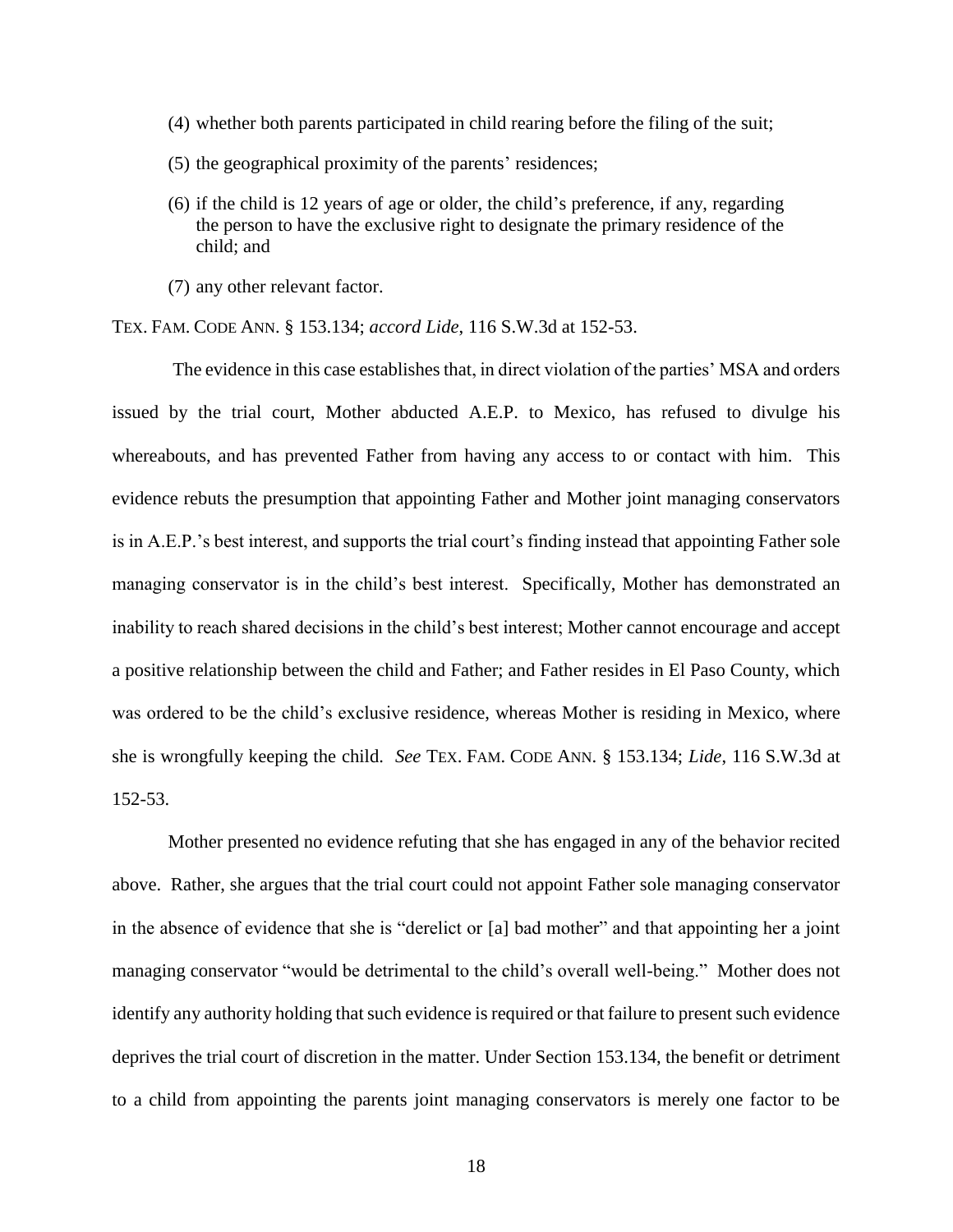- (4) whether both parents participated in child rearing before the filing of the suit;
- (5) the geographical proximity of the parents' residences;
- (6) if the child is 12 years of age or older, the child's preference, if any, regarding the person to have the exclusive right to designate the primary residence of the child; and
- (7) any other relevant factor.

TEX. FAM. CODE ANN. § 153.134; *accord Lide*, 116 S.W.3d at 152-53.

The evidence in this case establishes that, in direct violation of the parties' MSA and orders issued by the trial court, Mother abducted A.E.P. to Mexico, has refused to divulge his whereabouts, and has prevented Father from having any access to or contact with him. This evidence rebuts the presumption that appointing Father and Mother joint managing conservators is in A.E.P.'s best interest, and supports the trial court's finding instead that appointing Father sole managing conservator is in the child's best interest. Specifically, Mother has demonstrated an inability to reach shared decisions in the child's best interest; Mother cannot encourage and accept a positive relationship between the child and Father; and Father resides in El Paso County, which was ordered to be the child's exclusive residence, whereas Mother is residing in Mexico, where she is wrongfully keeping the child. *See* TEX. FAM. CODE ANN. § 153.134; *Lide*, 116 S.W.3d at 152-53.

Mother presented no evidence refuting that she has engaged in any of the behavior recited above. Rather, she argues that the trial court could not appoint Father sole managing conservator in the absence of evidence that she is "derelict or [a] bad mother" and that appointing her a joint managing conservator "would be detrimental to the child's overall well-being." Mother does not identify any authority holding that such evidence is required or that failure to present such evidence deprives the trial court of discretion in the matter. Under Section 153.134, the benefit or detriment to a child from appointing the parents joint managing conservators is merely one factor to be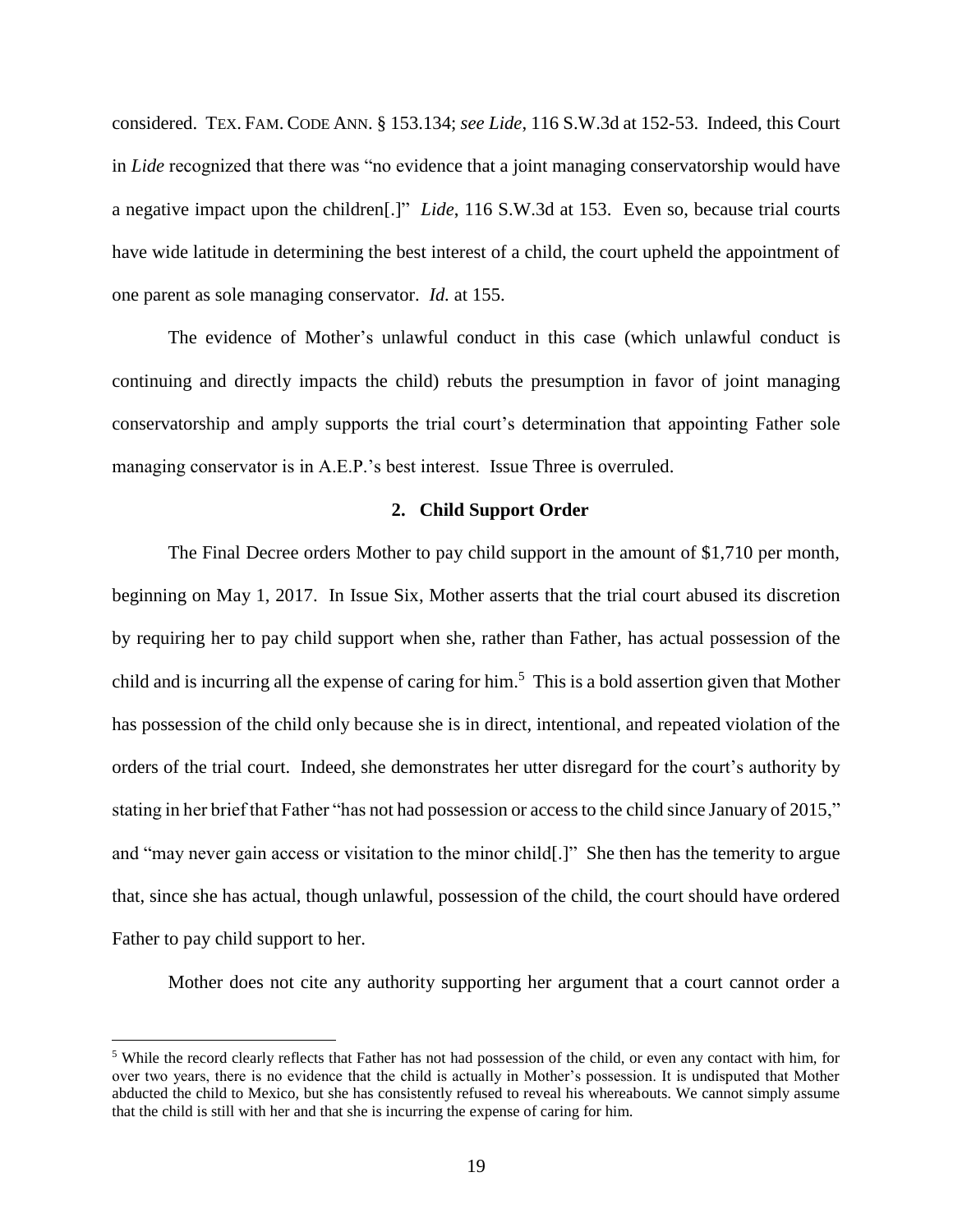considered. TEX. FAM. CODE ANN. § 153.134; *see Lide*, 116 S.W.3d at 152-53. Indeed, this Court in *Lide* recognized that there was "no evidence that a joint managing conservatorship would have a negative impact upon the children[.]" *Lide*, 116 S.W.3d at 153. Even so, because trial courts have wide latitude in determining the best interest of a child, the court upheld the appointment of one parent as sole managing conservator. *Id.* at 155.

The evidence of Mother's unlawful conduct in this case (which unlawful conduct is continuing and directly impacts the child) rebuts the presumption in favor of joint managing conservatorship and amply supports the trial court's determination that appointing Father sole managing conservator is in A.E.P.'s best interest. Issue Three is overruled.

### **2. Child Support Order**

The Final Decree orders Mother to pay child support in the amount of \$1,710 per month, beginning on May 1, 2017. In Issue Six, Mother asserts that the trial court abused its discretion by requiring her to pay child support when she, rather than Father, has actual possession of the child and is incurring all the expense of caring for him. <sup>5</sup> This is a bold assertion given that Mother has possession of the child only because she is in direct, intentional, and repeated violation of the orders of the trial court. Indeed, she demonstrates her utter disregard for the court's authority by stating in her brief that Father "has not had possession or access to the child since January of 2015," and "may never gain access or visitation to the minor child[.]" She then has the temerity to argue that, since she has actual, though unlawful, possession of the child, the court should have ordered Father to pay child support to her.

Mother does not cite any authority supporting her argument that a court cannot order a

 $\overline{a}$ 

<sup>&</sup>lt;sup>5</sup> While the record clearly reflects that Father has not had possession of the child, or even any contact with him, for over two years, there is no evidence that the child is actually in Mother's possession. It is undisputed that Mother abducted the child to Mexico, but she has consistently refused to reveal his whereabouts. We cannot simply assume that the child is still with her and that she is incurring the expense of caring for him.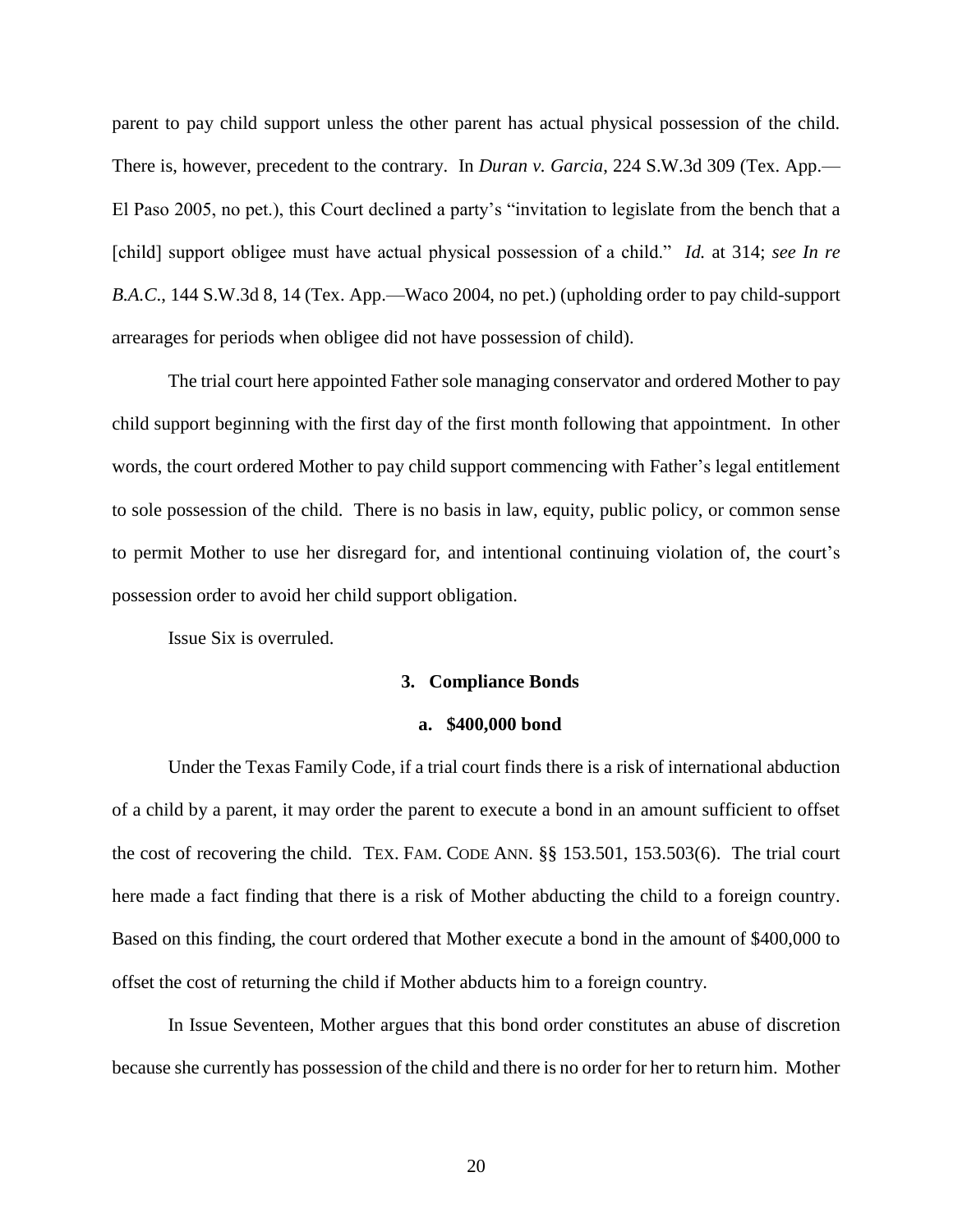parent to pay child support unless the other parent has actual physical possession of the child. There is, however, precedent to the contrary. In *Duran v. Garcia*, 224 S.W.3d 309 (Tex. App.— El Paso 2005, no pet.), this Court declined a party's "invitation to legislate from the bench that a [child] support obligee must have actual physical possession of a child." *Id.* at 314; *see In re B.A.C*., 144 S.W.3d 8, 14 (Tex. App.—Waco 2004, no pet.) (upholding order to pay child-support arrearages for periods when obligee did not have possession of child).

The trial court here appointed Father sole managing conservator and ordered Mother to pay child support beginning with the first day of the first month following that appointment. In other words, the court ordered Mother to pay child support commencing with Father's legal entitlement to sole possession of the child. There is no basis in law, equity, public policy, or common sense to permit Mother to use her disregard for, and intentional continuing violation of, the court's possession order to avoid her child support obligation.

Issue Six is overruled.

### **3. Compliance Bonds**

## **a. \$400,000 bond**

Under the Texas Family Code, if a trial court finds there is a risk of international abduction of a child by a parent, it may order the parent to execute a bond in an amount sufficient to offset the cost of recovering the child. TEX. FAM. CODE ANN. §§ 153.501, 153.503(6). The trial court here made a fact finding that there is a risk of Mother abducting the child to a foreign country. Based on this finding, the court ordered that Mother execute a bond in the amount of \$400,000 to offset the cost of returning the child if Mother abducts him to a foreign country.

In Issue Seventeen, Mother argues that this bond order constitutes an abuse of discretion because she currently has possession of the child and there is no order for her to return him. Mother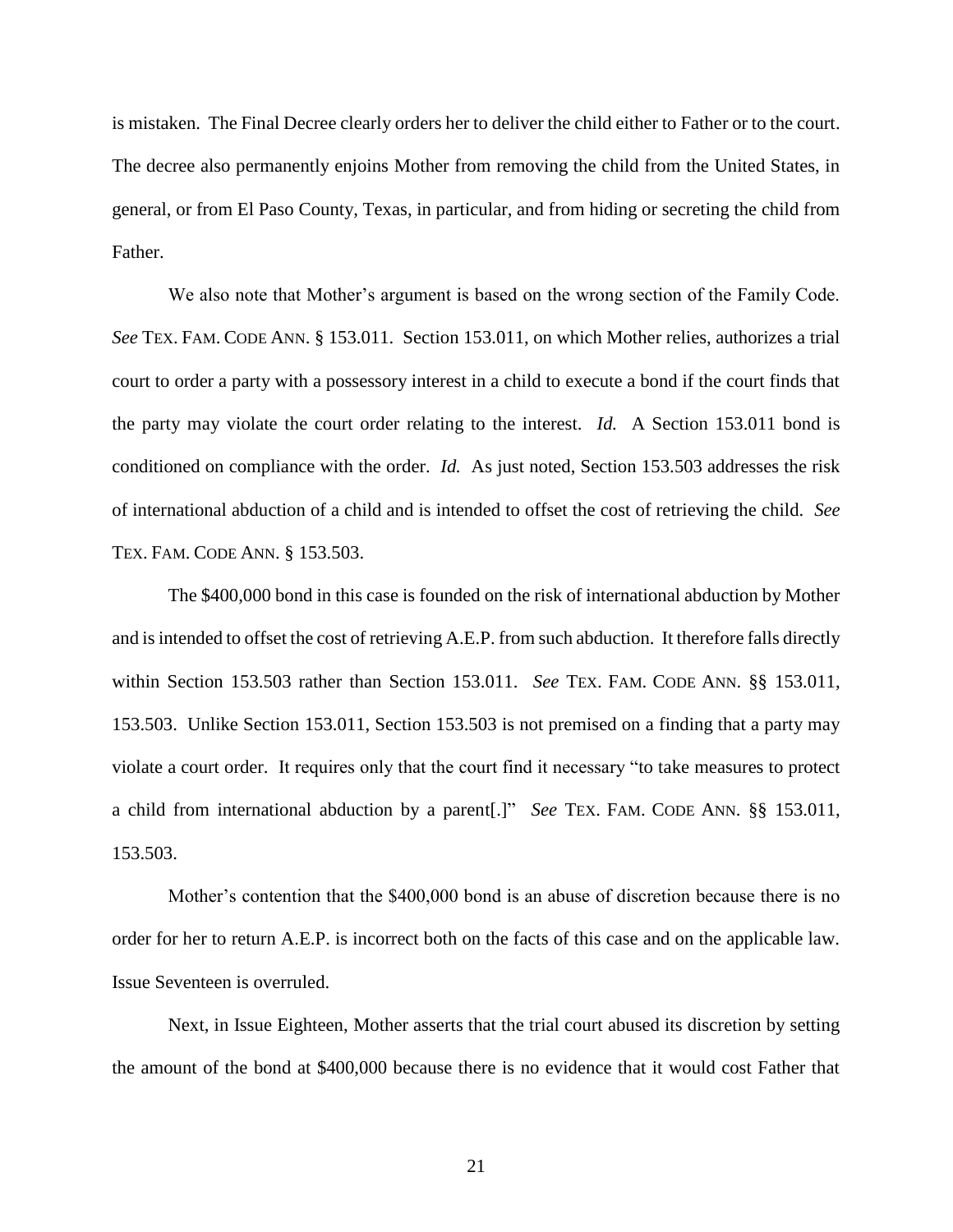is mistaken. The Final Decree clearly orders her to deliver the child either to Father or to the court. The decree also permanently enjoins Mother from removing the child from the United States, in general, or from El Paso County, Texas, in particular, and from hiding or secreting the child from Father.

We also note that Mother's argument is based on the wrong section of the Family Code. *See* TEX. FAM. CODE ANN. § 153.011. Section 153.011, on which Mother relies, authorizes a trial court to order a party with a possessory interest in a child to execute a bond if the court finds that the party may violate the court order relating to the interest. *Id.* A Section 153.011 bond is conditioned on compliance with the order. *Id.* As just noted, Section 153.503 addresses the risk of international abduction of a child and is intended to offset the cost of retrieving the child. *See* TEX. FAM. CODE ANN. § 153.503.

The \$400,000 bond in this case is founded on the risk of international abduction by Mother and is intended to offset the cost of retrieving A.E.P. from such abduction. It therefore falls directly within Section 153.503 rather than Section 153.011. *See* TEX. FAM. CODE ANN. §§ 153.011, 153.503. Unlike Section 153.011, Section 153.503 is not premised on a finding that a party may violate a court order. It requires only that the court find it necessary "to take measures to protect a child from international abduction by a parent[.]" *See* TEX. FAM. CODE ANN. §§ 153.011, 153.503.

Mother's contention that the \$400,000 bond is an abuse of discretion because there is no order for her to return A.E.P. is incorrect both on the facts of this case and on the applicable law. Issue Seventeen is overruled.

Next, in Issue Eighteen, Mother asserts that the trial court abused its discretion by setting the amount of the bond at \$400,000 because there is no evidence that it would cost Father that

21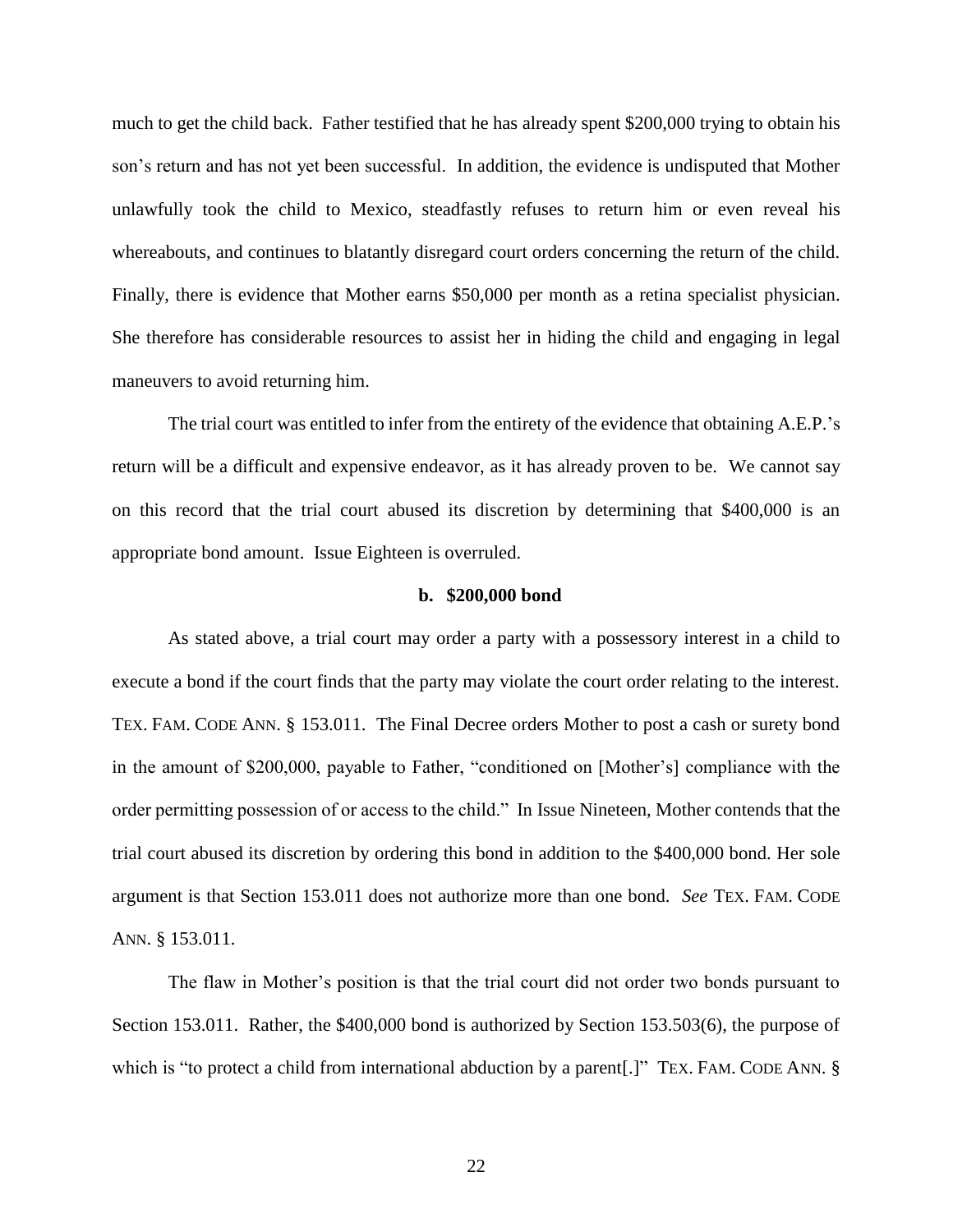much to get the child back. Father testified that he has already spent \$200,000 trying to obtain his son's return and has not yet been successful. In addition, the evidence is undisputed that Mother unlawfully took the child to Mexico, steadfastly refuses to return him or even reveal his whereabouts, and continues to blatantly disregard court orders concerning the return of the child. Finally, there is evidence that Mother earns \$50,000 per month as a retina specialist physician. She therefore has considerable resources to assist her in hiding the child and engaging in legal maneuvers to avoid returning him.

The trial court was entitled to infer from the entirety of the evidence that obtaining A.E.P.'s return will be a difficult and expensive endeavor, as it has already proven to be. We cannot say on this record that the trial court abused its discretion by determining that \$400,000 is an appropriate bond amount. Issue Eighteen is overruled.

#### **b. \$200,000 bond**

As stated above, a trial court may order a party with a possessory interest in a child to execute a bond if the court finds that the party may violate the court order relating to the interest. TEX. FAM. CODE ANN. § 153.011. The Final Decree orders Mother to post a cash or surety bond in the amount of \$200,000, payable to Father, "conditioned on [Mother's] compliance with the order permitting possession of or access to the child." In Issue Nineteen, Mother contends that the trial court abused its discretion by ordering this bond in addition to the \$400,000 bond. Her sole argument is that Section 153.011 does not authorize more than one bond. *See* TEX. FAM. CODE ANN. § 153.011.

The flaw in Mother's position is that the trial court did not order two bonds pursuant to Section 153.011. Rather, the \$400,000 bond is authorized by Section 153.503(6), the purpose of which is "to protect a child from international abduction by a parent[.]" TEX. FAM. CODE ANN. §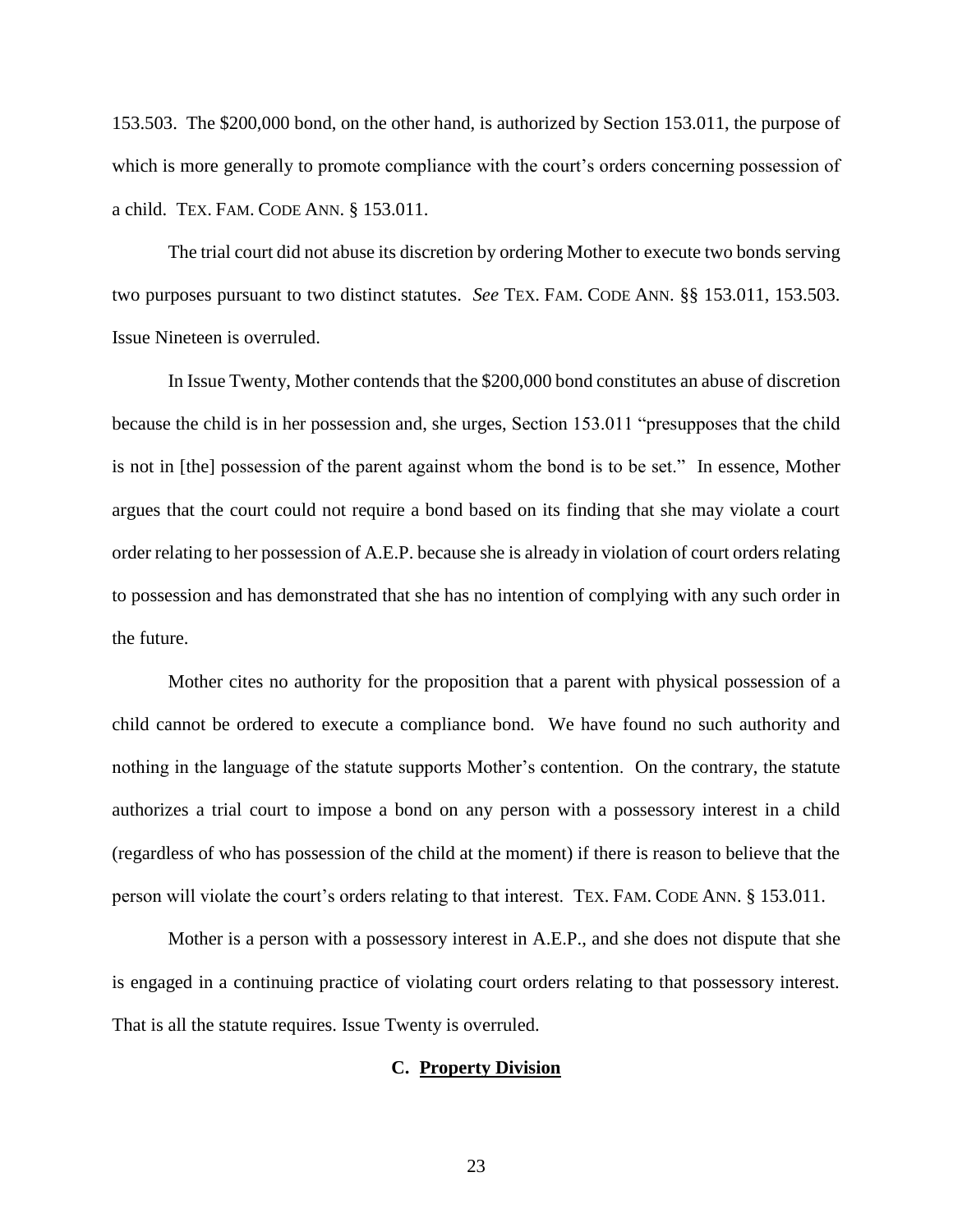153.503. The \$200,000 bond, on the other hand, is authorized by Section 153.011, the purpose of which is more generally to promote compliance with the court's orders concerning possession of a child. TEX. FAM. CODE ANN. § 153.011.

The trial court did not abuse its discretion by ordering Mother to execute two bonds serving two purposes pursuant to two distinct statutes. *See* TEX. FAM. CODE ANN. §§ 153.011, 153.503. Issue Nineteen is overruled.

In Issue Twenty, Mother contends that the \$200,000 bond constitutes an abuse of discretion because the child is in her possession and, she urges, Section 153.011 "presupposes that the child is not in [the] possession of the parent against whom the bond is to be set." In essence, Mother argues that the court could not require a bond based on its finding that she may violate a court order relating to her possession of A.E.P. because she is already in violation of court orders relating to possession and has demonstrated that she has no intention of complying with any such order in the future.

Mother cites no authority for the proposition that a parent with physical possession of a child cannot be ordered to execute a compliance bond. We have found no such authority and nothing in the language of the statute supports Mother's contention. On the contrary, the statute authorizes a trial court to impose a bond on any person with a possessory interest in a child (regardless of who has possession of the child at the moment) if there is reason to believe that the person will violate the court's orders relating to that interest. TEX. FAM. CODE ANN. § 153.011.

Mother is a person with a possessory interest in A.E.P., and she does not dispute that she is engaged in a continuing practice of violating court orders relating to that possessory interest. That is all the statute requires. Issue Twenty is overruled.

## **C. Property Division**

23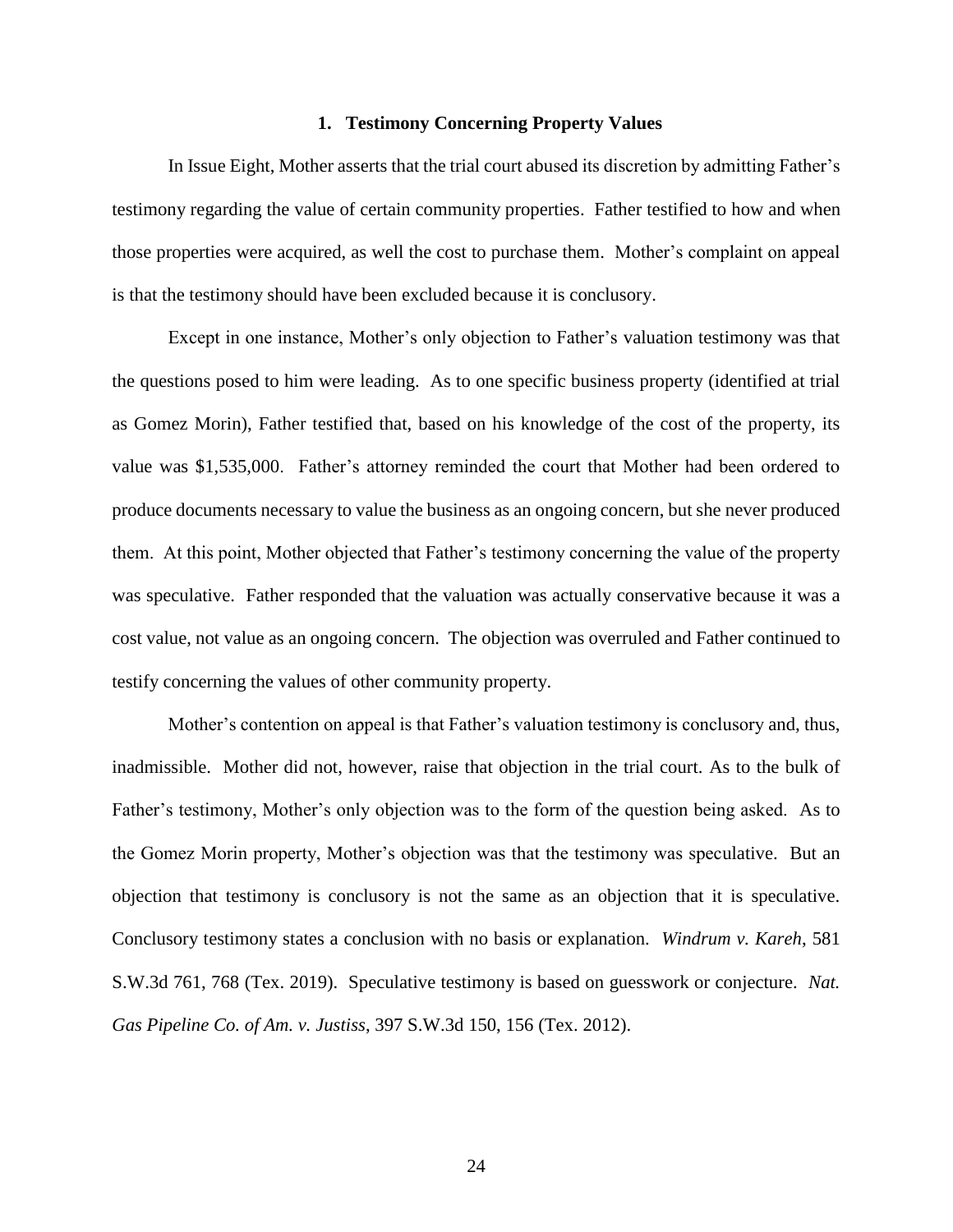#### **1. Testimony Concerning Property Values**

In Issue Eight, Mother asserts that the trial court abused its discretion by admitting Father's testimony regarding the value of certain community properties. Father testified to how and when those properties were acquired, as well the cost to purchase them. Mother's complaint on appeal is that the testimony should have been excluded because it is conclusory.

Except in one instance, Mother's only objection to Father's valuation testimony was that the questions posed to him were leading. As to one specific business property (identified at trial as Gomez Morin), Father testified that, based on his knowledge of the cost of the property, its value was \$1,535,000. Father's attorney reminded the court that Mother had been ordered to produce documents necessary to value the business as an ongoing concern, but she never produced them. At this point, Mother objected that Father's testimony concerning the value of the property was speculative. Father responded that the valuation was actually conservative because it was a cost value, not value as an ongoing concern. The objection was overruled and Father continued to testify concerning the values of other community property.

Mother's contention on appeal is that Father's valuation testimony is conclusory and, thus, inadmissible. Mother did not, however, raise that objection in the trial court. As to the bulk of Father's testimony, Mother's only objection was to the form of the question being asked. As to the Gomez Morin property, Mother's objection was that the testimony was speculative. But an objection that testimony is conclusory is not the same as an objection that it is speculative. Conclusory testimony states a conclusion with no basis or explanation. *Windrum v. Kareh*, 581 S.W.3d 761, 768 (Tex. 2019). Speculative testimony is based on guesswork or conjecture. *Nat. Gas Pipeline Co. of Am. v. Justiss*, 397 S.W.3d 150, 156 (Tex. 2012).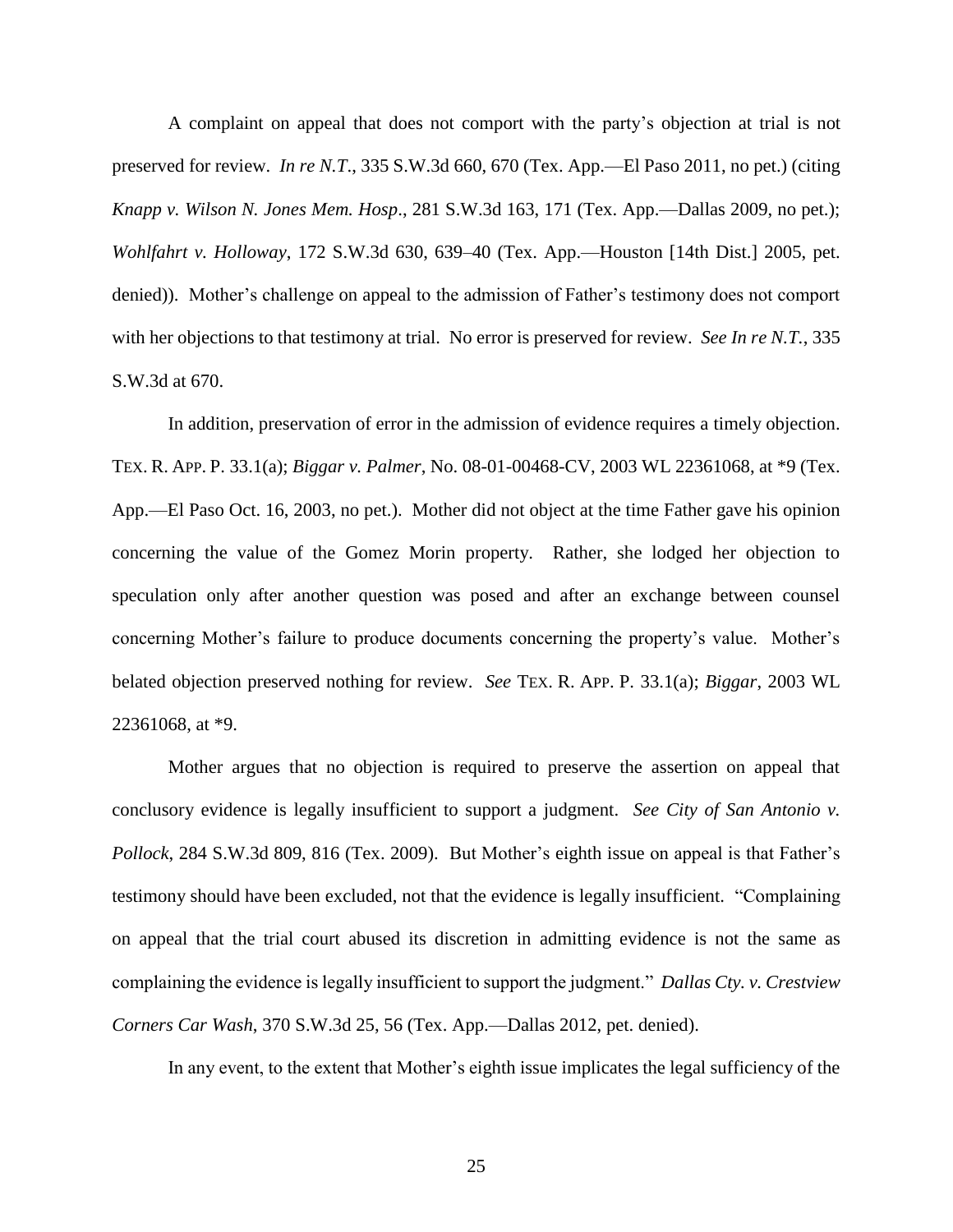A complaint on appeal that does not comport with the party's objection at trial is not preserved for review. *In re N.T*., 335 S.W.3d 660, 670 (Tex. App.—El Paso 2011, no pet.) (citing *Knapp v. Wilson N. Jones Mem. Hosp*., 281 S.W.3d 163, 171 (Tex. App.—Dallas 2009, no pet.); *Wohlfahrt v. Holloway*, 172 S.W.3d 630, 639–40 (Tex. App.—Houston [14th Dist.] 2005, pet. denied)). Mother's challenge on appeal to the admission of Father's testimony does not comport with her objections to that testimony at trial. No error is preserved for review. *See In re N.T.*, 335 S.W.3d at 670.

In addition, preservation of error in the admission of evidence requires a timely objection. TEX. R. APP. P. 33.1(a); *Biggar v. Palmer*, No. 08-01-00468-CV, 2003 WL 22361068, at \*9 (Tex. App.—El Paso Oct. 16, 2003, no pet.). Mother did not object at the time Father gave his opinion concerning the value of the Gomez Morin property. Rather, she lodged her objection to speculation only after another question was posed and after an exchange between counsel concerning Mother's failure to produce documents concerning the property's value. Mother's belated objection preserved nothing for review. *See* TEX. R. APP. P. 33.1(a); *Biggar*, 2003 WL 22361068, at \*9.

Mother argues that no objection is required to preserve the assertion on appeal that conclusory evidence is legally insufficient to support a judgment. *See City of San Antonio v. Pollock*, 284 S.W.3d 809, 816 (Tex. 2009). But Mother's eighth issue on appeal is that Father's testimony should have been excluded, not that the evidence is legally insufficient. "Complaining on appeal that the trial court abused its discretion in admitting evidence is not the same as complaining the evidence is legally insufficient to support the judgment." *Dallas Cty. v. Crestview Corners Car Wash*, 370 S.W.3d 25, 56 (Tex. App.—Dallas 2012, pet. denied).

In any event, to the extent that Mother's eighth issue implicates the legal sufficiency of the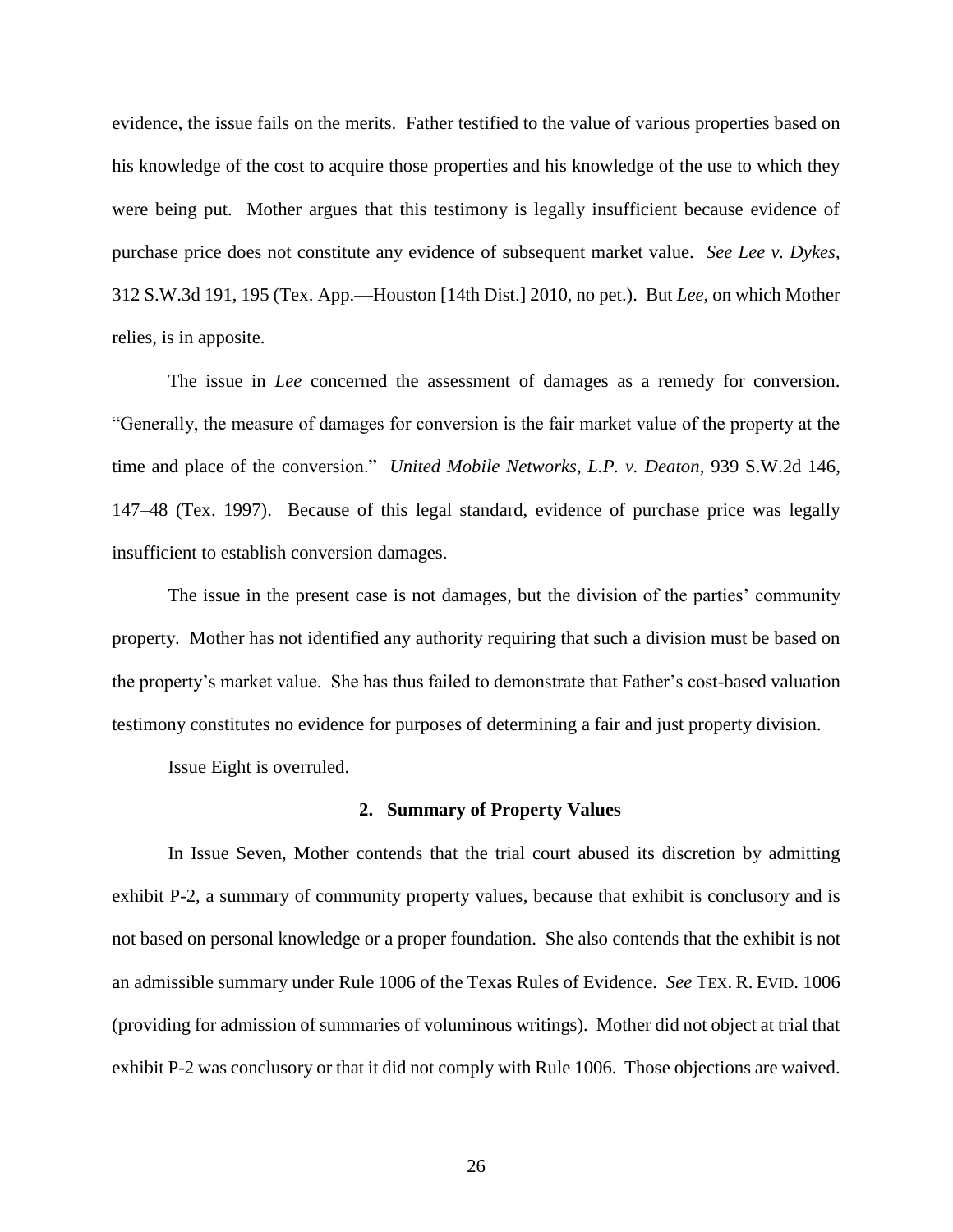evidence, the issue fails on the merits. Father testified to the value of various properties based on his knowledge of the cost to acquire those properties and his knowledge of the use to which they were being put. Mother argues that this testimony is legally insufficient because evidence of purchase price does not constitute any evidence of subsequent market value. *See Lee v. Dykes*, 312 S.W.3d 191, 195 (Tex. App.—Houston [14th Dist.] 2010, no pet.). But *Lee*, on which Mother relies, is in apposite.

The issue in *Lee* concerned the assessment of damages as a remedy for conversion. "Generally, the measure of damages for conversion is the fair market value of the property at the time and place of the conversion." *United Mobile Networks, L.P. v. Deaton*, 939 S.W.2d 146, 147–48 (Tex. 1997). Because of this legal standard, evidence of purchase price was legally insufficient to establish conversion damages.

The issue in the present case is not damages, but the division of the parties' community property. Mother has not identified any authority requiring that such a division must be based on the property's market value. She has thus failed to demonstrate that Father's cost-based valuation testimony constitutes no evidence for purposes of determining a fair and just property division.

Issue Eight is overruled.

#### **2. Summary of Property Values**

In Issue Seven, Mother contends that the trial court abused its discretion by admitting exhibit P-2, a summary of community property values, because that exhibit is conclusory and is not based on personal knowledge or a proper foundation. She also contends that the exhibit is not an admissible summary under Rule 1006 of the Texas Rules of Evidence. *See* TEX. R. EVID. 1006 (providing for admission of summaries of voluminous writings). Mother did not object at trial that exhibit P-2 was conclusory or that it did not comply with Rule 1006. Those objections are waived.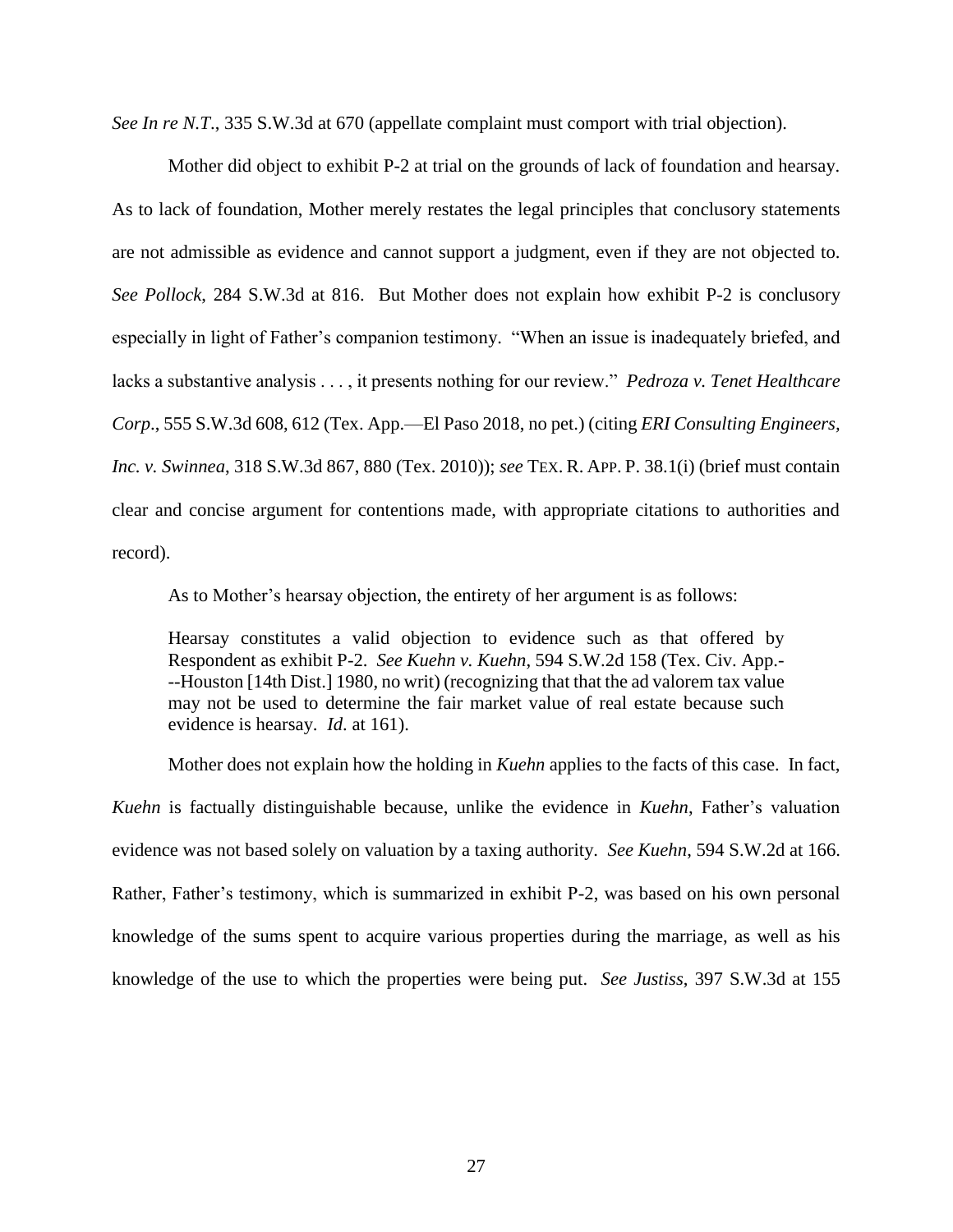*See In re N.T*., 335 S.W.3d at 670 (appellate complaint must comport with trial objection).

Mother did object to exhibit P-2 at trial on the grounds of lack of foundation and hearsay. As to lack of foundation, Mother merely restates the legal principles that conclusory statements are not admissible as evidence and cannot support a judgment, even if they are not objected to. *See Pollock*, 284 S.W.3d at 816. But Mother does not explain how exhibit P-2 is conclusory especially in light of Father's companion testimony. "When an issue is inadequately briefed, and lacks a substantive analysis . . . , it presents nothing for our review." *Pedroza v. Tenet Healthcare Corp*., 555 S.W.3d 608, 612 (Tex. App.—El Paso 2018, no pet.) (citing *ERI Consulting Engineers, Inc. v. Swinnea*, 318 S.W.3d 867, 880 (Tex. 2010)); *see* TEX. R. APP. P. 38.1(i) (brief must contain clear and concise argument for contentions made, with appropriate citations to authorities and record).

As to Mother's hearsay objection, the entirety of her argument is as follows:

Hearsay constitutes a valid objection to evidence such as that offered by Respondent as exhibit P-2. *See Kuehn v. Kuehn*, 594 S.W.2d 158 (Tex. Civ. App.- --Houston [14th Dist.] 1980, no writ) (recognizing that that the ad valorem tax value may not be used to determine the fair market value of real estate because such evidence is hearsay. *Id*. at 161).

Mother does not explain how the holding in *Kuehn* applies to the facts of this case. In fact, *Kuehn* is factually distinguishable because, unlike the evidence in *Kuehn*, Father's valuation evidence was not based solely on valuation by a taxing authority. *See Kuehn*, 594 S.W.2d at 166. Rather, Father's testimony, which is summarized in exhibit P-2, was based on his own personal knowledge of the sums spent to acquire various properties during the marriage, as well as his knowledge of the use to which the properties were being put. *See Justiss*, 397 S.W.3d at 155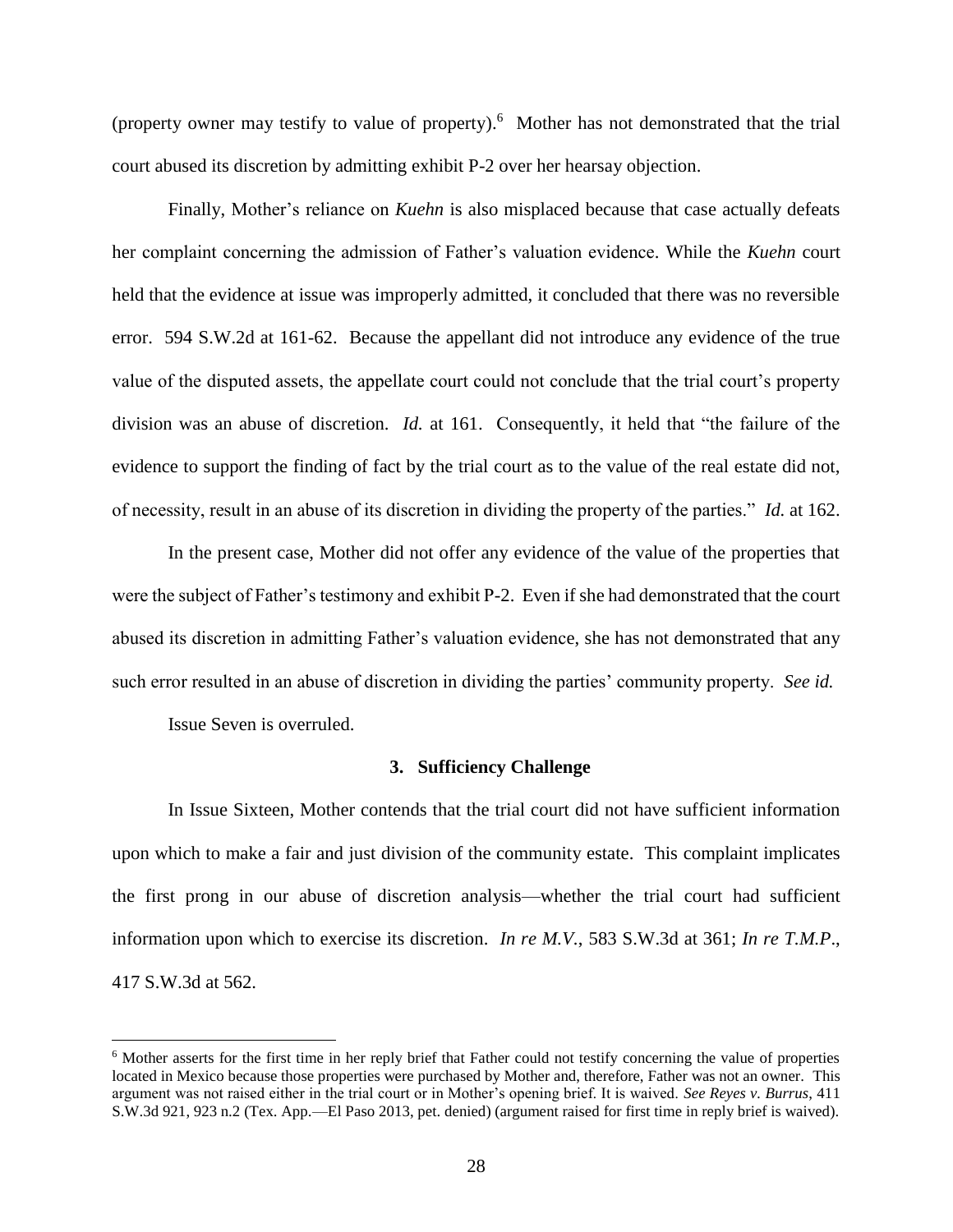(property owner may testify to value of property). <sup>6</sup> Mother has not demonstrated that the trial court abused its discretion by admitting exhibit P-2 over her hearsay objection.

Finally, Mother's reliance on *Kuehn* is also misplaced because that case actually defeats her complaint concerning the admission of Father's valuation evidence. While the *Kuehn* court held that the evidence at issue was improperly admitted, it concluded that there was no reversible error. 594 S.W.2d at 161-62. Because the appellant did not introduce any evidence of the true value of the disputed assets, the appellate court could not conclude that the trial court's property division was an abuse of discretion. *Id.* at 161. Consequently, it held that "the failure of the evidence to support the finding of fact by the trial court as to the value of the real estate did not, of necessity, result in an abuse of its discretion in dividing the property of the parties." *Id.* at 162.

In the present case, Mother did not offer any evidence of the value of the properties that were the subject of Father's testimony and exhibit P-2. Even if she had demonstrated that the court abused its discretion in admitting Father's valuation evidence, she has not demonstrated that any such error resulted in an abuse of discretion in dividing the parties' community property. *See id.*

Issue Seven is overruled.

 $\overline{a}$ 

#### **3. Sufficiency Challenge**

In Issue Sixteen, Mother contends that the trial court did not have sufficient information upon which to make a fair and just division of the community estate. This complaint implicates the first prong in our abuse of discretion analysis—whether the trial court had sufficient information upon which to exercise its discretion. *In re M.V.*, 583 S.W.3d at 361; *In re T.M.P*., 417 S.W.3d at 562.

<sup>&</sup>lt;sup>6</sup> Mother asserts for the first time in her reply brief that Father could not testify concerning the value of properties located in Mexico because those properties were purchased by Mother and, therefore, Father was not an owner. This argument was not raised either in the trial court or in Mother's opening brief. It is waived. *See Reyes v. Burrus*, 411 S.W.3d 921, 923 n.2 (Tex. App.—El Paso 2013, pet. denied) (argument raised for first time in reply brief is waived).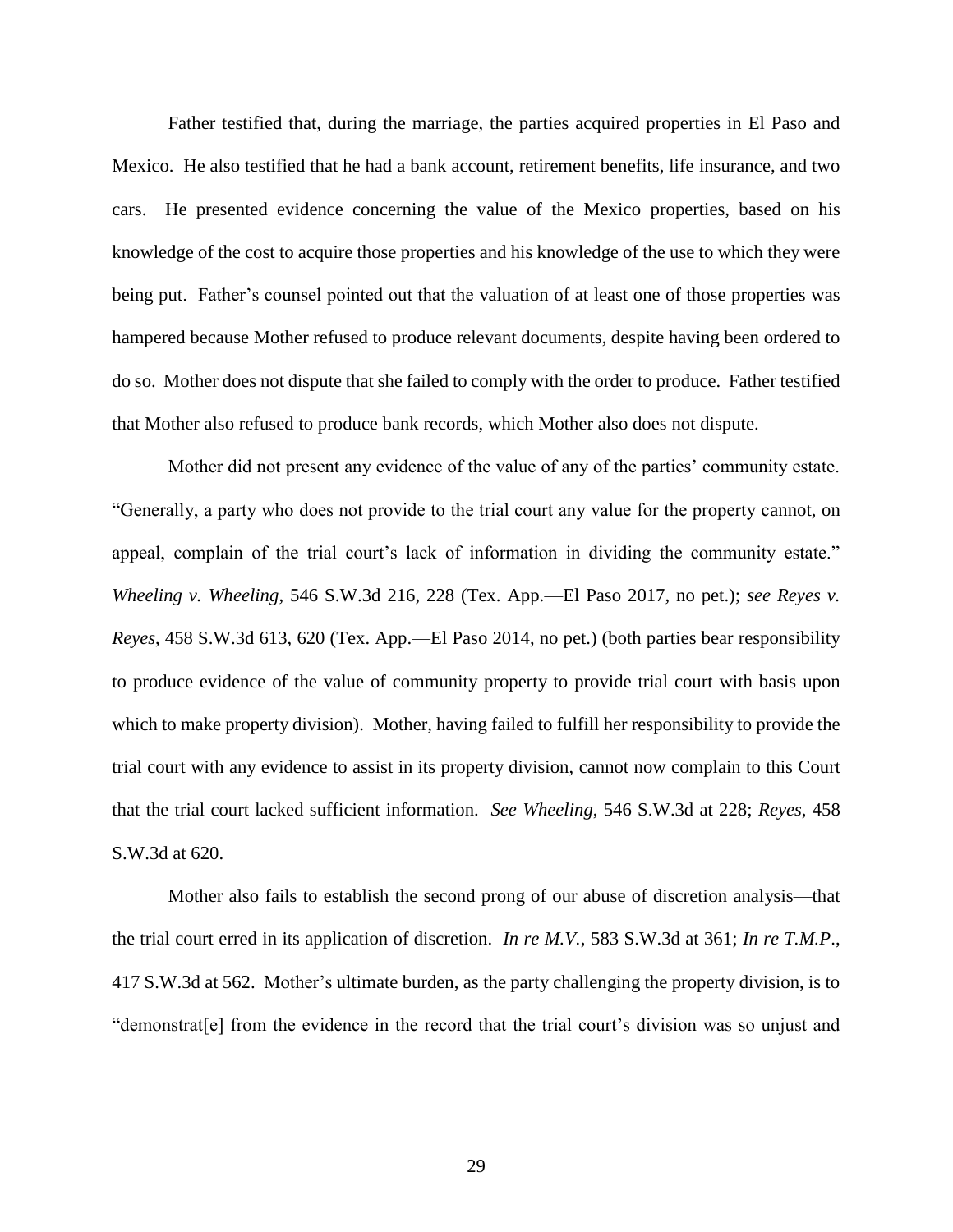Father testified that, during the marriage, the parties acquired properties in El Paso and Mexico. He also testified that he had a bank account, retirement benefits, life insurance, and two cars. He presented evidence concerning the value of the Mexico properties, based on his knowledge of the cost to acquire those properties and his knowledge of the use to which they were being put. Father's counsel pointed out that the valuation of at least one of those properties was hampered because Mother refused to produce relevant documents, despite having been ordered to do so. Mother does not dispute that she failed to comply with the order to produce. Father testified that Mother also refused to produce bank records, which Mother also does not dispute.

Mother did not present any evidence of the value of any of the parties' community estate. "Generally, a party who does not provide to the trial court any value for the property cannot, on appeal, complain of the trial court's lack of information in dividing the community estate." *Wheeling v. Wheeling*, 546 S.W.3d 216, 228 (Tex. App.—El Paso 2017, no pet.); *see Reyes v. Reyes*, 458 S.W.3d 613, 620 (Tex. App.—El Paso 2014, no pet.) (both parties bear responsibility to produce evidence of the value of community property to provide trial court with basis upon which to make property division). Mother, having failed to fulfill her responsibility to provide the trial court with any evidence to assist in its property division, cannot now complain to this Court that the trial court lacked sufficient information. *See Wheeling*, 546 S.W.3d at 228; *Reyes*, 458 S.W.3d at 620.

Mother also fails to establish the second prong of our abuse of discretion analysis—that the trial court erred in its application of discretion. *In re M.V.*, 583 S.W.3d at 361; *In re T.M.P*., 417 S.W.3d at 562. Mother's ultimate burden, as the party challenging the property division, is to "demonstrat[e] from the evidence in the record that the trial court's division was so unjust and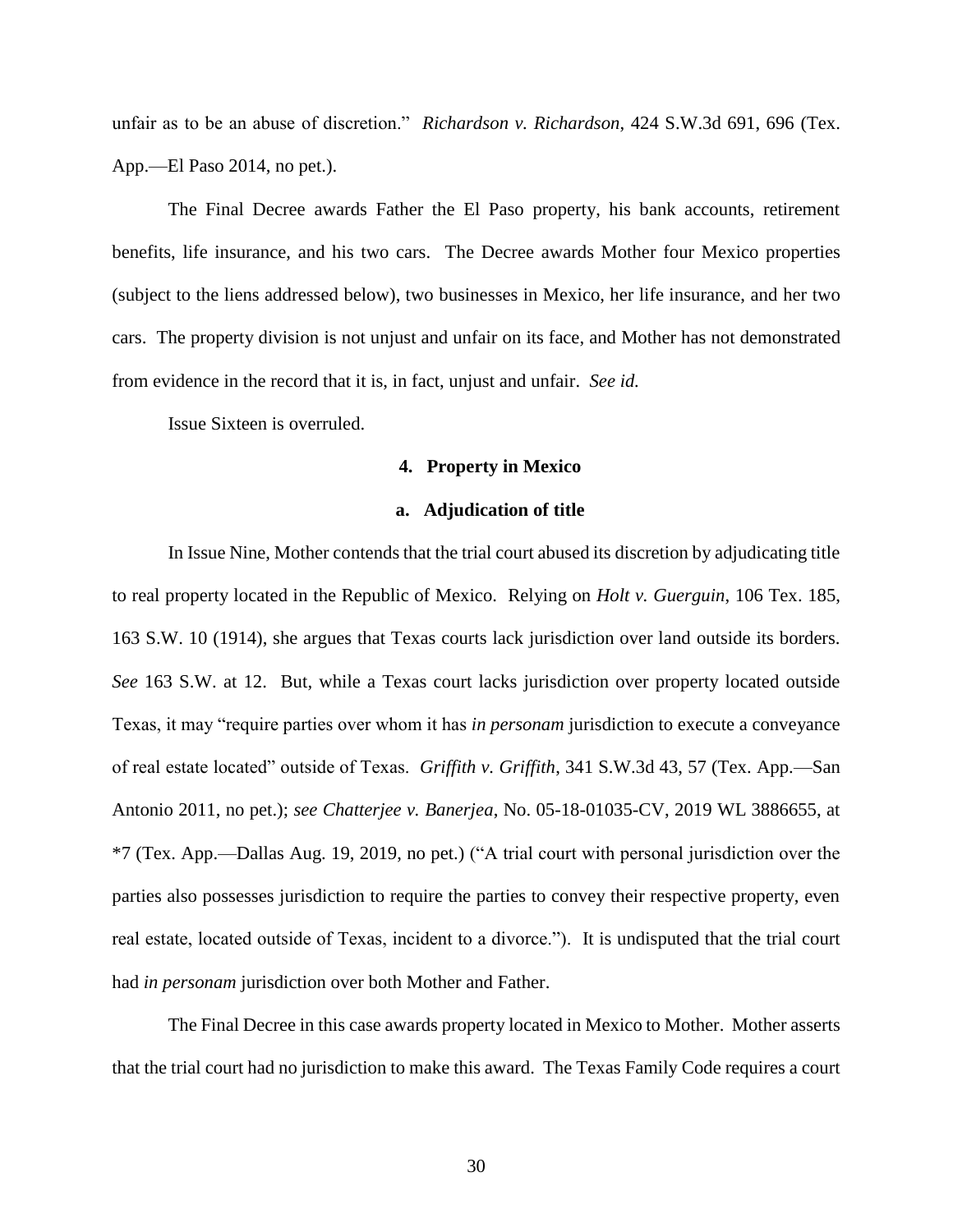unfair as to be an abuse of discretion." *Richardson v. Richardson*, 424 S.W.3d 691, 696 (Tex. App.—El Paso 2014, no pet.).

The Final Decree awards Father the El Paso property, his bank accounts, retirement benefits, life insurance, and his two cars. The Decree awards Mother four Mexico properties (subject to the liens addressed below), two businesses in Mexico, her life insurance, and her two cars. The property division is not unjust and unfair on its face, and Mother has not demonstrated from evidence in the record that it is, in fact, unjust and unfair. *See id.*

Issue Sixteen is overruled.

## **4. Property in Mexico**

## **a. Adjudication of title**

In Issue Nine, Mother contends that the trial court abused its discretion by adjudicating title to real property located in the Republic of Mexico. Relying on *Holt v. Guerguin*, 106 Tex. 185, 163 S.W. 10 (1914), she argues that Texas courts lack jurisdiction over land outside its borders. *See* 163 S.W. at 12. But, while a Texas court lacks jurisdiction over property located outside Texas, it may "require parties over whom it has *in personam* jurisdiction to execute a conveyance of real estate located" outside of Texas. *Griffith v. Griffith*, 341 S.W.3d 43, 57 (Tex. App.—San Antonio 2011, no pet.); *see Chatterjee v. Banerjea*, No. 05-18-01035-CV, 2019 WL 3886655, at \*7 (Tex. App.—Dallas Aug. 19, 2019, no pet.) ("A trial court with personal jurisdiction over the parties also possesses jurisdiction to require the parties to convey their respective property, even real estate, located outside of Texas, incident to a divorce."). It is undisputed that the trial court had *in personam* jurisdiction over both Mother and Father.

The Final Decree in this case awards property located in Mexico to Mother. Mother asserts that the trial court had no jurisdiction to make this award. The Texas Family Code requires a court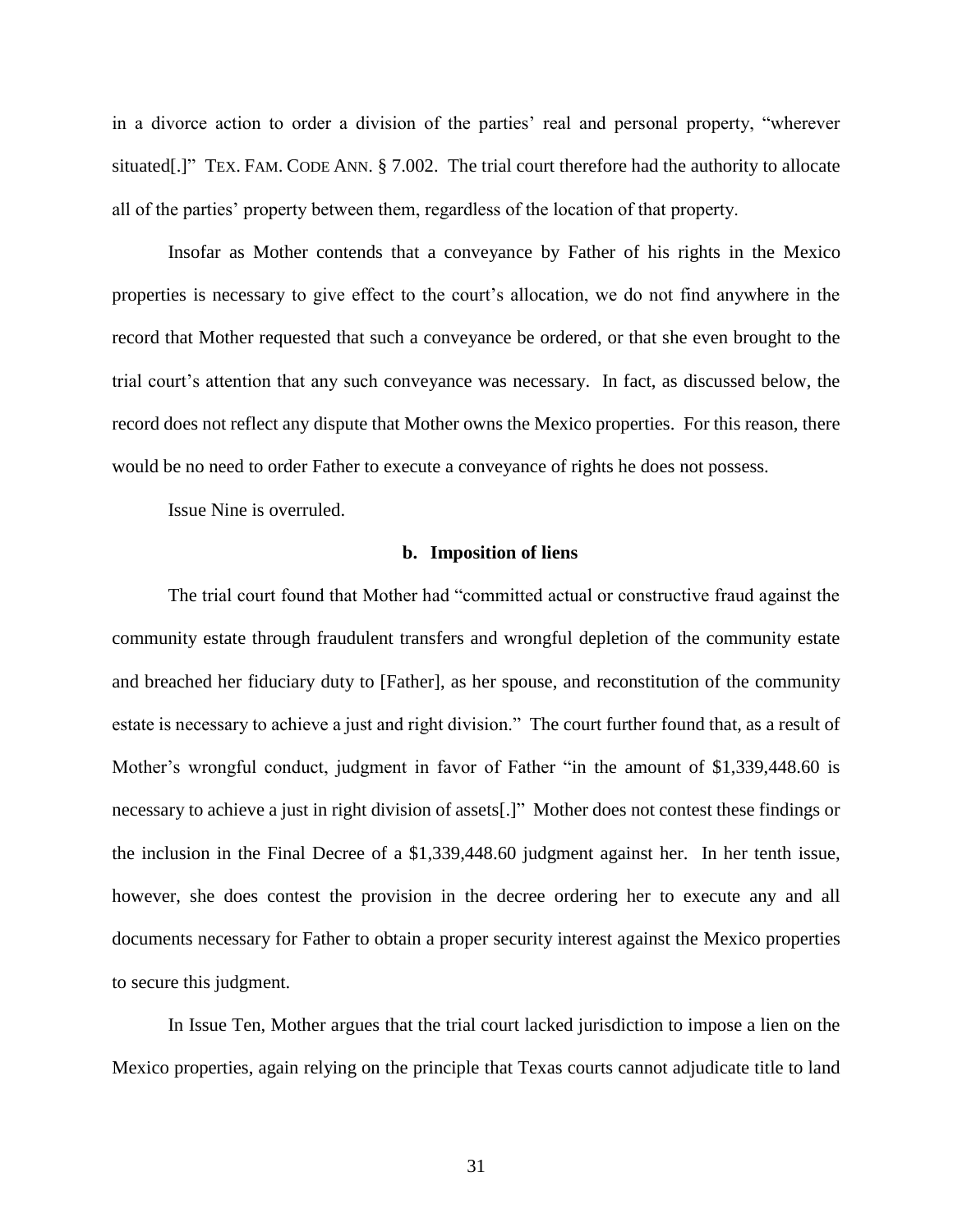in a divorce action to order a division of the parties' real and personal property, "wherever situated[.]" TEX. FAM. CODE ANN. § 7.002. The trial court therefore had the authority to allocate all of the parties' property between them, regardless of the location of that property.

Insofar as Mother contends that a conveyance by Father of his rights in the Mexico properties is necessary to give effect to the court's allocation, we do not find anywhere in the record that Mother requested that such a conveyance be ordered, or that she even brought to the trial court's attention that any such conveyance was necessary. In fact, as discussed below, the record does not reflect any dispute that Mother owns the Mexico properties. For this reason, there would be no need to order Father to execute a conveyance of rights he does not possess.

Issue Nine is overruled.

## **b. Imposition of liens**

The trial court found that Mother had "committed actual or constructive fraud against the community estate through fraudulent transfers and wrongful depletion of the community estate and breached her fiduciary duty to [Father], as her spouse, and reconstitution of the community estate is necessary to achieve a just and right division." The court further found that, as a result of Mother's wrongful conduct, judgment in favor of Father "in the amount of \$1,339,448.60 is necessary to achieve a just in right division of assets[.]" Mother does not contest these findings or the inclusion in the Final Decree of a \$1,339,448.60 judgment against her. In her tenth issue, however, she does contest the provision in the decree ordering her to execute any and all documents necessary for Father to obtain a proper security interest against the Mexico properties to secure this judgment.

In Issue Ten, Mother argues that the trial court lacked jurisdiction to impose a lien on the Mexico properties, again relying on the principle that Texas courts cannot adjudicate title to land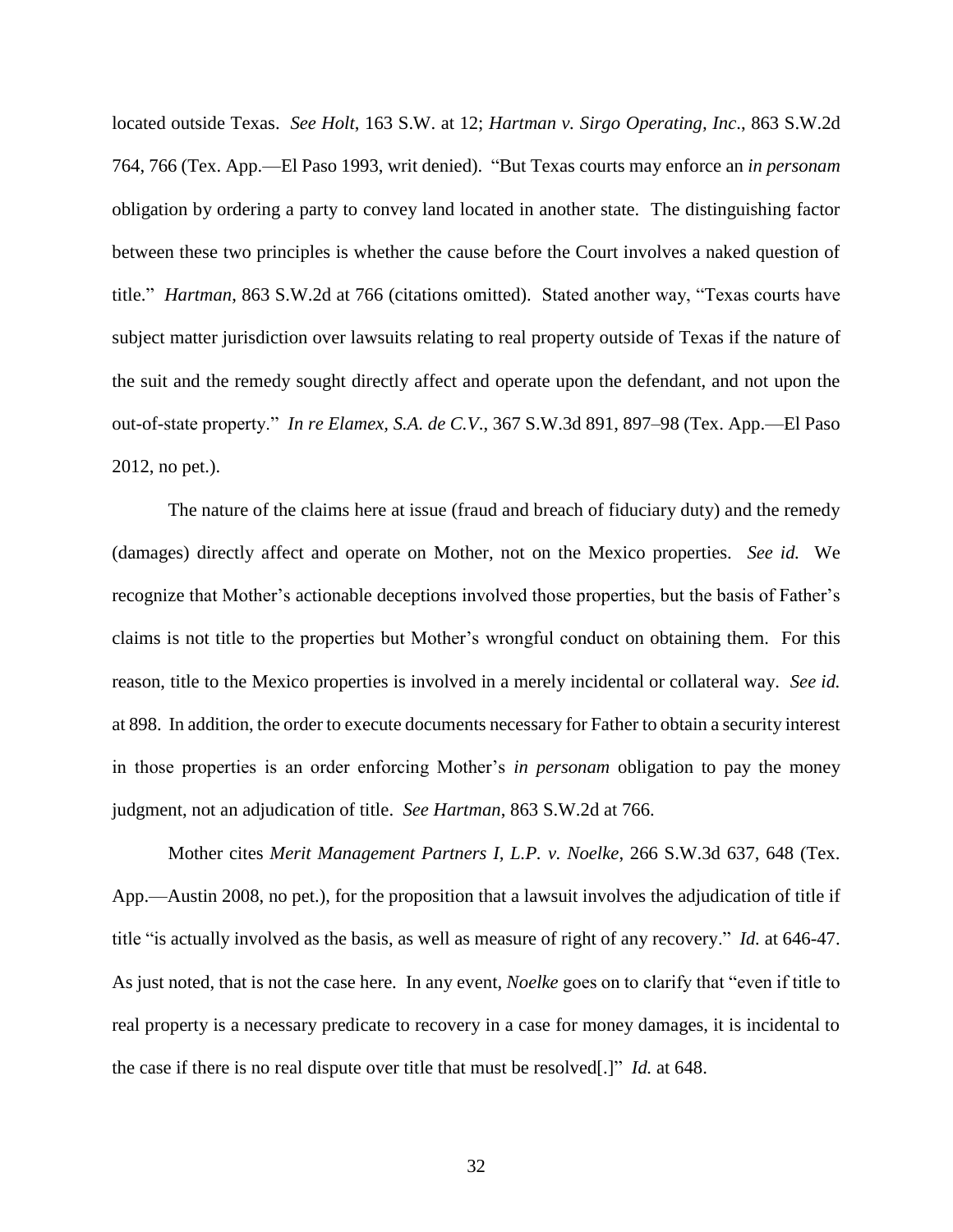located outside Texas. *See Holt*, 163 S.W. at 12; *Hartman v. Sirgo Operating, Inc*., 863 S.W.2d 764, 766 (Tex. App.—El Paso 1993, writ denied). "But Texas courts may enforce an *in personam* obligation by ordering a party to convey land located in another state. The distinguishing factor between these two principles is whether the cause before the Court involves a naked question of title." *Hartman*, 863 S.W.2d at 766 (citations omitted). Stated another way, "Texas courts have subject matter jurisdiction over lawsuits relating to real property outside of Texas if the nature of the suit and the remedy sought directly affect and operate upon the defendant, and not upon the out-of-state property." *In re Elamex, S.A. de C.V*., 367 S.W.3d 891, 897–98 (Tex. App.—El Paso 2012, no pet.).

The nature of the claims here at issue (fraud and breach of fiduciary duty) and the remedy (damages) directly affect and operate on Mother, not on the Mexico properties. *See id.* We recognize that Mother's actionable deceptions involved those properties, but the basis of Father's claims is not title to the properties but Mother's wrongful conduct on obtaining them. For this reason, title to the Mexico properties is involved in a merely incidental or collateral way. *See id.* at 898. In addition, the order to execute documents necessary for Father to obtain a security interest in those properties is an order enforcing Mother's *in personam* obligation to pay the money judgment, not an adjudication of title. *See Hartman*, 863 S.W.2d at 766.

Mother cites *Merit Management Partners I, L.P. v. Noelke*, 266 S.W.3d 637, 648 (Tex. App.—Austin 2008, no pet.), for the proposition that a lawsuit involves the adjudication of title if title "is actually involved as the basis, as well as measure of right of any recovery." *Id.* at 646-47. As just noted, that is not the case here. In any event, *Noelke* goes on to clarify that "even if title to real property is a necessary predicate to recovery in a case for money damages, it is incidental to the case if there is no real dispute over title that must be resolved[.]" *Id.* at 648.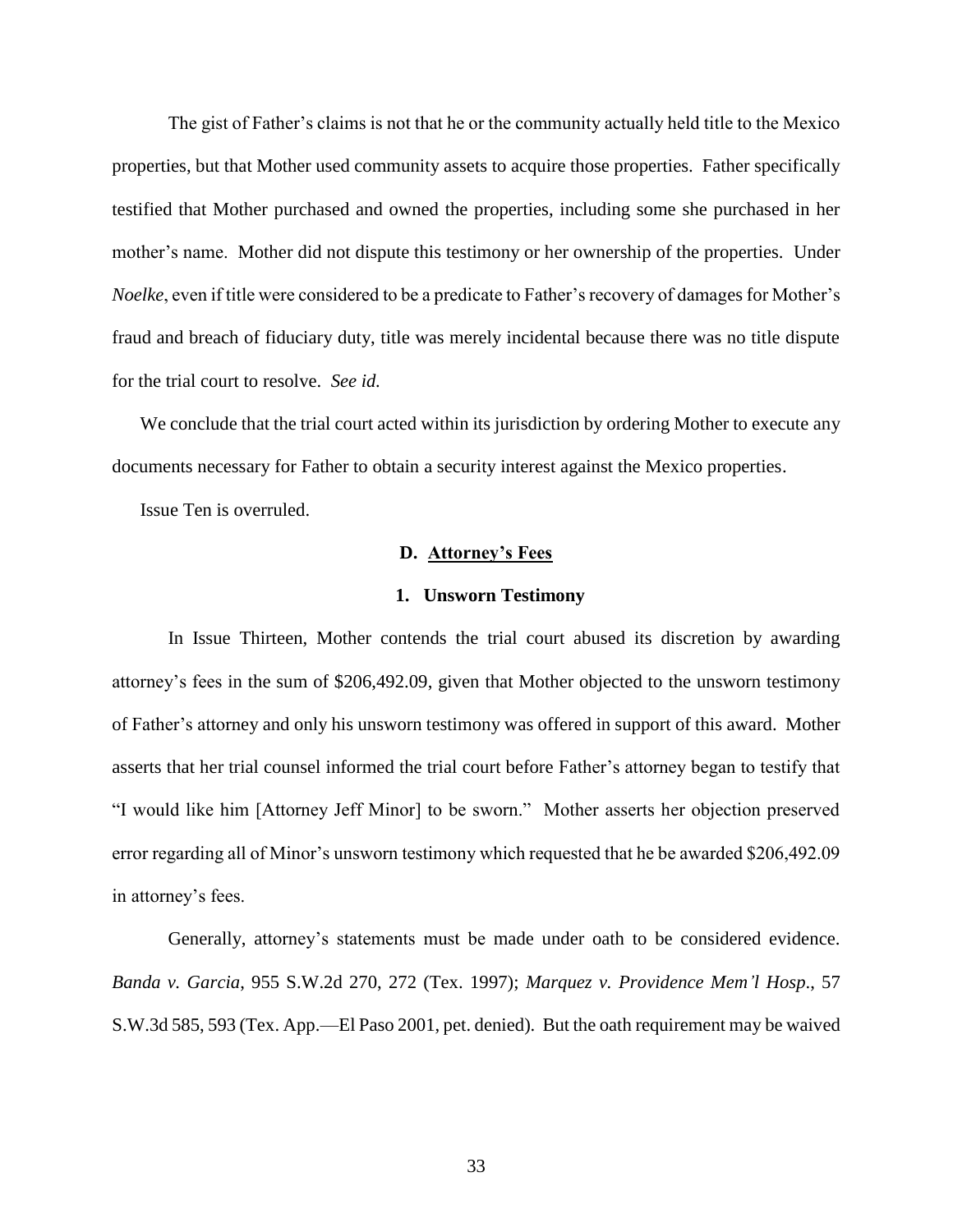The gist of Father's claims is not that he or the community actually held title to the Mexico properties, but that Mother used community assets to acquire those properties. Father specifically testified that Mother purchased and owned the properties, including some she purchased in her mother's name. Mother did not dispute this testimony or her ownership of the properties. Under *Noelke*, even if title were considered to be a predicate to Father's recovery of damages for Mother's fraud and breach of fiduciary duty, title was merely incidental because there was no title dispute for the trial court to resolve. *See id.*

We conclude that the trial court acted within its jurisdiction by ordering Mother to execute any documents necessary for Father to obtain a security interest against the Mexico properties.

Issue Ten is overruled.

## **D. Attorney's Fees**

#### **1. Unsworn Testimony**

In Issue Thirteen, Mother contends the trial court abused its discretion by awarding attorney's fees in the sum of \$206,492.09, given that Mother objected to the unsworn testimony of Father's attorney and only his unsworn testimony was offered in support of this award. Mother asserts that her trial counsel informed the trial court before Father's attorney began to testify that "I would like him [Attorney Jeff Minor] to be sworn." Mother asserts her objection preserved error regarding all of Minor's unsworn testimony which requested that he be awarded \$206,492.09 in attorney's fees.

Generally, attorney's statements must be made under oath to be considered evidence. *Banda v. Garcia*, 955 S.W.2d 270, 272 (Tex. 1997); *Marquez v. Providence Mem'l Hosp*., 57 S.W.3d 585, 593 (Tex. App.—El Paso 2001, pet. denied). But the oath requirement may be waived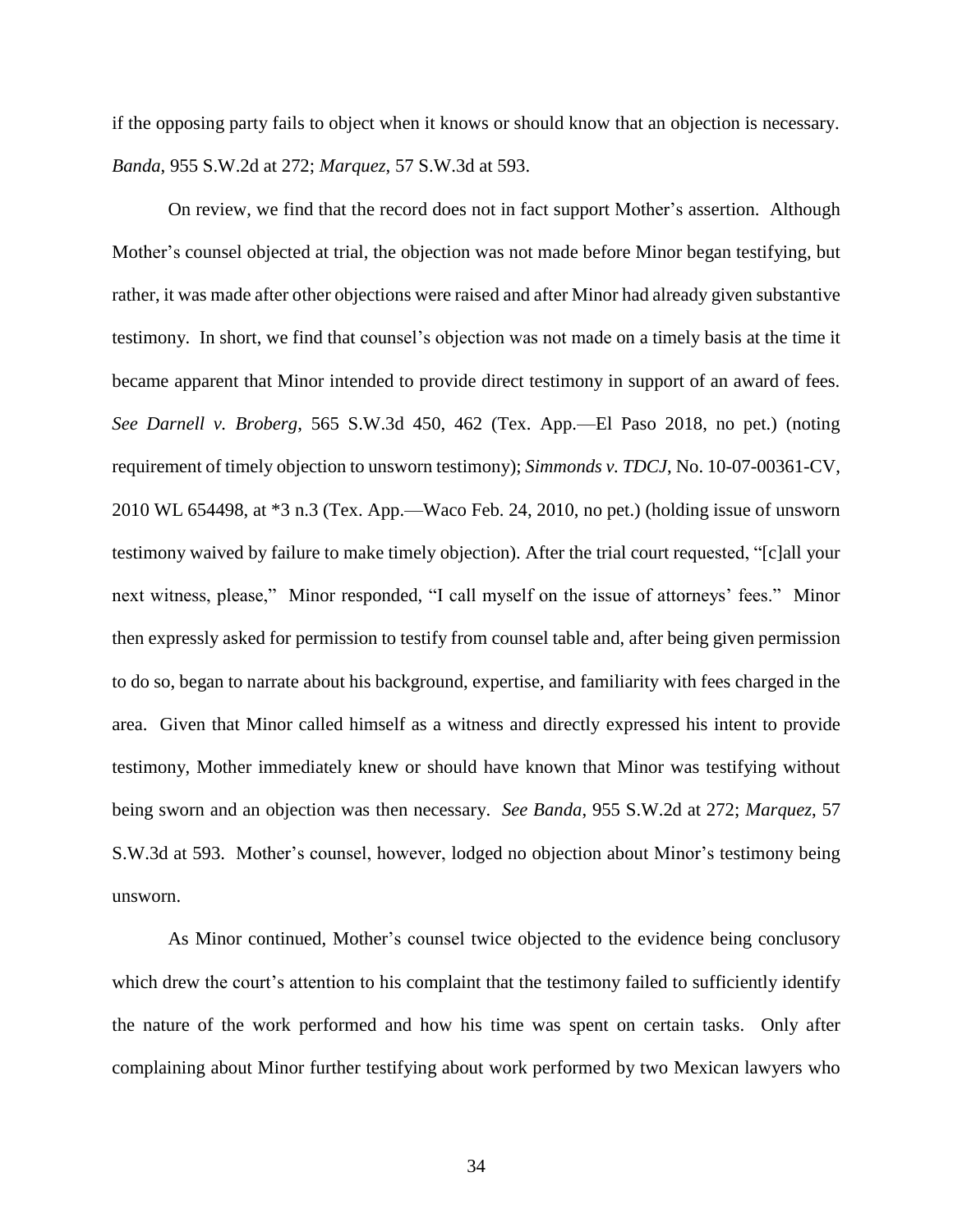if the opposing party fails to object when it knows or should know that an objection is necessary. *Banda*, 955 S.W.2d at 272; *Marquez*, 57 S.W.3d at 593.

On review, we find that the record does not in fact support Mother's assertion. Although Mother's counsel objected at trial, the objection was not made before Minor began testifying, but rather, it was made after other objections were raised and after Minor had already given substantive testimony. In short, we find that counsel's objection was not made on a timely basis at the time it became apparent that Minor intended to provide direct testimony in support of an award of fees. *See Darnell v. Broberg*, 565 S.W.3d 450, 462 (Tex. App.—El Paso 2018, no pet.) (noting requirement of timely objection to unsworn testimony); *Simmonds v. TDCJ*, No. 10-07-00361-CV, 2010 WL 654498, at \*3 n.3 (Tex. App.—Waco Feb. 24, 2010, no pet.) (holding issue of unsworn testimony waived by failure to make timely objection). After the trial court requested, "[c]all your next witness, please," Minor responded, "I call myself on the issue of attorneys' fees." Minor then expressly asked for permission to testify from counsel table and, after being given permission to do so, began to narrate about his background, expertise, and familiarity with fees charged in the area. Given that Minor called himself as a witness and directly expressed his intent to provide testimony, Mother immediately knew or should have known that Minor was testifying without being sworn and an objection was then necessary. *See Banda*, 955 S.W.2d at 272; *Marquez*, 57 S.W.3d at 593. Mother's counsel, however, lodged no objection about Minor's testimony being unsworn.

As Minor continued, Mother's counsel twice objected to the evidence being conclusory which drew the court's attention to his complaint that the testimony failed to sufficiently identify the nature of the work performed and how his time was spent on certain tasks. Only after complaining about Minor further testifying about work performed by two Mexican lawyers who

34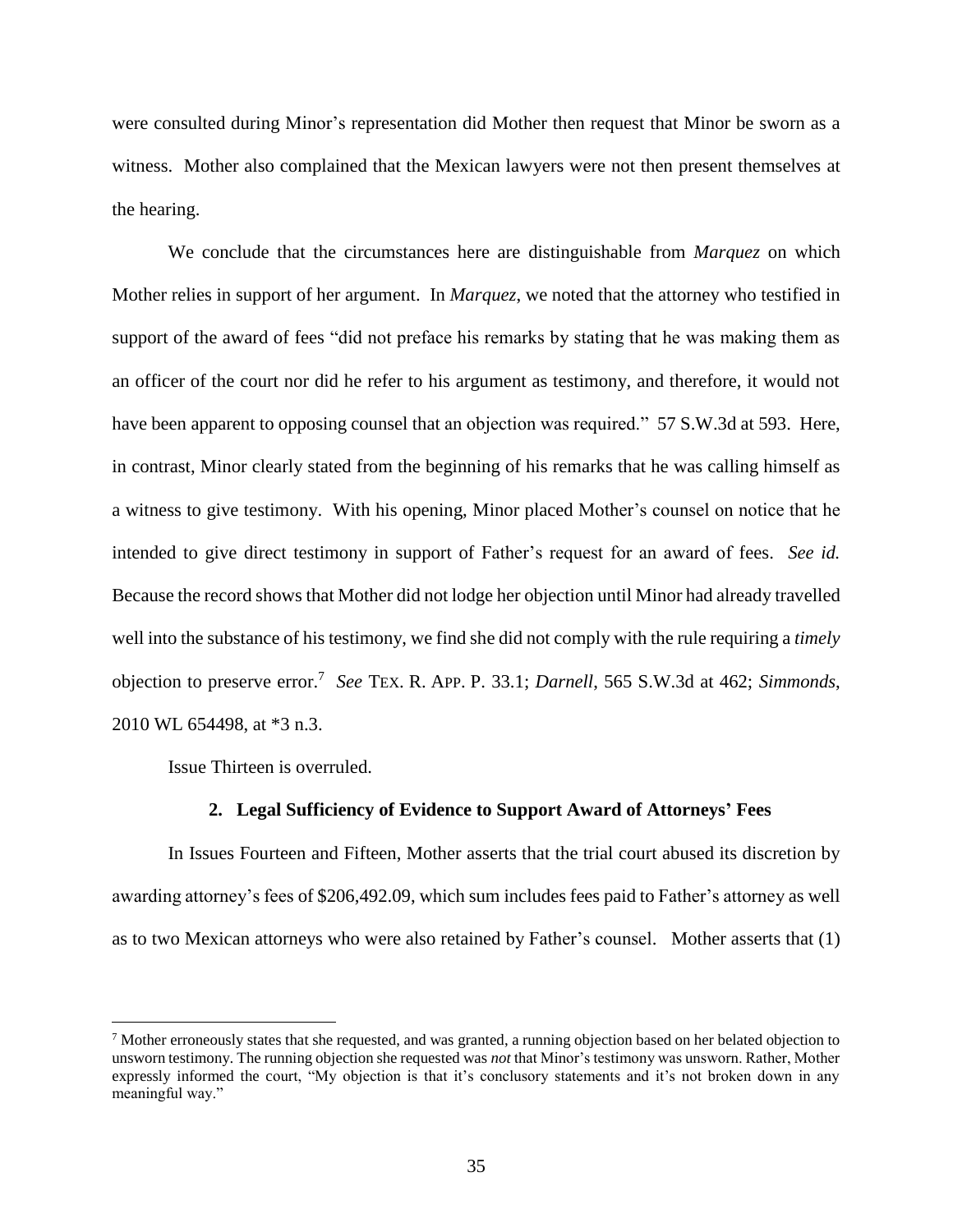were consulted during Minor's representation did Mother then request that Minor be sworn as a witness. Mother also complained that the Mexican lawyers were not then present themselves at the hearing.

We conclude that the circumstances here are distinguishable from *Marquez* on which Mother relies in support of her argument. In *Marquez*, we noted that the attorney who testified in support of the award of fees "did not preface his remarks by stating that he was making them as an officer of the court nor did he refer to his argument as testimony, and therefore, it would not have been apparent to opposing counsel that an objection was required." 57 S.W.3d at 593. Here, in contrast, Minor clearly stated from the beginning of his remarks that he was calling himself as a witness to give testimony. With his opening, Minor placed Mother's counsel on notice that he intended to give direct testimony in support of Father's request for an award of fees. *See id.* Because the record shows that Mother did not lodge her objection until Minor had already travelled well into the substance of his testimony, we find she did not comply with the rule requiring a *timely* objection to preserve error.<sup>7</sup> *See* TEX. R. APP. P. 33.1; *Darnell*, 565 S.W.3d at 462; *Simmonds*, 2010 WL 654498, at \*3 n.3.

Issue Thirteen is overruled.

 $\overline{a}$ 

## **2. Legal Sufficiency of Evidence to Support Award of Attorneys' Fees**

In Issues Fourteen and Fifteen, Mother asserts that the trial court abused its discretion by awarding attorney's fees of \$206,492.09, which sum includes fees paid to Father's attorney as well as to two Mexican attorneys who were also retained by Father's counsel. Mother asserts that (1)

 $7$  Mother erroneously states that she requested, and was granted, a running objection based on her belated objection to unsworn testimony. The running objection she requested was *not* that Minor's testimony was unsworn. Rather, Mother expressly informed the court, "My objection is that it's conclusory statements and it's not broken down in any meaningful way."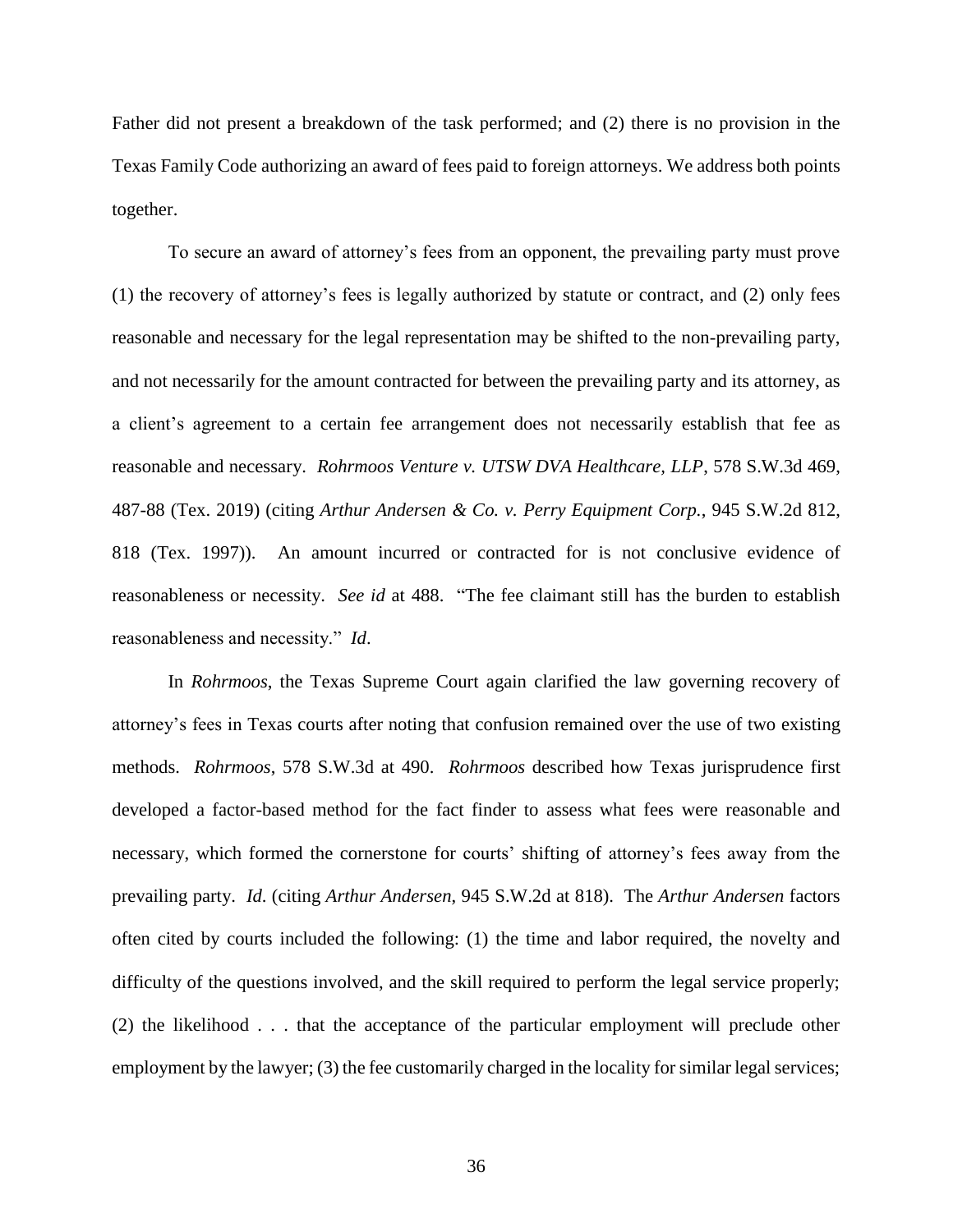Father did not present a breakdown of the task performed; and (2) there is no provision in the Texas Family Code authorizing an award of fees paid to foreign attorneys. We address both points together.

To secure an award of attorney's fees from an opponent, the prevailing party must prove (1) the recovery of attorney's fees is legally authorized by statute or contract, and (2) only fees reasonable and necessary for the legal representation may be shifted to the non-prevailing party, and not necessarily for the amount contracted for between the prevailing party and its attorney, as a client's agreement to a certain fee arrangement does not necessarily establish that fee as reasonable and necessary. *Rohrmoos Venture v. UTSW DVA Healthcare, LLP*, 578 S.W.3d 469, 487-88 (Tex. 2019) (citing *Arthur Andersen & Co. v. Perry Equipment Corp.*, 945 S.W.2d 812, 818 (Tex. 1997)). An amount incurred or contracted for is not conclusive evidence of reasonableness or necessity. *See id* at 488. "The fee claimant still has the burden to establish reasonableness and necessity." *Id*.

In *Rohrmoos*, the Texas Supreme Court again clarified the law governing recovery of attorney's fees in Texas courts after noting that confusion remained over the use of two existing methods. *Rohrmoos*, 578 S.W.3d at 490. *Rohrmoos* described how Texas jurisprudence first developed a factor-based method for the fact finder to assess what fees were reasonable and necessary, which formed the cornerstone for courts' shifting of attorney's fees away from the prevailing party. *Id*. (citing *Arthur Andersen*, 945 S.W.2d at 818). The *Arthur Andersen* factors often cited by courts included the following: (1) the time and labor required, the novelty and difficulty of the questions involved, and the skill required to perform the legal service properly; (2) the likelihood . . . that the acceptance of the particular employment will preclude other employment by the lawyer; (3) the fee customarily charged in the locality for similar legal services;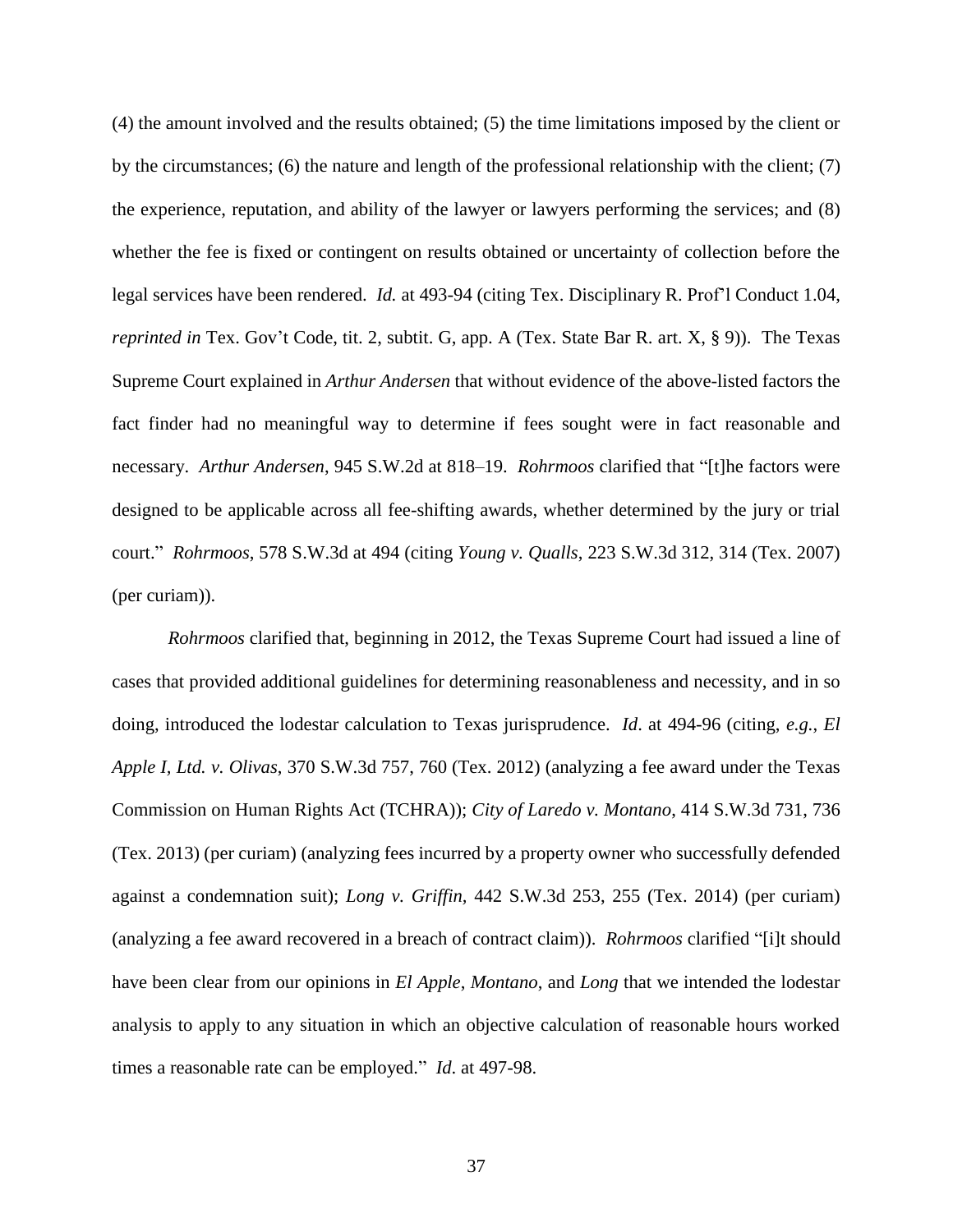(4) the amount involved and the results obtained; (5) the time limitations imposed by the client or by the circumstances; (6) the nature and length of the professional relationship with the client; (7) the experience, reputation, and ability of the lawyer or lawyers performing the services; and (8) whether the fee is fixed or contingent on results obtained or uncertainty of collection before the legal services have been rendered. *Id.* at 493-94 (citing Tex. Disciplinary R. Prof'l Conduct 1.04, *reprinted in* Tex. Gov't Code, tit. 2, subtit. G, app. A (Tex. State Bar R. art. X, § 9)). The Texas Supreme Court explained in *Arthur Andersen* that without evidence of the above-listed factors the fact finder had no meaningful way to determine if fees sought were in fact reasonable and necessary. *Arthur Andersen*, 945 S.W.2d at 818–19. *Rohrmoos* clarified that "[t]he factors were designed to be applicable across all fee-shifting awards, whether determined by the jury or trial court." *Rohrmoos*, 578 S.W.3d at 494 (citing *Young v. Qualls*, 223 S.W.3d 312, 314 (Tex. 2007) (per curiam)).

*Rohrmoos* clarified that, beginning in 2012, the Texas Supreme Court had issued a line of cases that provided additional guidelines for determining reasonableness and necessity, and in so doing, introduced the lodestar calculation to Texas jurisprudence. *Id*. at 494-96 (citing, *e.g.*, *El Apple I, Ltd. v. Olivas*, 370 S.W.3d 757, 760 (Tex. 2012) (analyzing a fee award under the Texas Commission on Human Rights Act (TCHRA)); *City of Laredo v. Montano*, 414 S.W.3d 731, 736 (Tex. 2013) (per curiam) (analyzing fees incurred by a property owner who successfully defended against a condemnation suit); *Long v. Griffin,* 442 S.W.3d 253, 255 (Tex. 2014) (per curiam) (analyzing a fee award recovered in a breach of contract claim)). *Rohrmoos* clarified "[i]t should have been clear from our opinions in *El Apple*, *Montano*, and *Long* that we intended the lodestar analysis to apply to any situation in which an objective calculation of reasonable hours worked times a reasonable rate can be employed." *Id*. at 497-98.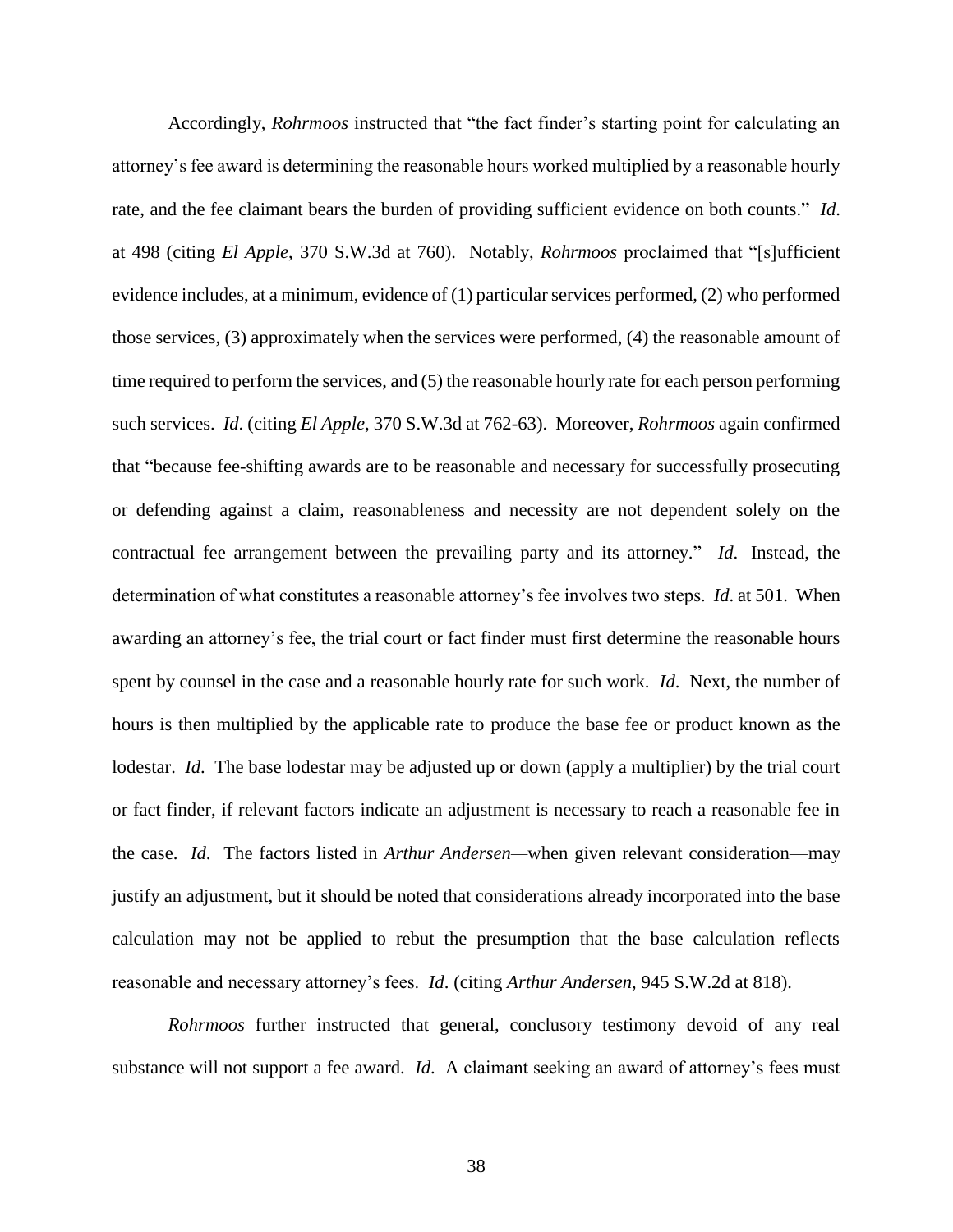Accordingly, *Rohrmoos* instructed that "the fact finder's starting point for calculating an attorney's fee award is determining the reasonable hours worked multiplied by a reasonable hourly rate, and the fee claimant bears the burden of providing sufficient evidence on both counts." *Id*. at 498 (citing *El Apple*, 370 S.W.3d at 760). Notably, *Rohrmoos* proclaimed that "[s]ufficient evidence includes, at a minimum, evidence of (1) particular services performed, (2) who performed those services, (3) approximately when the services were performed, (4) the reasonable amount of time required to perform the services, and (5) the reasonable hourly rate for each person performing such services. *Id*. (citing *El Apple*, 370 S.W.3d at 762-63). Moreover, *Rohrmoos* again confirmed that "because fee-shifting awards are to be reasonable and necessary for successfully prosecuting or defending against a claim, reasonableness and necessity are not dependent solely on the contractual fee arrangement between the prevailing party and its attorney." *Id*. Instead, the determination of what constitutes a reasonable attorney's fee involves two steps. *Id*. at 501. When awarding an attorney's fee, the trial court or fact finder must first determine the reasonable hours spent by counsel in the case and a reasonable hourly rate for such work. *Id*. Next, the number of hours is then multiplied by the applicable rate to produce the base fee or product known as the lodestar. *Id*. The base lodestar may be adjusted up or down (apply a multiplier) by the trial court or fact finder, if relevant factors indicate an adjustment is necessary to reach a reasonable fee in the case. *Id*. The factors listed in *Arthur Andersen—*when given relevant consideration—may justify an adjustment, but it should be noted that considerations already incorporated into the base calculation may not be applied to rebut the presumption that the base calculation reflects reasonable and necessary attorney's fees. *Id*. (citing *Arthur Andersen*, 945 S.W.2d at 818).

*Rohrmoos* further instructed that general, conclusory testimony devoid of any real substance will not support a fee award. *Id*. A claimant seeking an award of attorney's fees must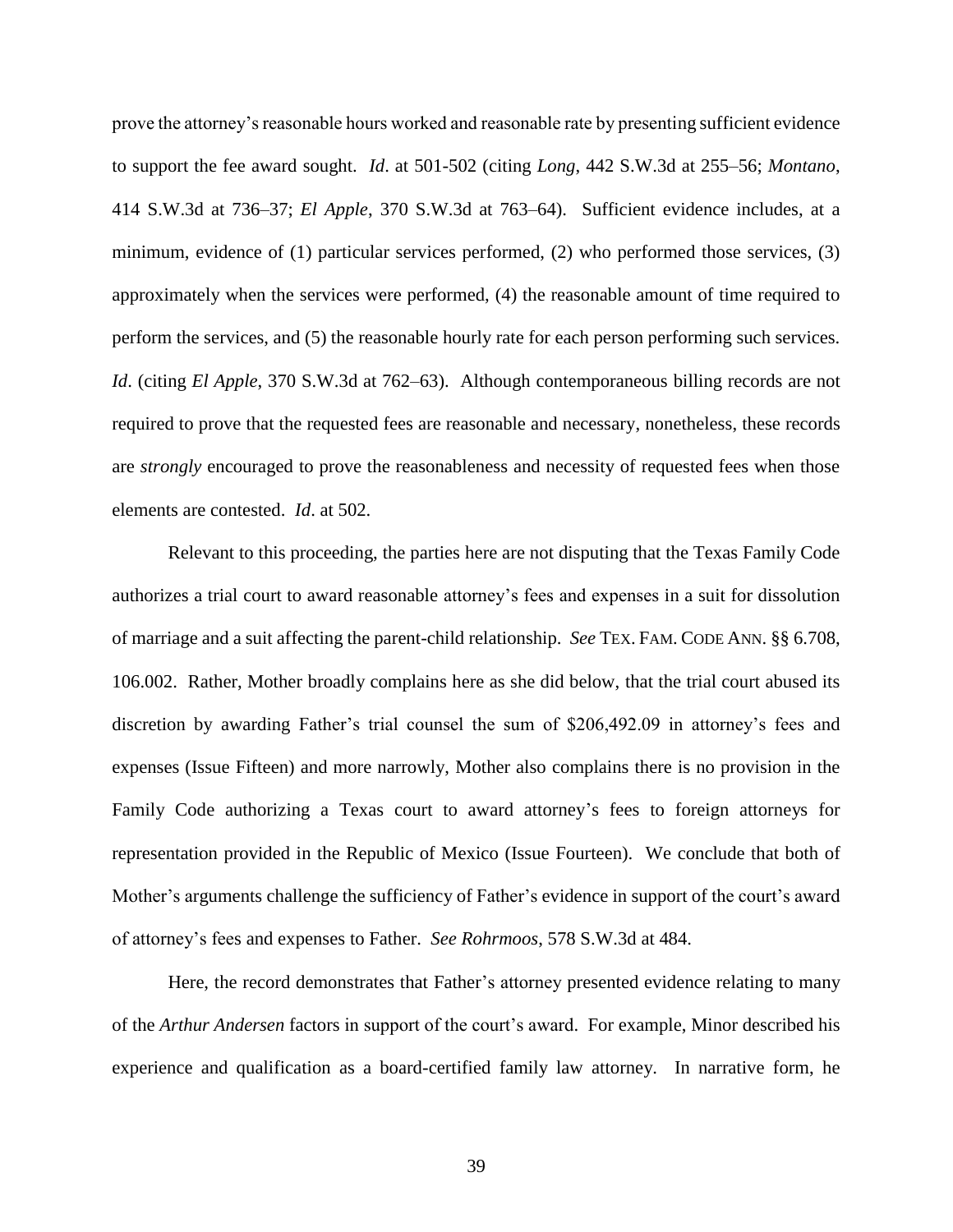prove the attorney's reasonable hours worked and reasonable rate by presenting sufficient evidence to support the fee award sought. *Id*. at 501-502 (citing *Long*, 442 S.W.3d at 255–56; *Montano*, 414 S.W.3d at 736–37; *El Apple*, 370 S.W.3d at 763–64). Sufficient evidence includes, at a minimum, evidence of (1) particular services performed, (2) who performed those services, (3) approximately when the services were performed, (4) the reasonable amount of time required to perform the services, and (5) the reasonable hourly rate for each person performing such services. *Id*. (citing *El Apple*, 370 S.W.3d at 762–63). Although contemporaneous billing records are not required to prove that the requested fees are reasonable and necessary, nonetheless, these records are *strongly* encouraged to prove the reasonableness and necessity of requested fees when those elements are contested. *Id*. at 502.

Relevant to this proceeding, the parties here are not disputing that the Texas Family Code authorizes a trial court to award reasonable attorney's fees and expenses in a suit for dissolution of marriage and a suit affecting the parent-child relationship. *See* TEX. FAM. CODE ANN. §§ 6.708, 106.002. Rather, Mother broadly complains here as she did below, that the trial court abused its discretion by awarding Father's trial counsel the sum of \$206,492.09 in attorney's fees and expenses (Issue Fifteen) and more narrowly, Mother also complains there is no provision in the Family Code authorizing a Texas court to award attorney's fees to foreign attorneys for representation provided in the Republic of Mexico (Issue Fourteen). We conclude that both of Mother's arguments challenge the sufficiency of Father's evidence in support of the court's award of attorney's fees and expenses to Father. *See Rohrmoos*, 578 S.W.3d at 484.

Here, the record demonstrates that Father's attorney presented evidence relating to many of the *Arthur Andersen* factors in support of the court's award. For example, Minor described his experience and qualification as a board-certified family law attorney. In narrative form, he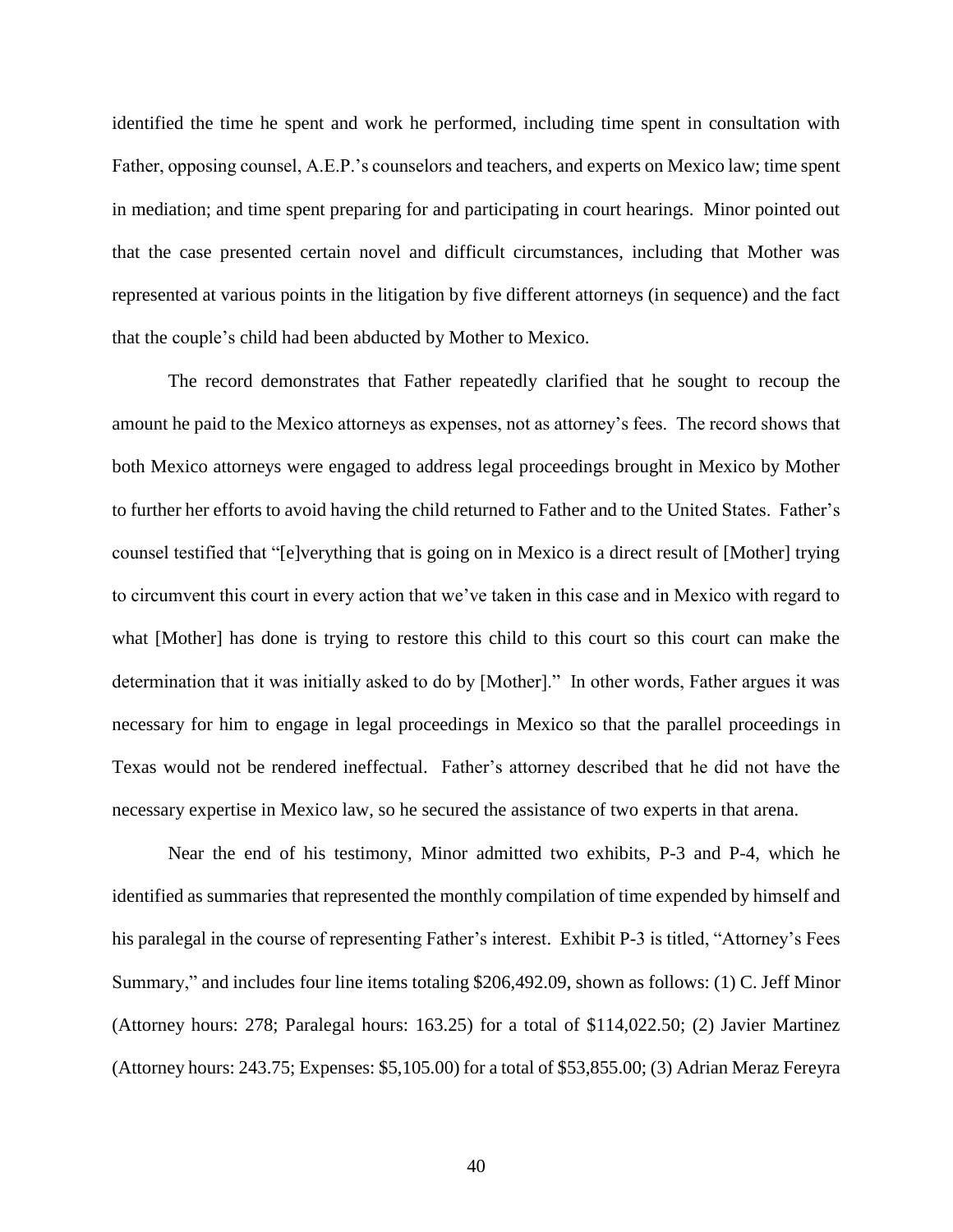identified the time he spent and work he performed, including time spent in consultation with Father, opposing counsel, A.E.P.'s counselors and teachers, and experts on Mexico law; time spent in mediation; and time spent preparing for and participating in court hearings. Minor pointed out that the case presented certain novel and difficult circumstances, including that Mother was represented at various points in the litigation by five different attorneys (in sequence) and the fact that the couple's child had been abducted by Mother to Mexico.

The record demonstrates that Father repeatedly clarified that he sought to recoup the amount he paid to the Mexico attorneys as expenses, not as attorney's fees. The record shows that both Mexico attorneys were engaged to address legal proceedings brought in Mexico by Mother to further her efforts to avoid having the child returned to Father and to the United States. Father's counsel testified that "[e]verything that is going on in Mexico is a direct result of [Mother] trying to circumvent this court in every action that we've taken in this case and in Mexico with regard to what [Mother] has done is trying to restore this child to this court so this court can make the determination that it was initially asked to do by [Mother]." In other words, Father argues it was necessary for him to engage in legal proceedings in Mexico so that the parallel proceedings in Texas would not be rendered ineffectual. Father's attorney described that he did not have the necessary expertise in Mexico law, so he secured the assistance of two experts in that arena.

Near the end of his testimony, Minor admitted two exhibits, P-3 and P-4, which he identified as summaries that represented the monthly compilation of time expended by himself and his paralegal in the course of representing Father's interest. Exhibit P-3 is titled, "Attorney's Fees Summary," and includes four line items totaling \$206,492.09, shown as follows: (1) C. Jeff Minor (Attorney hours: 278; Paralegal hours: 163.25) for a total of \$114,022.50; (2) Javier Martinez (Attorney hours: 243.75; Expenses: \$5,105.00) for a total of \$53,855.00; (3) Adrian Meraz Fereyra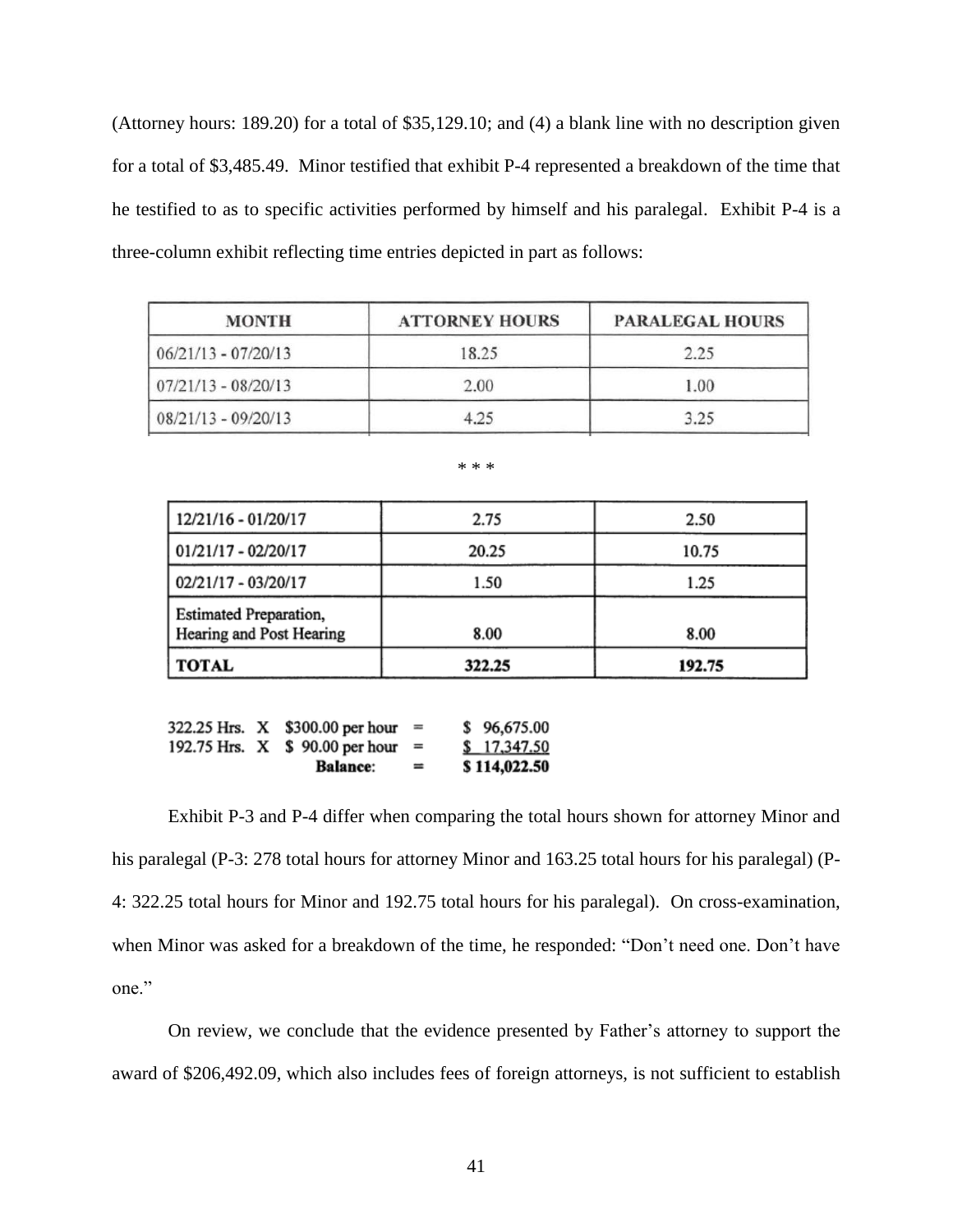(Attorney hours: 189.20) for a total of \$35,129.10; and (4) a blank line with no description given for a total of \$3,485.49. Minor testified that exhibit P-4 represented a breakdown of the time that he testified to as to specific activities performed by himself and his paralegal. Exhibit P-4 is a three-column exhibit reflecting time entries depicted in part as follows:

| <b>MONTH</b>          | <b>ATTORNEY HOURS</b> | <b>PARALEGAL HOURS</b> |
|-----------------------|-----------------------|------------------------|
| $06/21/13 - 07/20/13$ | 18.25                 | 2.25                   |
| $07/21/13 - 08/20/13$ | 2.00                  | 1.00                   |
| $08/21/13 - 09/20/13$ | 4.25                  | 3.25                   |

| مله<br>œ | ÷<br>÷ | ٠k |
|----------|--------|----|
|          |        |    |

| 12/21/16 - 01/20/17                                       | 2.75   | 2.50   |
|-----------------------------------------------------------|--------|--------|
| 01/21/17 - 02/20/17                                       | 20.25  | 10.75  |
| 02/21/17 - 03/20/17                                       | 1.50   | 1.25   |
| <b>Estimated Preparation,</b><br>Hearing and Post Hearing | 8.00   | 8.00   |
| <b>TOTAL</b>                                              | 322.25 | 192.75 |

|  | 322.25 Hrs. X \$300.00 per hour | <b>College</b> | \$96,675.00  |
|--|---------------------------------|----------------|--------------|
|  | 192.75 Hrs. X \$ 90.00 per hour |                | \$17,347.50  |
|  | <b>Balance:</b>                 | $=$            | \$114,022.50 |

Exhibit P-3 and P-4 differ when comparing the total hours shown for attorney Minor and his paralegal (P-3: 278 total hours for attorney Minor and 163.25 total hours for his paralegal) (P-4: 322.25 total hours for Minor and 192.75 total hours for his paralegal). On cross-examination, when Minor was asked for a breakdown of the time, he responded: "Don't need one. Don't have one."

On review, we conclude that the evidence presented by Father's attorney to support the award of \$206,492.09, which also includes fees of foreign attorneys, is not sufficient to establish